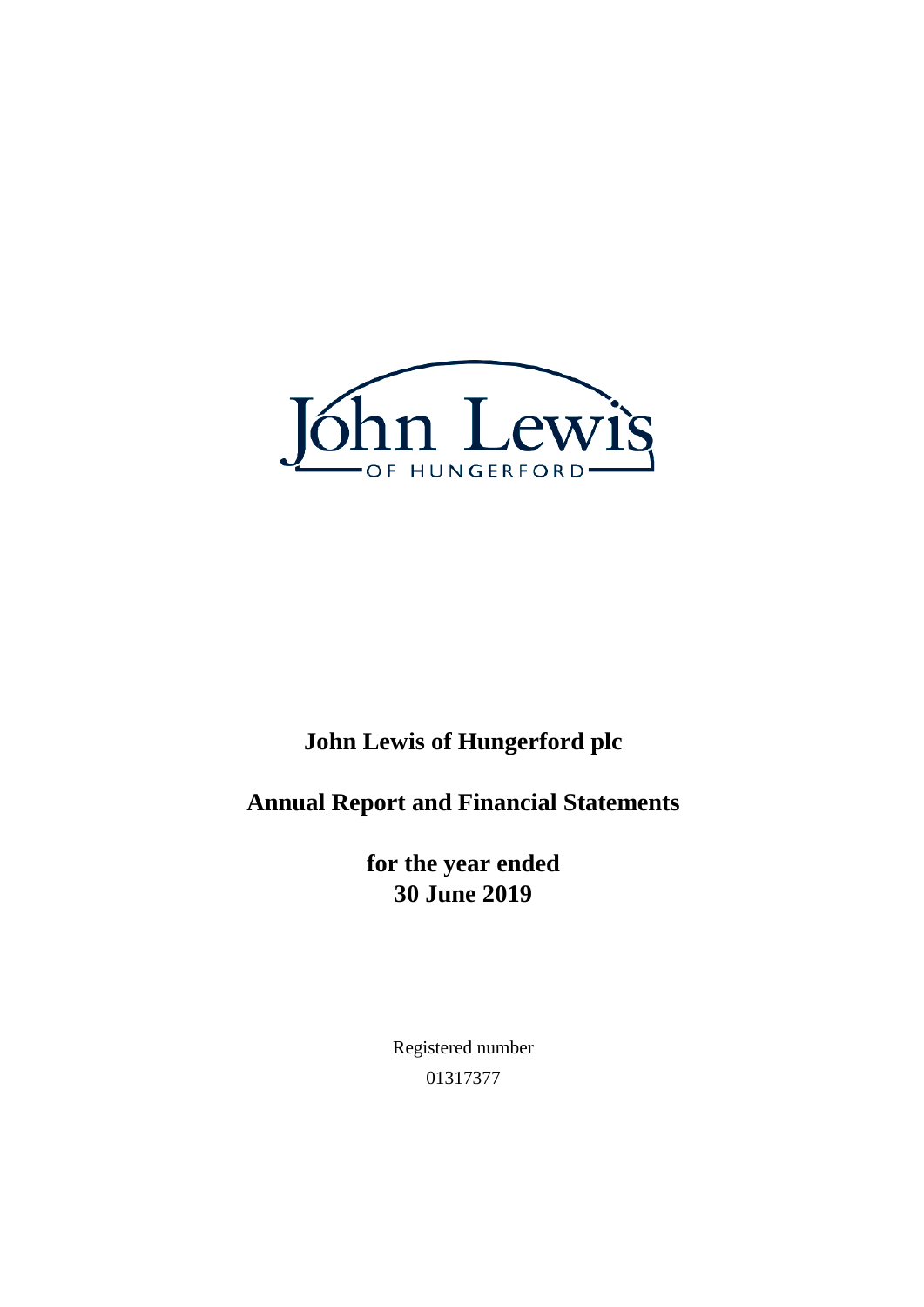

## **John Lewis of Hungerford plc**

## **Annual Report and Financial Statements**

**for the year ended 30 June 2019**

> Registered number 01317377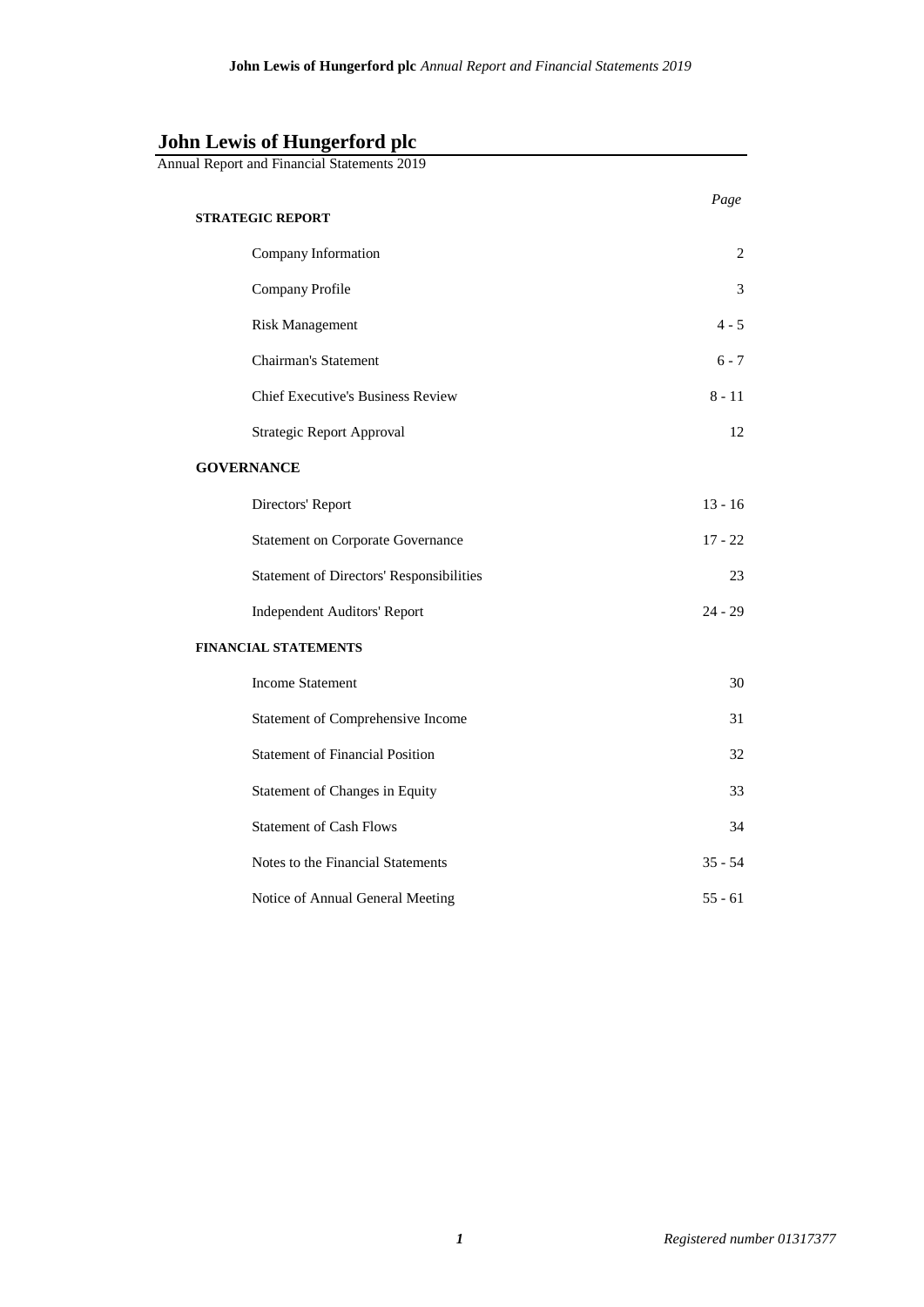**John Lewis of Hungerford plc**

| Annual Report and Financial Statements 2019     |           |
|-------------------------------------------------|-----------|
| <b>STRATEGIC REPORT</b>                         | Page      |
| Company Information                             | 2         |
| Company Profile                                 | 3         |
| <b>Risk Management</b>                          | $4 - 5$   |
| <b>Chairman's Statement</b>                     | $6 - 7$   |
| <b>Chief Executive's Business Review</b>        | $8 - 11$  |
| Strategic Report Approval                       | 12        |
| <b>GOVERNANCE</b>                               |           |
| Directors' Report                               | $13 - 16$ |
| <b>Statement on Corporate Governance</b>        | $17 - 22$ |
| <b>Statement of Directors' Responsibilities</b> | 23        |
| <b>Independent Auditors' Report</b>             | $24 - 29$ |
| <b>FINANCIAL STATEMENTS</b>                     |           |
| <b>Income Statement</b>                         | 30        |
| Statement of Comprehensive Income               | 31        |
| <b>Statement of Financial Position</b>          | 32        |
| Statement of Changes in Equity                  | 33        |
| <b>Statement of Cash Flows</b>                  | 34        |
| Notes to the Financial Statements               | $35 - 54$ |
| Notice of Annual General Meeting                | $55 - 61$ |

## *1 Registered number 01317377*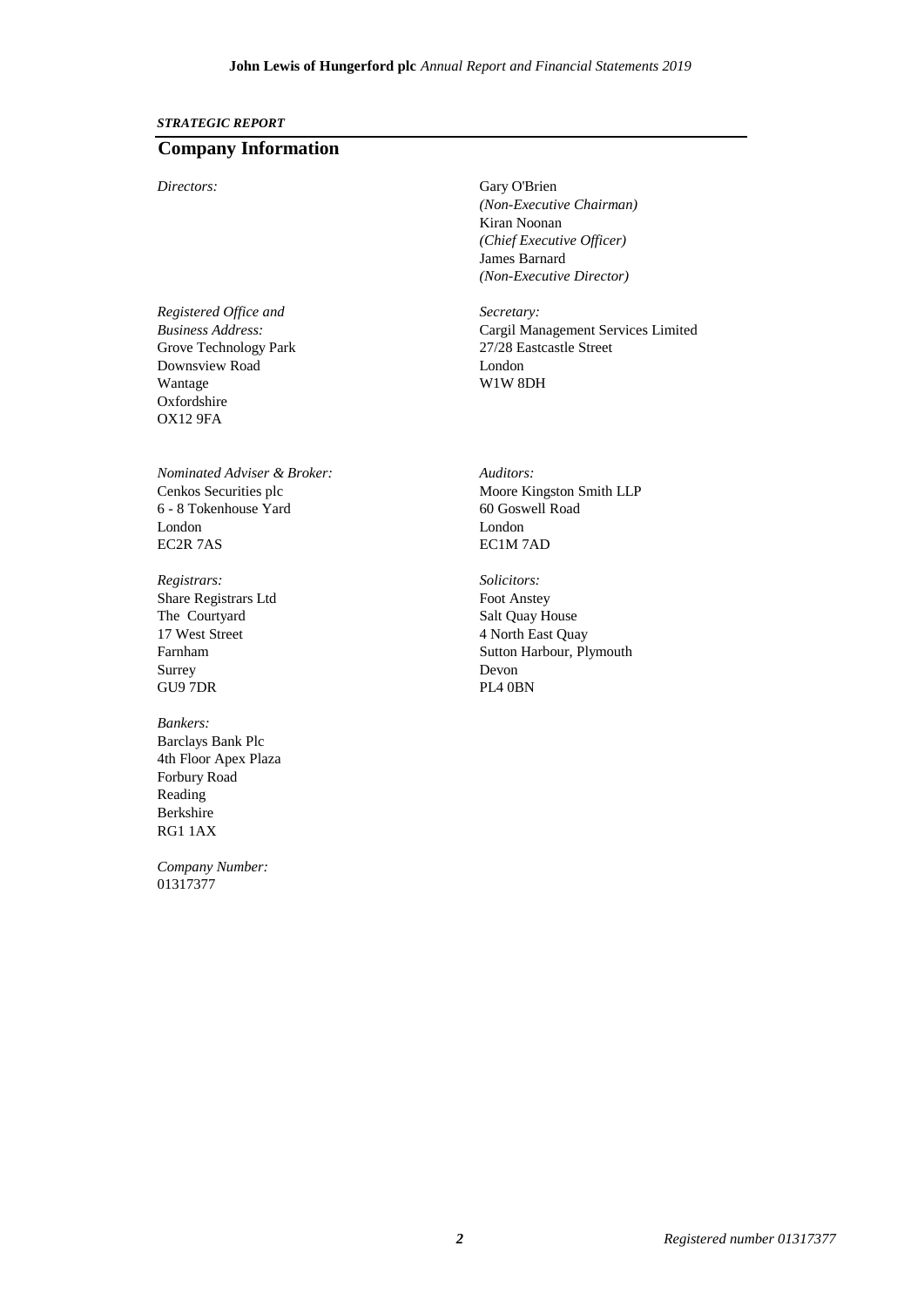## **Company Information**

*Registered Office and Secretary:* Grove Technology Park Downsview Road London Wantage W1W 8DH Oxfordshire OX12 9FA

*Nominated Adviser & Broker: Auditors:* Cenkos Securities plc<br>
6 - 8 Tokenhouse Yard<br>
60 Goswell Road<br>
60 Goswell Road  $6 - 8$  Tokenhouse Yard London London EC2R 7AS EC1M 7AD

*Registrars: Solicitors:* Share Registrars Ltd Foot Anstey The Courtyard Salt Quay House<br>17 West Street 4 North East Qua Surrey Devon<br>GU9 7DR PL4 0BN GU9 7DR

*Bankers:* Barclays Bank Plc 4th Floor Apex Plaza Forbury Road Reading Berkshire RG1 1AX

*Company Number:* 01317377

*Directors:* Gary O'Brien *(Non-Executive Chairman)* Kiran Noonan *(Chief Executive Officer)* James Barnard *(Non-Executive Director)*

*Business Address:*<br>
Grove Technology Park<br>
27/28 Eastcastle Street

4 North East Quay Farnham Sutton Harbour, Plymouth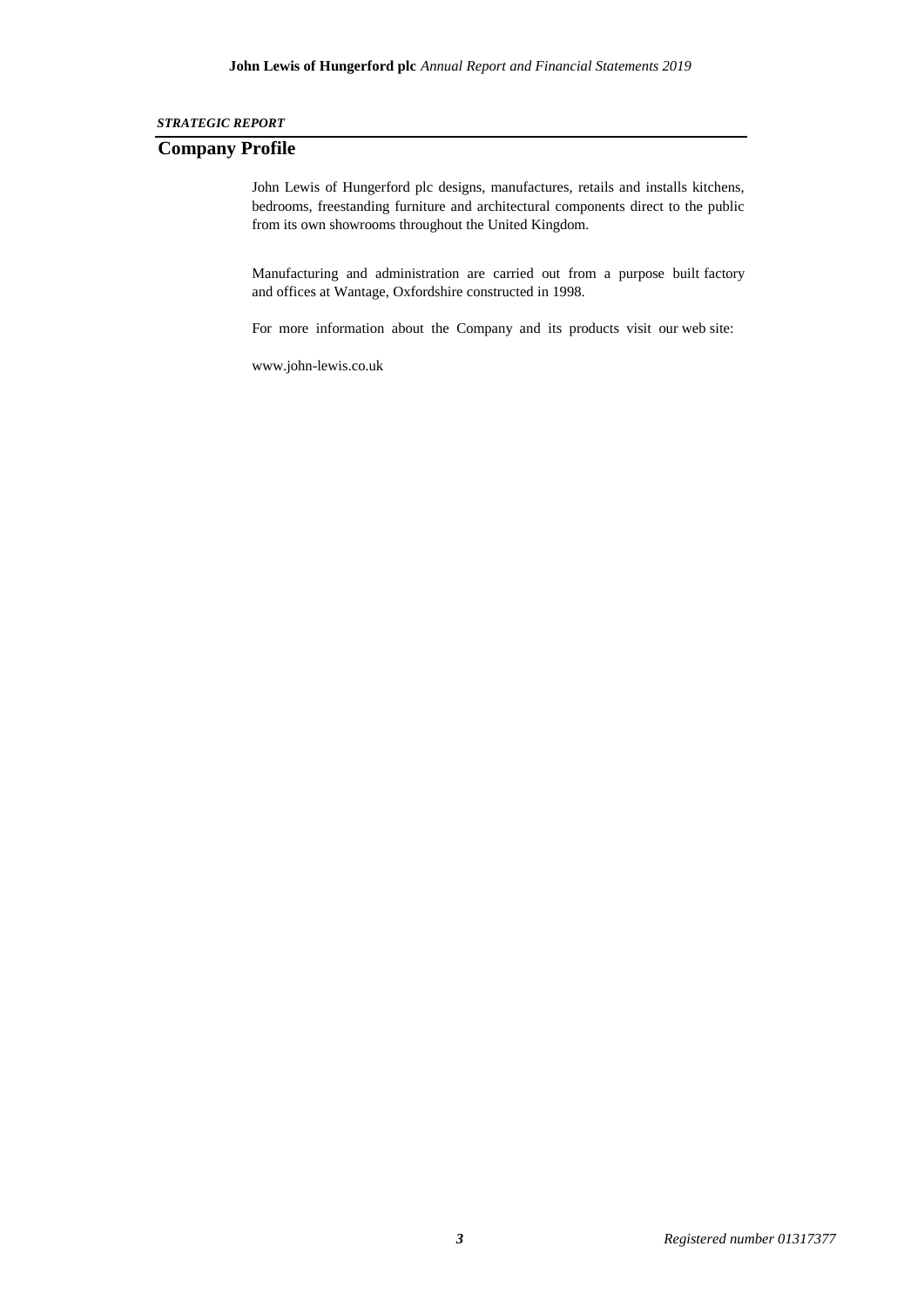## **Company Profile**

John Lewis of Hungerford plc designs, manufactures, retails and installs kitchens, bedrooms, freestanding furniture and architectural components direct to the public from its own showrooms throughout the United Kingdom.

Manufacturing and administration are carried out from a purpose built factory and offices at Wantage, Oxfordshire constructed in 1998.

For more information about the Company and its products visit our web site:

www.john-lewis.co.uk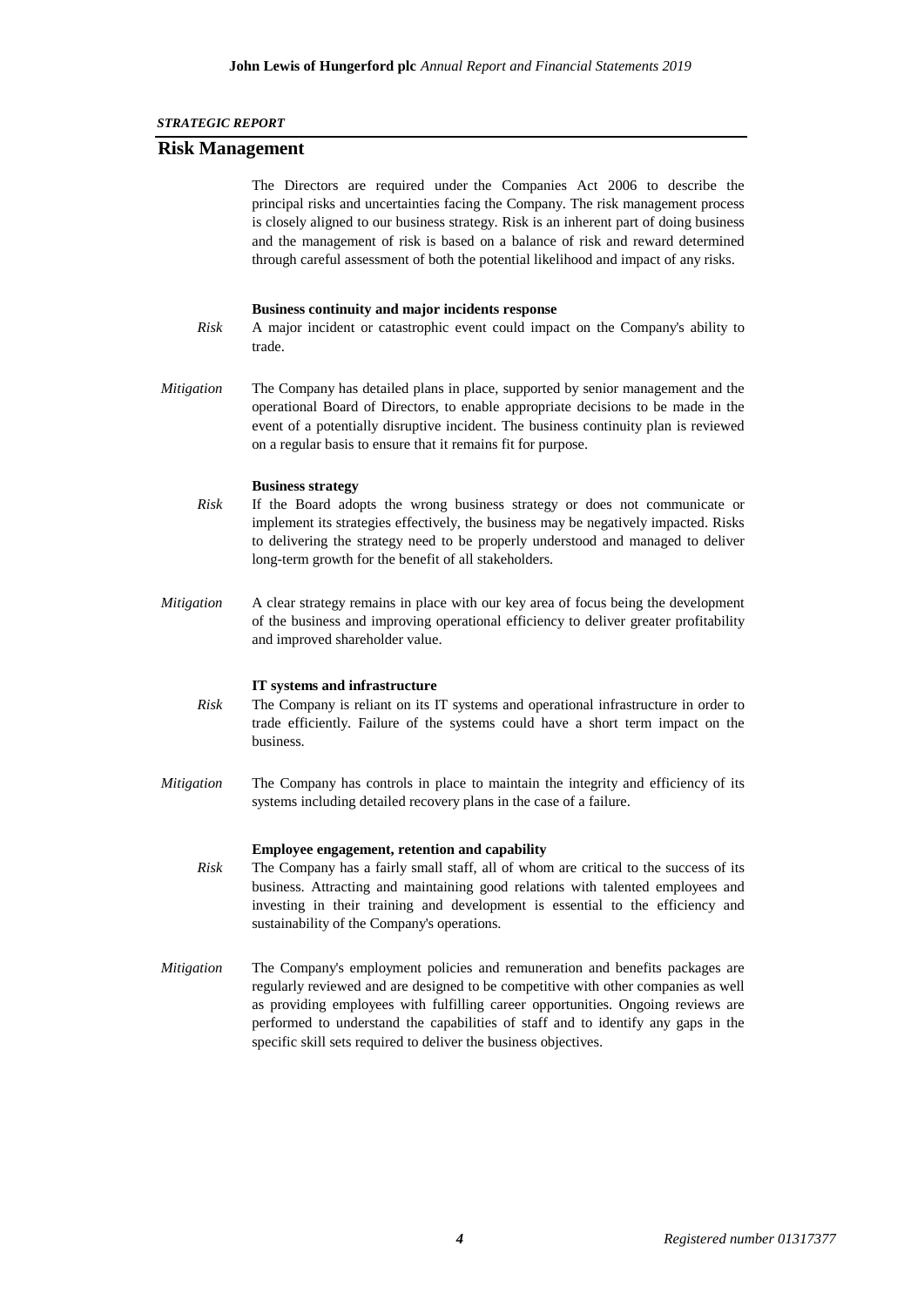## **Risk Management**

The Directors are required under the Companies Act 2006 to describe the principal risks and uncertainties facing the Company. The risk management process is closely aligned to our business strategy. Risk is an inherent part of doing business and the management of risk is based on a balance of risk and reward determined through careful assessment of both the potential likelihood and impact of any risks.

#### **Business continuity and major incidents response**

- *Risk* A major incident or catastrophic event could impact on the Company's ability to trade.
- *Mitigation* The Company has detailed plans in place, supported by senior management and the operational Board of Directors, to enable appropriate decisions to be made in the event of a potentially disruptive incident. The business continuity plan is reviewed on a regular basis to ensure that it remains fit for purpose.

#### **Business strategy**

- *Risk* If the Board adopts the wrong business strategy or does not communicate or implement its strategies effectively, the business may be negatively impacted. Risks to delivering the strategy need to be properly understood and managed to deliver long-term growth for the benefit of all stakeholders.
- *Mitigation* A clear strategy remains in place with our key area of focus being the development of the business and improving operational efficiency to deliver greater profitability and improved shareholder value.

#### **IT systems and infrastructure**

- *Risk* The Company is reliant on its IT systems and operational infrastructure in order to trade efficiently. Failure of the systems could have a short term impact on the business.
- *Mitigation* The Company has controls in place to maintain the integrity and efficiency of its systems including detailed recovery plans in the case of a failure.

#### **Employee engagement, retention and capability**

- *Risk* The Company has a fairly small staff, all of whom are critical to the success of its business. Attracting and maintaining good relations with talented employees and investing in their training and development is essential to the efficiency and sustainability of the Company's operations.
- *Mitigation* The Company's employment policies and remuneration and benefits packages are regularly reviewed and are designed to be competitive with other companies as well as providing employees with fulfilling career opportunities. Ongoing reviews are performed to understand the capabilities of staff and to identify any gaps in the specific skill sets required to deliver the business objectives.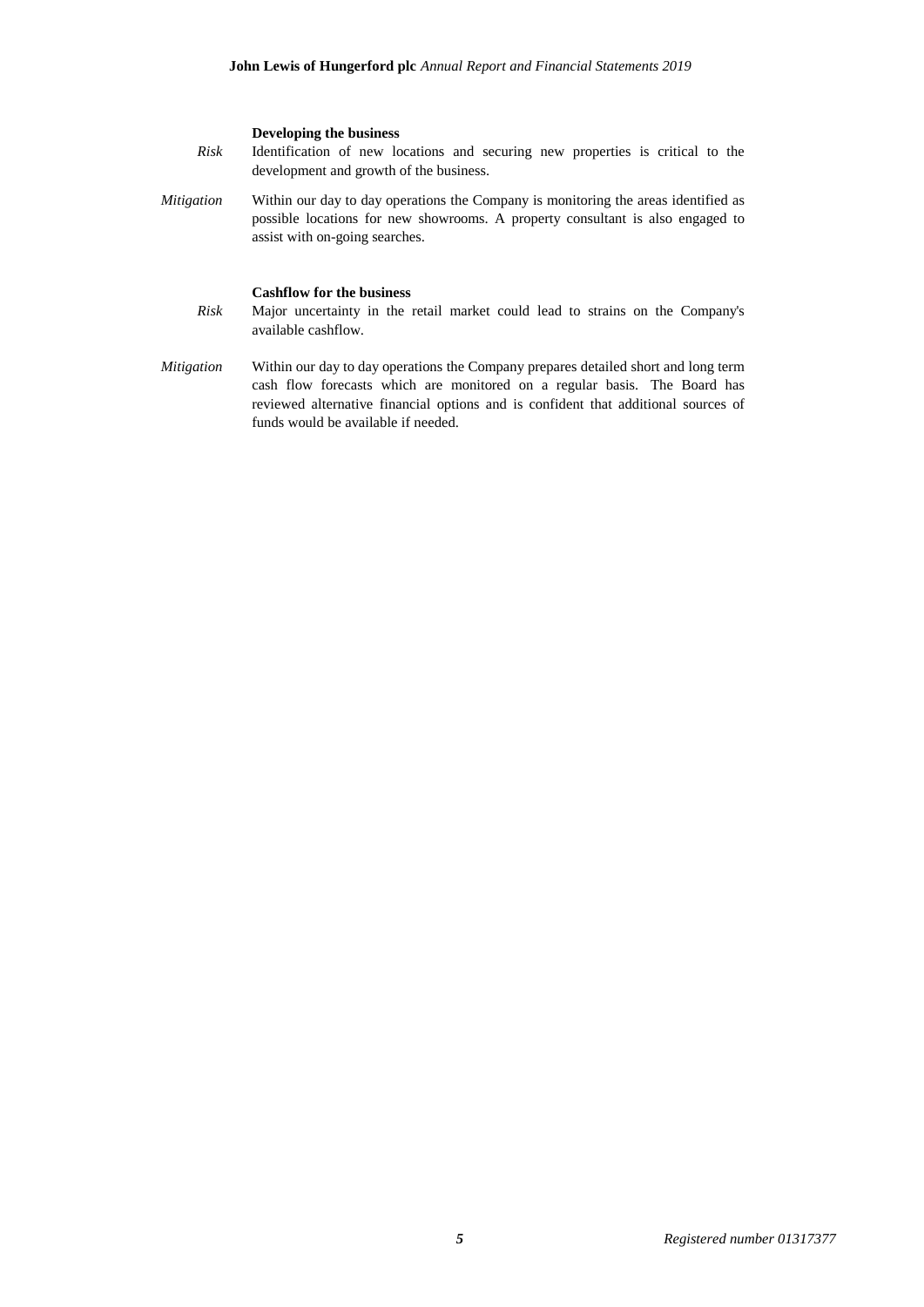#### **Developing the business**

- *Risk* Identification of new locations and securing new properties is critical to the development and growth of the business.
- *Mitigation* Within our day to day operations the Company is monitoring the areas identified as possible locations for new showrooms. A property consultant is also engaged to assist with on-going searches.

#### **Cashflow for the business**

- *Risk* Major uncertainty in the retail market could lead to strains on the Company's available cashflow.
- *Mitigation* Within our day to day operations the Company prepares detailed short and long term cash flow forecasts which are monitored on a regular basis. The Board has reviewed alternative financial options and is confident that additional sources of funds would be available if needed.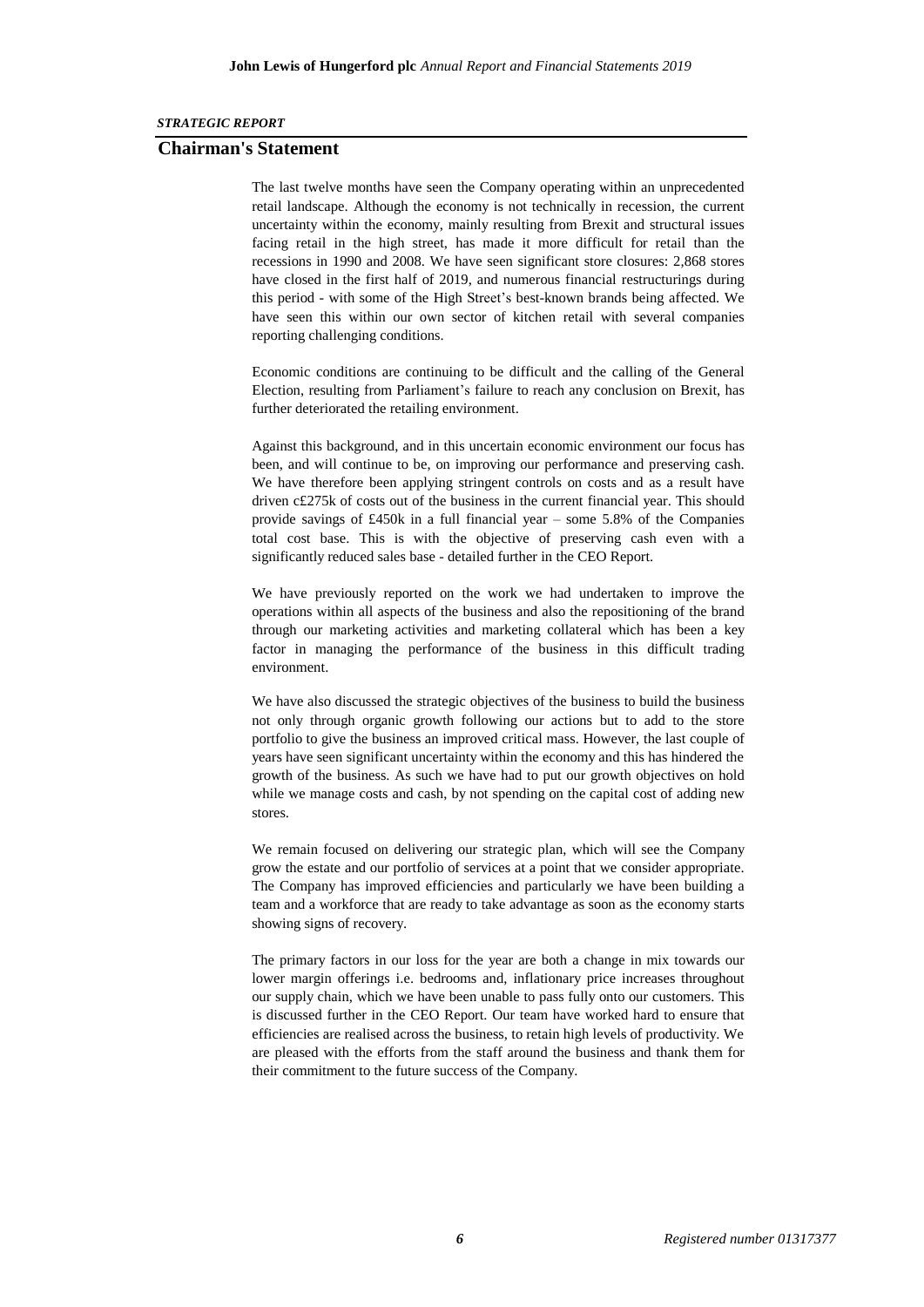## **Chairman's Statement**

The last twelve months have seen the Company operating within an unprecedented retail landscape. Although the economy is not technically in recession, the current uncertainty within the economy, mainly resulting from Brexit and structural issues facing retail in the high street, has made it more difficult for retail than the recessions in 1990 and 2008. We have seen significant store closures: 2,868 stores have closed in the first half of 2019, and numerous financial restructurings during this period - with some of the High Street's best-known brands being affected. We have seen this within our own sector of kitchen retail with several companies reporting challenging conditions.

Economic conditions are continuing to be difficult and the calling of the General Election, resulting from Parliament's failure to reach any conclusion on Brexit, has further deteriorated the retailing environment.

Against this background, and in this uncertain economic environment our focus has been, and will continue to be, on improving our performance and preserving cash. We have therefore been applying stringent controls on costs and as a result have driven c£275k of costs out of the business in the current financial year. This should provide savings of £450k in a full financial year – some 5.8% of the Companies total cost base. This is with the objective of preserving cash even with a significantly reduced sales base - detailed further in the CEO Report.

We have previously reported on the work we had undertaken to improve the operations within all aspects of the business and also the repositioning of the brand through our marketing activities and marketing collateral which has been a key factor in managing the performance of the business in this difficult trading environment.

We have also discussed the strategic objectives of the business to build the business not only through organic growth following our actions but to add to the store portfolio to give the business an improved critical mass. However, the last couple of years have seen significant uncertainty within the economy and this has hindered the growth of the business. As such we have had to put our growth objectives on hold while we manage costs and cash, by not spending on the capital cost of adding new stores.

We remain focused on delivering our strategic plan, which will see the Company grow the estate and our portfolio of services at a point that we consider appropriate. The Company has improved efficiencies and particularly we have been building a team and a workforce that are ready to take advantage as soon as the economy starts showing signs of recovery.

The primary factors in our loss for the year are both a change in mix towards our lower margin offerings i.e. bedrooms and, inflationary price increases throughout our supply chain, which we have been unable to pass fully onto our customers. This is discussed further in the CEO Report. Our team have worked hard to ensure that efficiencies are realised across the business, to retain high levels of productivity. We are pleased with the efforts from the staff around the business and thank them for their commitment to the future success of the Company.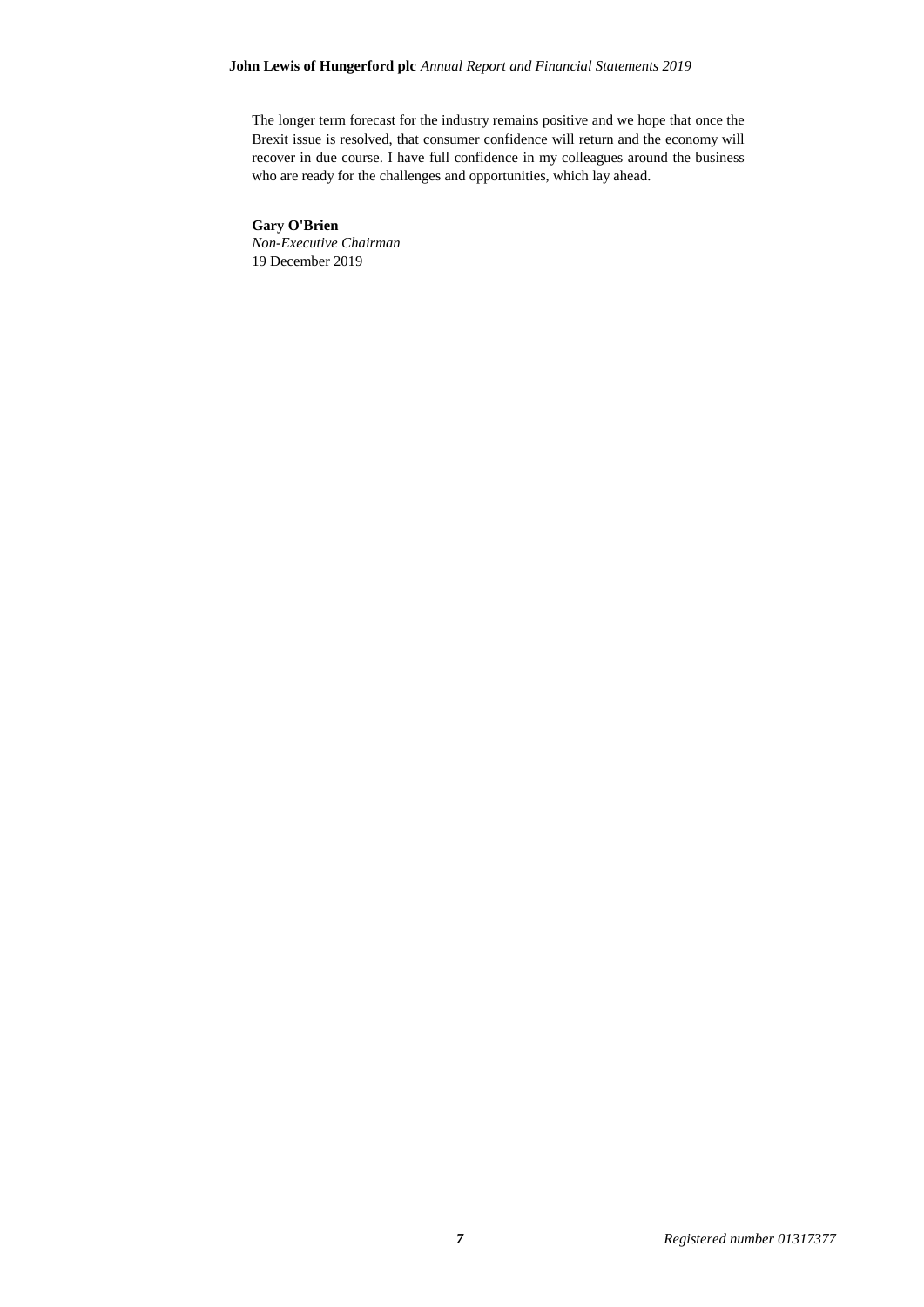The longer term forecast for the industry remains positive and we hope that once the Brexit issue is resolved, that consumer confidence will return and the economy will recover in due course. I have full confidence in my colleagues around the business who are ready for the challenges and opportunities, which lay ahead.

## **Gary O'Brien**

*Non-Executive Chairman* 19 December 2019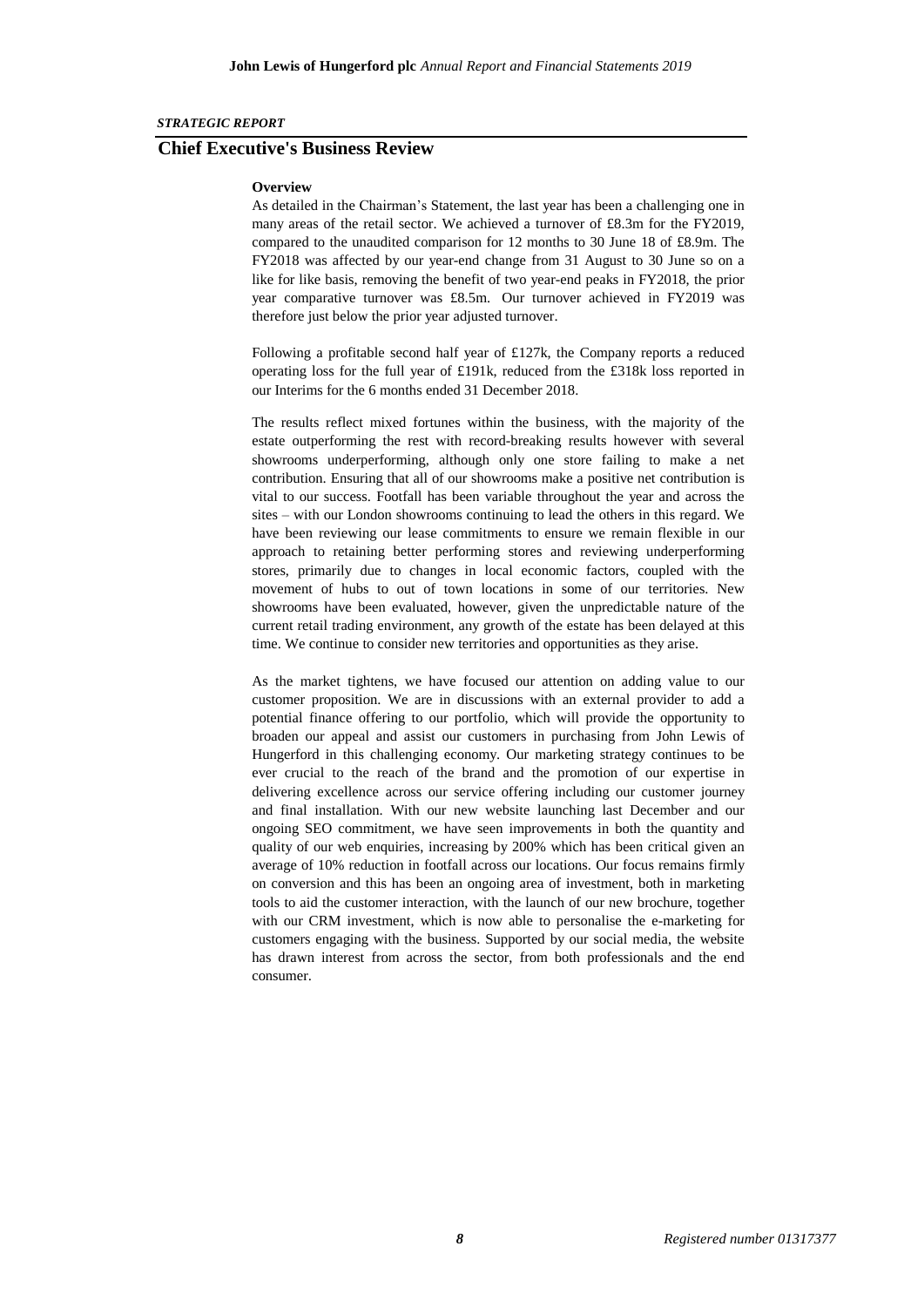## **Chief Executive's Business Review**

#### **Overview**

As detailed in the Chairman's Statement, the last year has been a challenging one in many areas of the retail sector. We achieved a turnover of £8.3m for the FY2019, compared to the unaudited comparison for 12 months to 30 June 18 of £8.9m. The FY2018 was affected by our year-end change from 31 August to 30 June so on a like for like basis, removing the benefit of two year-end peaks in FY2018, the prior year comparative turnover was £8.5m. Our turnover achieved in FY2019 was therefore just below the prior year adjusted turnover.

Following a profitable second half year of £127k, the Company reports a reduced operating loss for the full year of £191k, reduced from the £318k loss reported in our Interims for the 6 months ended 31 December 2018.

The results reflect mixed fortunes within the business, with the majority of the estate outperforming the rest with record-breaking results however with several showrooms underperforming, although only one store failing to make a net contribution. Ensuring that all of our showrooms make a positive net contribution is vital to our success. Footfall has been variable throughout the year and across the sites – with our London showrooms continuing to lead the others in this regard. We have been reviewing our lease commitments to ensure we remain flexible in our approach to retaining better performing stores and reviewing underperforming stores, primarily due to changes in local economic factors, coupled with the movement of hubs to out of town locations in some of our territories. New showrooms have been evaluated, however, given the unpredictable nature of the current retail trading environment, any growth of the estate has been delayed at this time. We continue to consider new territories and opportunities as they arise.

As the market tightens, we have focused our attention on adding value to our customer proposition. We are in discussions with an external provider to add a potential finance offering to our portfolio, which will provide the opportunity to broaden our appeal and assist our customers in purchasing from John Lewis of Hungerford in this challenging economy. Our marketing strategy continues to be ever crucial to the reach of the brand and the promotion of our expertise in delivering excellence across our service offering including our customer journey and final installation. With our new website launching last December and our ongoing SEO commitment, we have seen improvements in both the quantity and quality of our web enquiries, increasing by 200% which has been critical given an average of 10% reduction in footfall across our locations. Our focus remains firmly on conversion and this has been an ongoing area of investment, both in marketing tools to aid the customer interaction, with the launch of our new brochure, together with our CRM investment, which is now able to personalise the e-marketing for customers engaging with the business. Supported by our social media, the website has drawn interest from across the sector, from both professionals and the end consumer.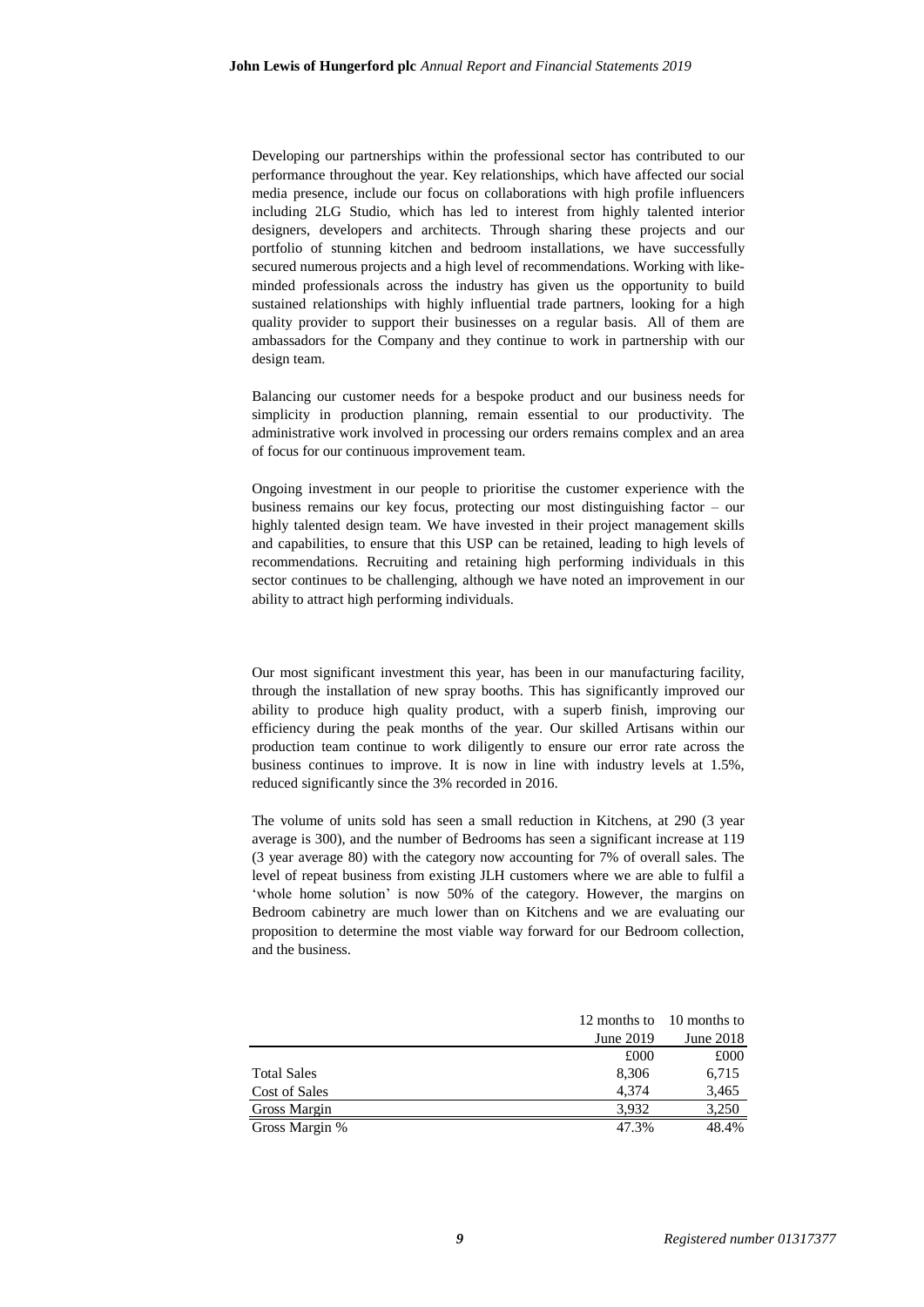Developing our partnerships within the professional sector has contributed to our performance throughout the year. Key relationships, which have affected our social media presence, include our focus on collaborations with high profile influencers including 2LG Studio, which has led to interest from highly talented interior designers, developers and architects. Through sharing these projects and our portfolio of stunning kitchen and bedroom installations, we have successfully secured numerous projects and a high level of recommendations. Working with likeminded professionals across the industry has given us the opportunity to build sustained relationships with highly influential trade partners, looking for a high quality provider to support their businesses on a regular basis. All of them are ambassadors for the Company and they continue to work in partnership with our design team.

Balancing our customer needs for a bespoke product and our business needs for simplicity in production planning, remain essential to our productivity. The administrative work involved in processing our orders remains complex and an area of focus for our continuous improvement team.

Ongoing investment in our people to prioritise the customer experience with the business remains our key focus, protecting our most distinguishing factor – our highly talented design team. We have invested in their project management skills and capabilities, to ensure that this USP can be retained, leading to high levels of recommendations. Recruiting and retaining high performing individuals in this sector continues to be challenging, although we have noted an improvement in our ability to attract high performing individuals.

## Our most significant investment this year, has been in our manufacturing facility, through the installation of new spray booths. This has significantly improved our ability to produce high quality product, with a superb finish, improving our efficiency during the peak months of the year. Our skilled Artisans within our production team continue to work diligently to ensure our error rate across the business continues to improve. It is now in line with industry levels at 1.5%, reduced significantly since the 3% recorded in 2016.

The volume of units sold has seen a small reduction in Kitchens, at 290 (3 year average is 300), and the number of Bedrooms has seen a significant increase at 119 (3 year average 80) with the category now accounting for 7% of overall sales. The level of repeat business from existing JLH customers where we are able to fulfil a 'whole home solution' is now 50% of the category. However, the margins on Bedroom cabinetry are much lower than on Kitchens and we are evaluating our proposition to determine the most viable way forward for our Bedroom collection, and the business.

|                     | 12 months to | 10 months to |
|---------------------|--------------|--------------|
|                     | June 2019    | June 2018    |
|                     | £000         | £000         |
| <b>Total Sales</b>  | 8,306        | 6,715        |
| Cost of Sales       | 4.374        | 3,465        |
| <b>Gross Margin</b> | 3.932        | 3,250        |
| Gross Margin %      | 47.3%        | 48.4%        |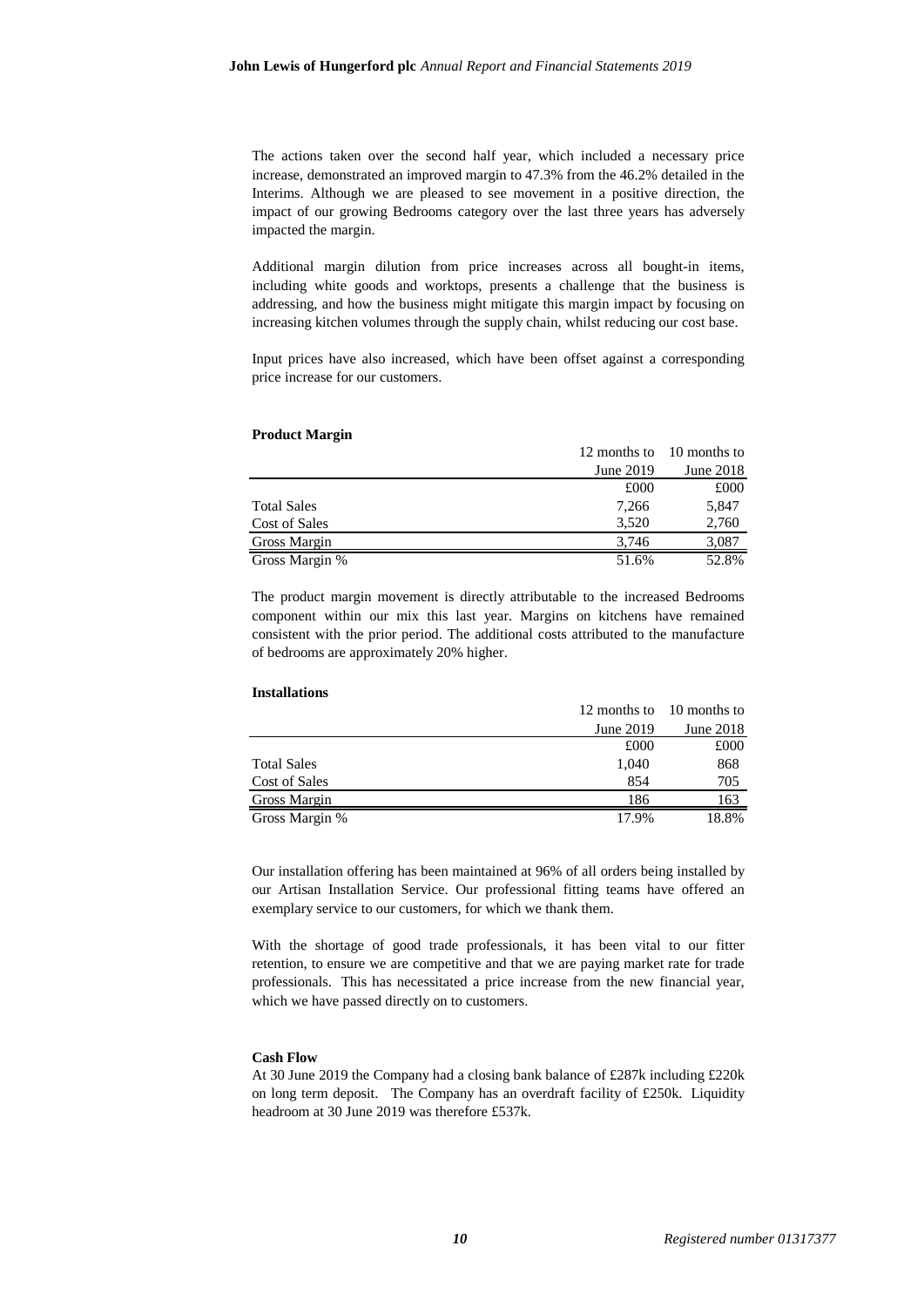The actions taken over the second half year, which included a necessary price increase, demonstrated an improved margin to 47.3% from the 46.2% detailed in the Interims. Although we are pleased to see movement in a positive direction, the impact of our growing Bedrooms category over the last three years has adversely impacted the margin.

Additional margin dilution from price increases across all bought-in items, including white goods and worktops, presents a challenge that the business is addressing, and how the business might mitigate this margin impact by focusing on increasing kitchen volumes through the supply chain, whilst reducing our cost base.

Input prices have also increased, which have been offset against a corresponding price increase for our customers.

#### **Product Margin**

|                    | 12 months to | 10 months to |
|--------------------|--------------|--------------|
|                    | June 2019    | June 2018    |
|                    | £000         | £000         |
| <b>Total Sales</b> | 7,266        | 5,847        |
| Cost of Sales      | 3.520        | 2,760        |
| Gross Margin       | 3,746        | 3,087        |
| Gross Margin %     | 51.6%        | 52.8%        |

The product margin movement is directly attributable to the increased Bedrooms component within our mix this last year. Margins on kitchens have remained consistent with the prior period. The additional costs attributed to the manufacture of bedrooms are approximately 20% higher.

#### **Installations**

|                     | 12 months to | 10 months to |
|---------------------|--------------|--------------|
|                     | June 2019    | June $2018$  |
|                     | £000         | £000         |
| <b>Total Sales</b>  | 1,040        | 868          |
| Cost of Sales       | 854          | 705          |
| <b>Gross Margin</b> | 186          | <u> 163</u>  |
| Gross Margin %      | 17.9%        | 18.8%        |

Our installation offering has been maintained at 96% of all orders being installed by our Artisan Installation Service. Our professional fitting teams have offered an exemplary service to our customers, for which we thank them.

With the shortage of good trade professionals, it has been vital to our fitter retention, to ensure we are competitive and that we are paying market rate for trade professionals. This has necessitated a price increase from the new financial year, which we have passed directly on to customers.

#### **Cash Flow**

At 30 June 2019 the Company had a closing bank balance of £287k including £220k on long term deposit. The Company has an overdraft facility of £250k. Liquidity headroom at 30 June 2019 was therefore £537k.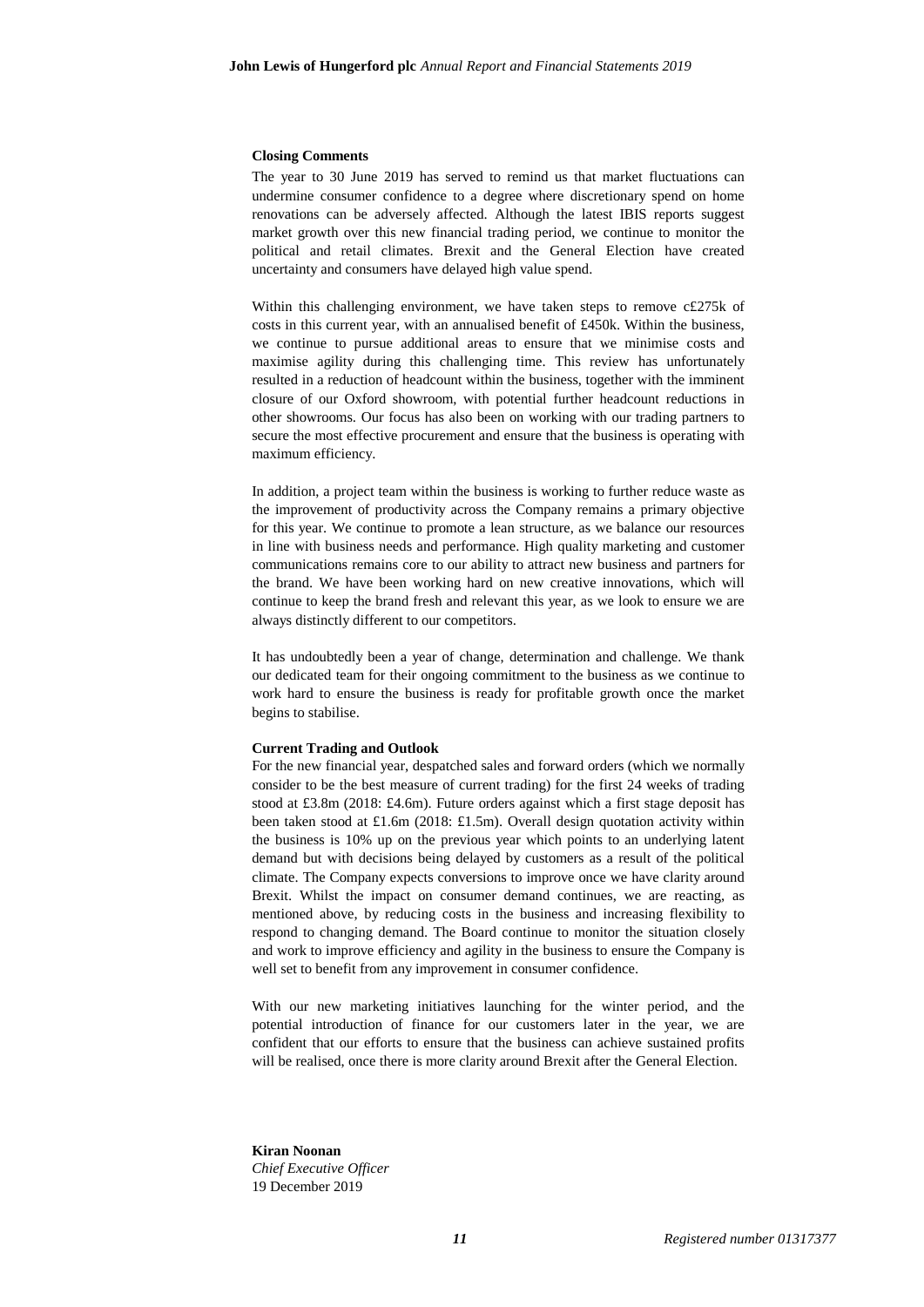#### **Closing Comments**

The year to 30 June 2019 has served to remind us that market fluctuations can undermine consumer confidence to a degree where discretionary spend on home renovations can be adversely affected. Although the latest IBIS reports suggest market growth over this new financial trading period, we continue to monitor the political and retail climates. Brexit and the General Election have created uncertainty and consumers have delayed high value spend.

Within this challenging environment, we have taken steps to remove c£275k of costs in this current year, with an annualised benefit of £450k. Within the business, we continue to pursue additional areas to ensure that we minimise costs and maximise agility during this challenging time. This review has unfortunately resulted in a reduction of headcount within the business, together with the imminent closure of our Oxford showroom, with potential further headcount reductions in other showrooms. Our focus has also been on working with our trading partners to secure the most effective procurement and ensure that the business is operating with maximum efficiency.

In addition, a project team within the business is working to further reduce waste as the improvement of productivity across the Company remains a primary objective for this year. We continue to promote a lean structure, as we balance our resources in line with business needs and performance. High quality marketing and customer communications remains core to our ability to attract new business and partners for the brand. We have been working hard on new creative innovations, which will continue to keep the brand fresh and relevant this year, as we look to ensure we are always distinctly different to our competitors.

It has undoubtedly been a year of change, determination and challenge. We thank our dedicated team for their ongoing commitment to the business as we continue to work hard to ensure the business is ready for profitable growth once the market begins to stabilise.

#### **Current Trading and Outlook**

For the new financial year, despatched sales and forward orders (which we normally consider to be the best measure of current trading) for the first 24 weeks of trading stood at £3.8m (2018: £4.6m). Future orders against which a first stage deposit has been taken stood at £1.6m (2018: £1.5m). Overall design quotation activity within the business is 10% up on the previous year which points to an underlying latent demand but with decisions being delayed by customers as a result of the political climate. The Company expects conversions to improve once we have clarity around Brexit. Whilst the impact on consumer demand continues, we are reacting, as mentioned above, by reducing costs in the business and increasing flexibility to respond to changing demand. The Board continue to monitor the situation closely and work to improve efficiency and agility in the business to ensure the Company is well set to benefit from any improvement in consumer confidence.

With our new marketing initiatives launching for the winter period, and the potential introduction of finance for our customers later in the year, we are confident that our efforts to ensure that the business can achieve sustained profits will be realised, once there is more clarity around Brexit after the General Election.

**Kiran Noonan** *Chief Executive Officer* 19 December 2019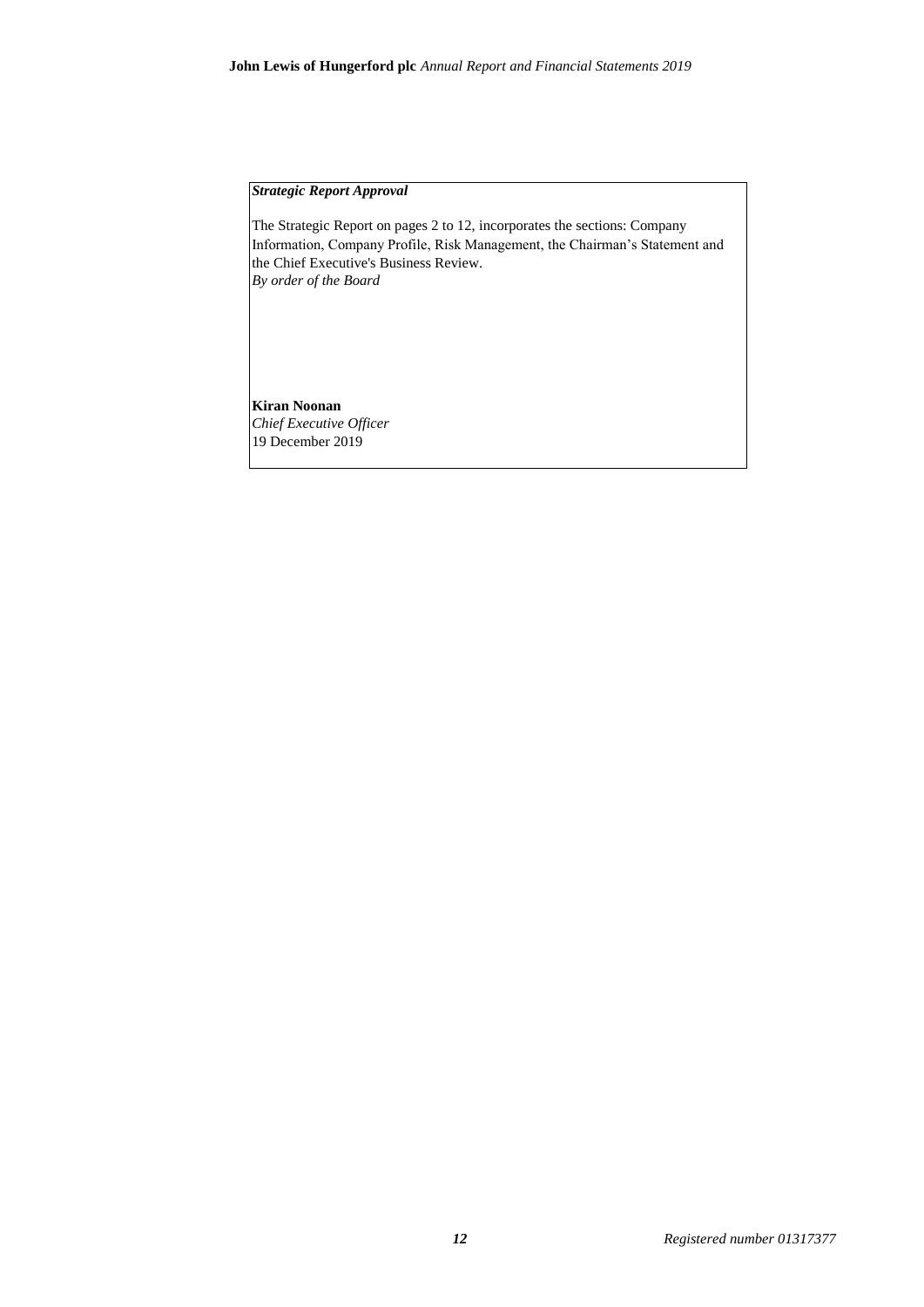## *Strategic Report Approval*

*By order of the Board* The Strategic Report on pages 2 to 12, incorporates the sections: Company Information, Company Profile, Risk Management, the Chairman's Statement and the Chief Executive's Business Review.

## **Kiran Noonan**

*Chief Executive Officer* 19 December 2019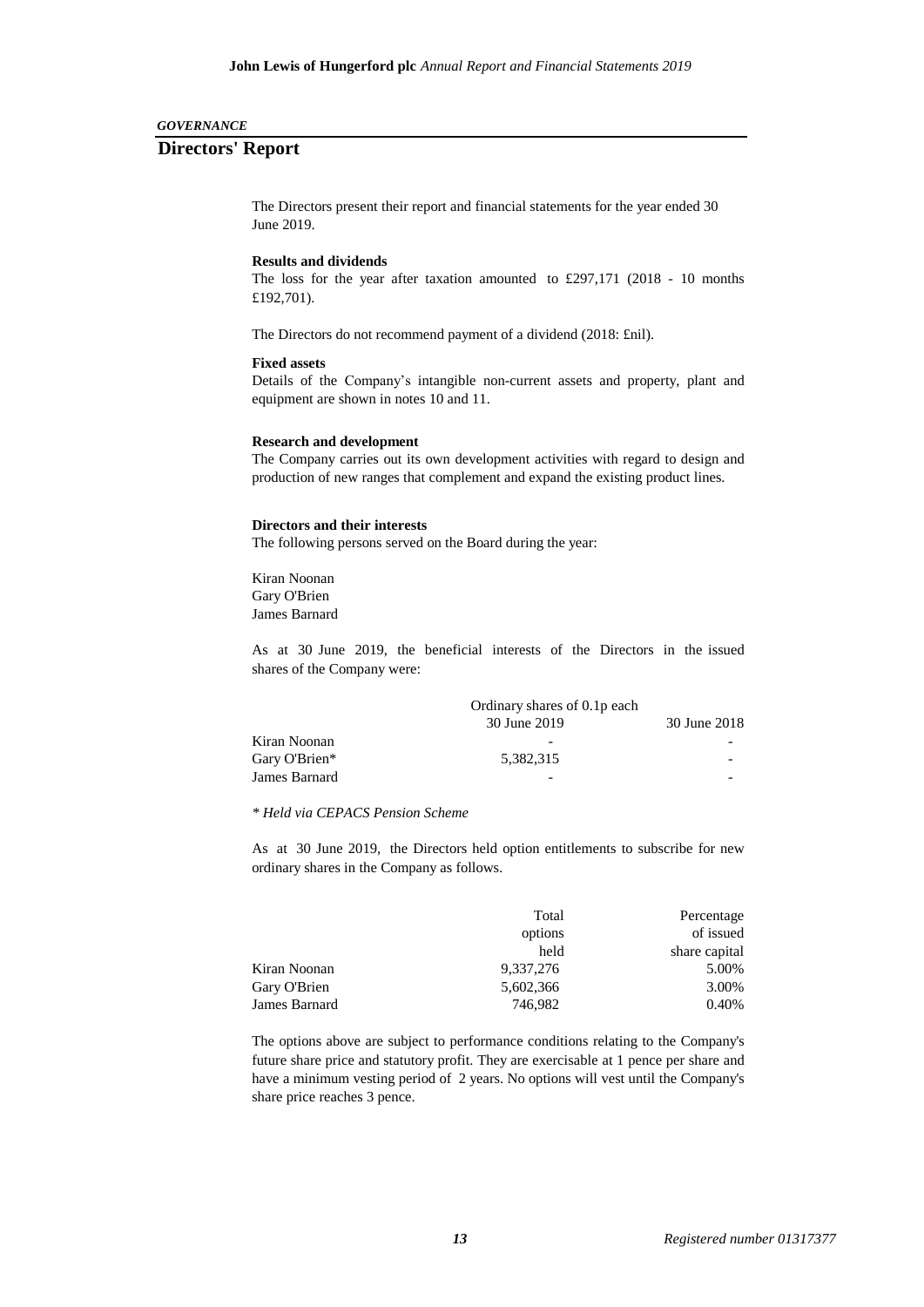#### *GOVERNANCE*

## **Directors' Report**

The Directors present their report and financial statements for the year ended 30 June 2019.

#### **Results and dividends**

The loss for the year after taxation amounted to £297,171 (2018 - 10 months £192,701).

The Directors do not recommend payment of a dividend (2018: £nil).

#### **Fixed assets**

Details of the Company's intangible non-current assets and property, plant and equipment are shown in notes 10 and 11.

#### **Research and development**

The Company carries out its own development activities with regard to design and production of new ranges that complement and expand the existing product lines.

## **Directors and their interests**

The following persons served on the Board during the year:

James Barnard Kiran Noonan Gary O'Brien

As at 30 June 2019, the beneficial interests of the Directors in the issued shares of the Company were:

|               | Ordinary shares of 0.1p each |              |  |
|---------------|------------------------------|--------------|--|
|               | 30 June 2019                 | 30 June 2018 |  |
| Kiran Noonan  |                              |              |  |
| Gary O'Brien* | 5.382.315                    |              |  |
| James Barnard | -                            | -            |  |

#### *\* Held via CEPACS Pension Scheme*

As at 30 June 2019, the Directors held option entitlements to subscribe for new ordinary shares in the Company as follows.

|               | Total     | Percentage    |
|---------------|-----------|---------------|
|               | options   | of issued     |
|               | held      | share capital |
| Kiran Noonan  | 9.337.276 | 5.00%         |
| Gary O'Brien  | 5,602,366 | 3.00%         |
| James Barnard | 746.982   | 0.40%         |

The options above are subject to performance conditions relating to the Company's future share price and statutory profit. They are exercisable at 1 pence per share and have a minimum vesting period of 2 years. No options will vest until the Company's share price reaches 3 pence.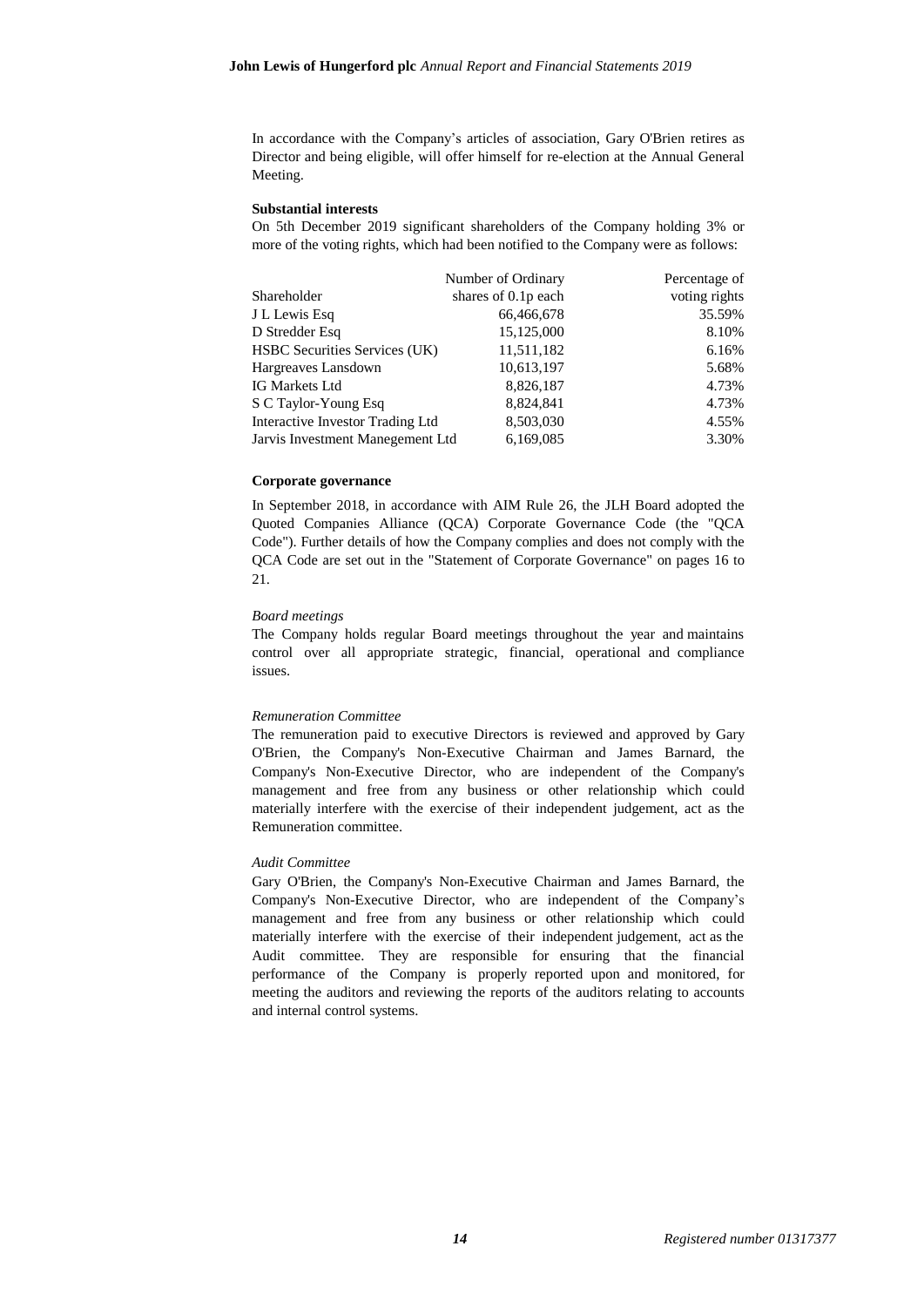In accordance with the Company's articles of association, Gary O'Brien retires as Director and being eligible, will offer himself for re-election at the Annual General Meeting.

#### **Substantial interests**

On 5th December 2019 significant shareholders of the Company holding 3% or more of the voting rights, which had been notified to the Company were as follows:

|                                      | Number of Ordinary  | Percentage of |
|--------------------------------------|---------------------|---------------|
| Shareholder                          | shares of 0.1p each | voting rights |
| J L Lewis Esq                        | 66,466,678          | 35.59%        |
| D Stredder Esq                       | 15,125,000          | 8.10%         |
| <b>HSBC</b> Securities Services (UK) | 11,511,182          | 6.16%         |
| Hargreaves Lansdown                  | 10,613,197          | 5.68%         |
| IG Markets Ltd                       | 8,826,187           | 4.73%         |
| S C Taylor-Young Esq                 | 8,824,841           | 4.73%         |
| Interactive Investor Trading Ltd     | 8,503,030           | 4.55%         |
| Jarvis Investment Manegement Ltd     | 6,169,085           | 3.30%         |

#### **Corporate governance**

In September 2018, in accordance with AIM Rule 26, the JLH Board adopted the Quoted Companies Alliance (QCA) Corporate Governance Code (the "QCA Code"). Further details of how the Company complies and does not comply with the QCA Code are set out in the "Statement of Corporate Governance" on pages 16 to 21.

#### *Board meetings*

The Company holds regular Board meetings throughout the year and maintains control over all appropriate strategic, financial, operational and compliance issues.

#### *Remuneration Committee*

The remuneration paid to executive Directors is reviewed and approved by Gary O'Brien, the Company's Non-Executive Chairman and James Barnard, the Company's Non-Executive Director, who are independent of the Company's management and free from any business or other relationship which could materially interfere with the exercise of their independent judgement, act as the Remuneration committee.

#### *Audit Committee*

Gary O'Brien, the Company's Non-Executive Chairman and James Barnard, the Company's Non-Executive Director, who are independent of the Company's management and free from any business or other relationship which could materially interfere with the exercise of their independent judgement, act as the Audit committee. They are responsible for ensuring that the financial performance of the Company is properly reported upon and monitored, for meeting the auditors and reviewing the reports of the auditors relating to accounts and internal control systems.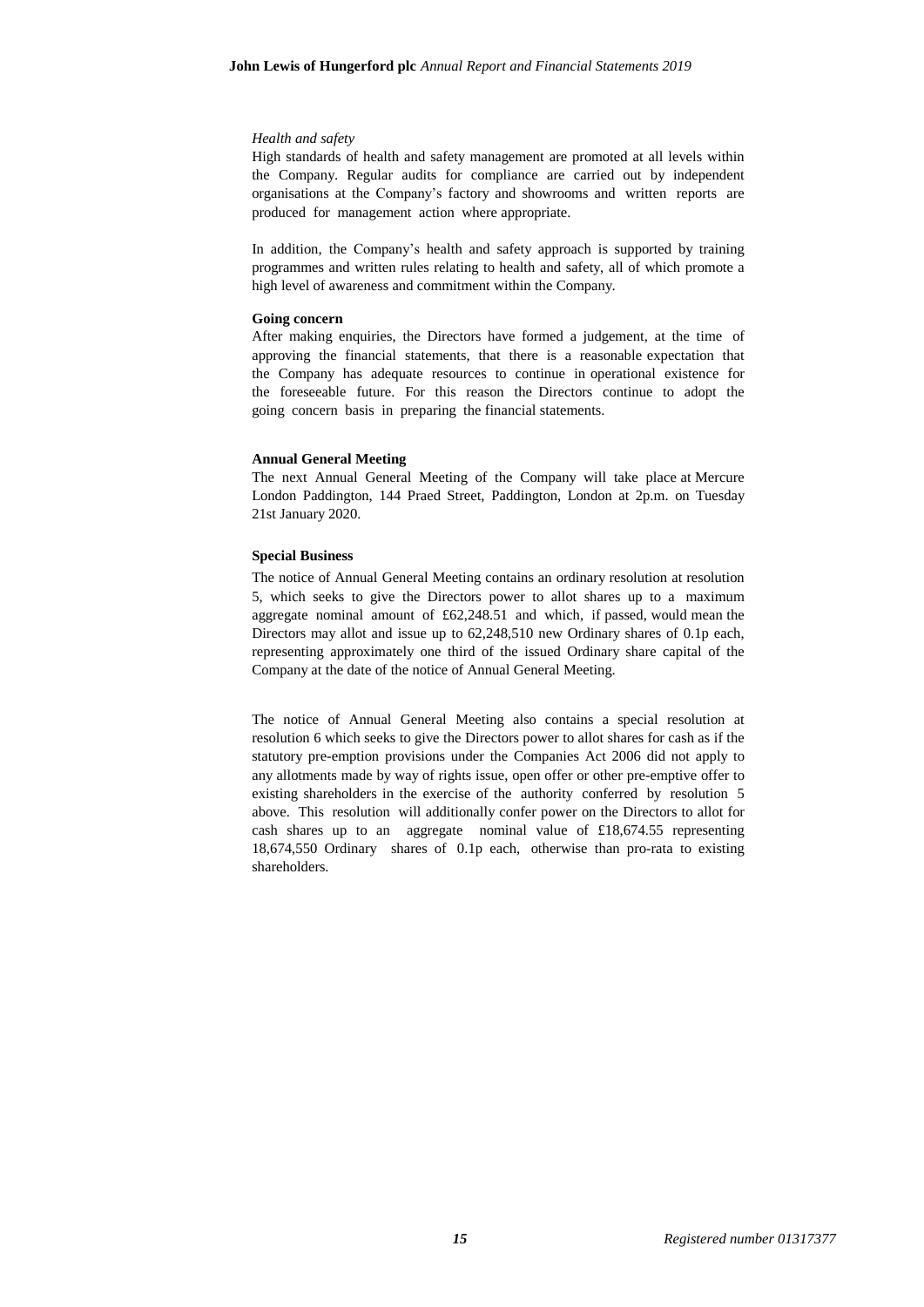#### *Health and safety*

High standards of health and safety management are promoted at all levels within the Company. Regular audits for compliance are carried out by independent organisations at the Company's factory and showrooms and written reports are produced for management action where appropriate.

In addition, the Company's health and safety approach is supported by training programmes and written rules relating to health and safety, all of which promote a high level of awareness and commitment within the Company.

#### **Going concern**

After making enquiries, the Directors have formed a judgement, at the time of approving the financial statements, that there is a reasonable expectation that the Company has adequate resources to continue in operational existence for the foreseeable future. For this reason the Directors continue to adopt the going concern basis in preparing the financial statements.

#### **Annual General Meeting**

The next Annual General Meeting of the Company will take place at Mercure London Paddington, 144 Praed Street, Paddington, London at 2p.m. on Tuesday 21st January 2020.

#### **Special Business**

The notice of Annual General Meeting contains an ordinary resolution at resolution 5, which seeks to give the Directors power to allot shares up to a maximum aggregate nominal amount of £62,248.51 and which, if passed, would mean the Directors may allot and issue up to 62,248,510 new Ordinary shares of 0.1p each, representing approximately one third of the issued Ordinary share capital of the Company at the date of the notice of Annual General Meeting.

The notice of Annual General Meeting also contains a special resolution at resolution 6 which seeks to give the Directors power to allot shares for cash as if the statutory pre-emption provisions under the Companies Act 2006 did not apply to any allotments made by way of rights issue, open offer or other pre-emptive offer to existing shareholders in the exercise of the authority conferred by resolution 5 above. This resolution will additionally confer power on the Directors to allot for cash shares up to an aggregate nominal value of £18,674.55 representing 18,674,550 Ordinary shares of 0.1p each, otherwise than pro-rata to existing shareholders.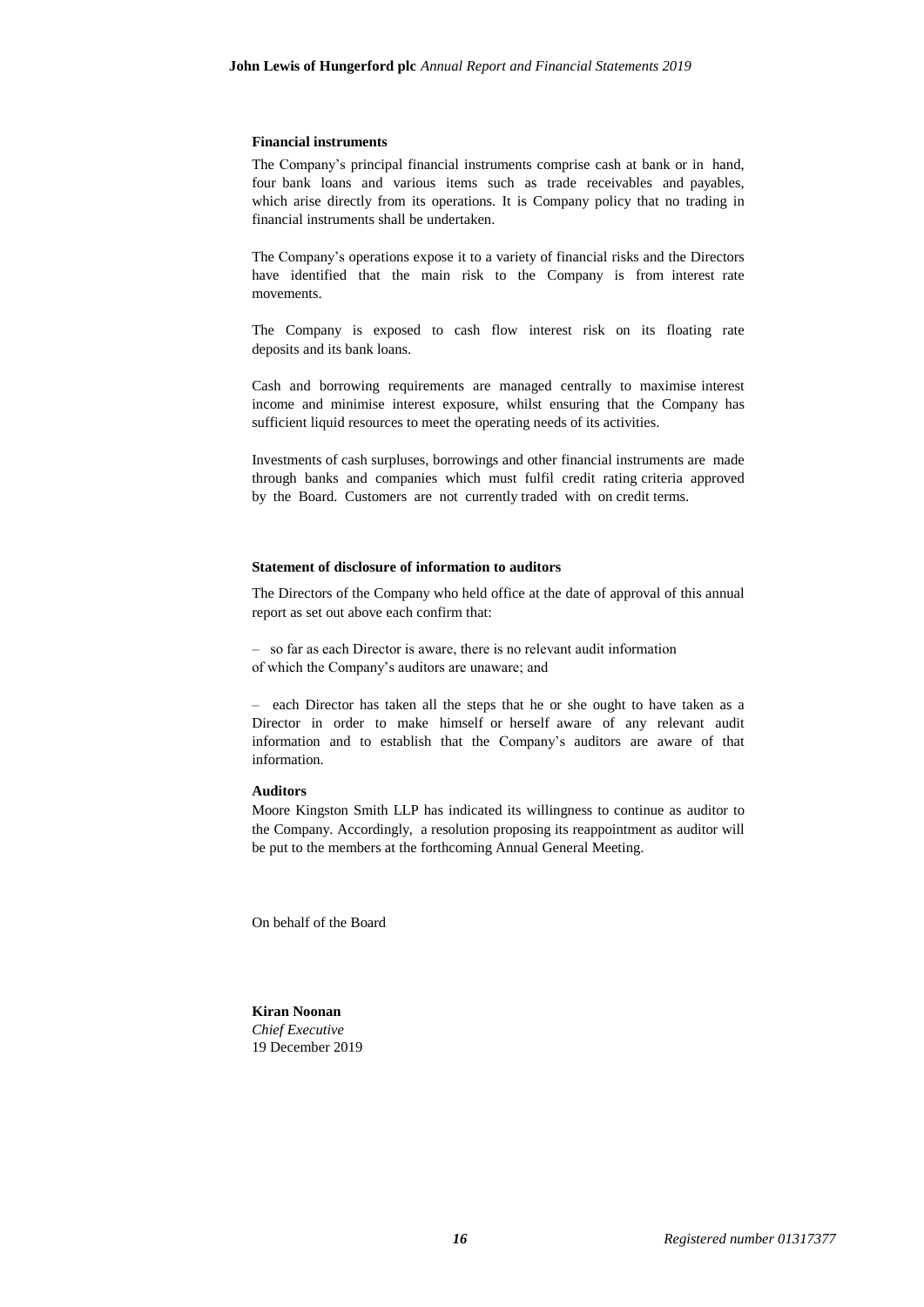#### **Financial instruments**

The Company's principal financial instruments comprise cash at bank or in hand, four bank loans and various items such as trade receivables and payables, which arise directly from its operations. It is Company policy that no trading in financial instruments shall be undertaken.

The Company's operations expose it to a variety of financial risks and the Directors have identified that the main risk to the Company is from interest rate movements.

The Company is exposed to cash flow interest risk on its floating rate deposits and its bank loans.

Cash and borrowing requirements are managed centrally to maximise interest income and minimise interest exposure, whilst ensuring that the Company has sufficient liquid resources to meet the operating needs of its activities.

Investments of cash surpluses, borrowings and other financial instruments are made through banks and companies which must fulfil credit rating criteria approved by the Board. Customers are not currently traded with on credit terms.

#### **Statement of disclosure of information to auditors**

The Directors of the Company who held office at the date of approval of this annual report as set out above each confirm that:

– so far as each Director is aware, there is no relevant audit information of which the Company's auditors are unaware; and

– each Director has taken all the steps that he or she ought to have taken as a Director in order to make himself or herself aware of any relevant audit information and to establish that the Company's auditors are aware of that information.

#### **Auditors**

Moore Kingston Smith LLP has indicated its willingness to continue as auditor to the Company. Accordingly, a resolution proposing its reappointment as auditor will be put to the members at the forthcoming Annual General Meeting.

On behalf of the Board

**Kiran Noonan** *Chief Executive* 19 December 2019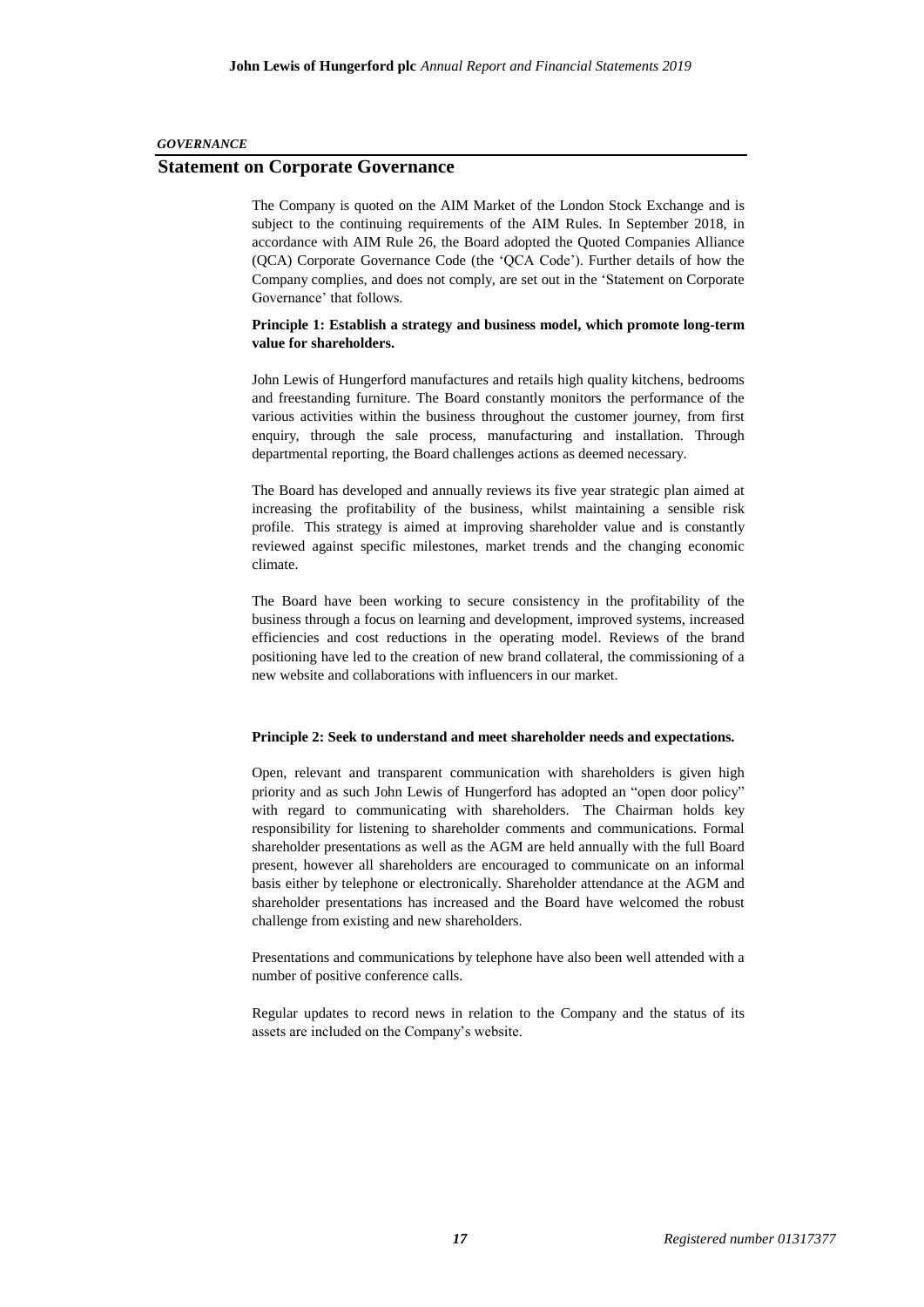#### *GOVERNANCE*

## **Statement on Corporate Governance**

The Company is quoted on the AIM Market of the London Stock Exchange and is subject to the continuing requirements of the AIM Rules. In September 2018, in accordance with AIM Rule 26, the Board adopted the Quoted Companies Alliance (QCA) Corporate Governance Code (the 'QCA Code'). Further details of how the Company complies, and does not comply, are set out in the 'Statement on Corporate Governance' that follows.

### **Principle 1: Establish a strategy and business model, which promote long-term value for shareholders.**

John Lewis of Hungerford manufactures and retails high quality kitchens, bedrooms and freestanding furniture. The Board constantly monitors the performance of the various activities within the business throughout the customer journey, from first enquiry, through the sale process, manufacturing and installation. Through departmental reporting, the Board challenges actions as deemed necessary.

The Board has developed and annually reviews its five year strategic plan aimed at increasing the profitability of the business, whilst maintaining a sensible risk profile. This strategy is aimed at improving shareholder value and is constantly reviewed against specific milestones, market trends and the changing economic climate.

The Board have been working to secure consistency in the profitability of the business through a focus on learning and development, improved systems, increased efficiencies and cost reductions in the operating model. Reviews of the brand positioning have led to the creation of new brand collateral, the commissioning of a new website and collaborations with influencers in our market.

#### **Principle 2: Seek to understand and meet shareholder needs and expectations.**

Open, relevant and transparent communication with shareholders is given high priority and as such John Lewis of Hungerford has adopted an "open door policy" with regard to communicating with shareholders. The Chairman holds key responsibility for listening to shareholder comments and communications. Formal shareholder presentations as well as the AGM are held annually with the full Board present, however all shareholders are encouraged to communicate on an informal basis either by telephone or electronically. Shareholder attendance at the AGM and shareholder presentations has increased and the Board have welcomed the robust challenge from existing and new shareholders.

Presentations and communications by telephone have also been well attended with a number of positive conference calls.

Regular updates to record news in relation to the Company and the status of its assets are included on the Company's website.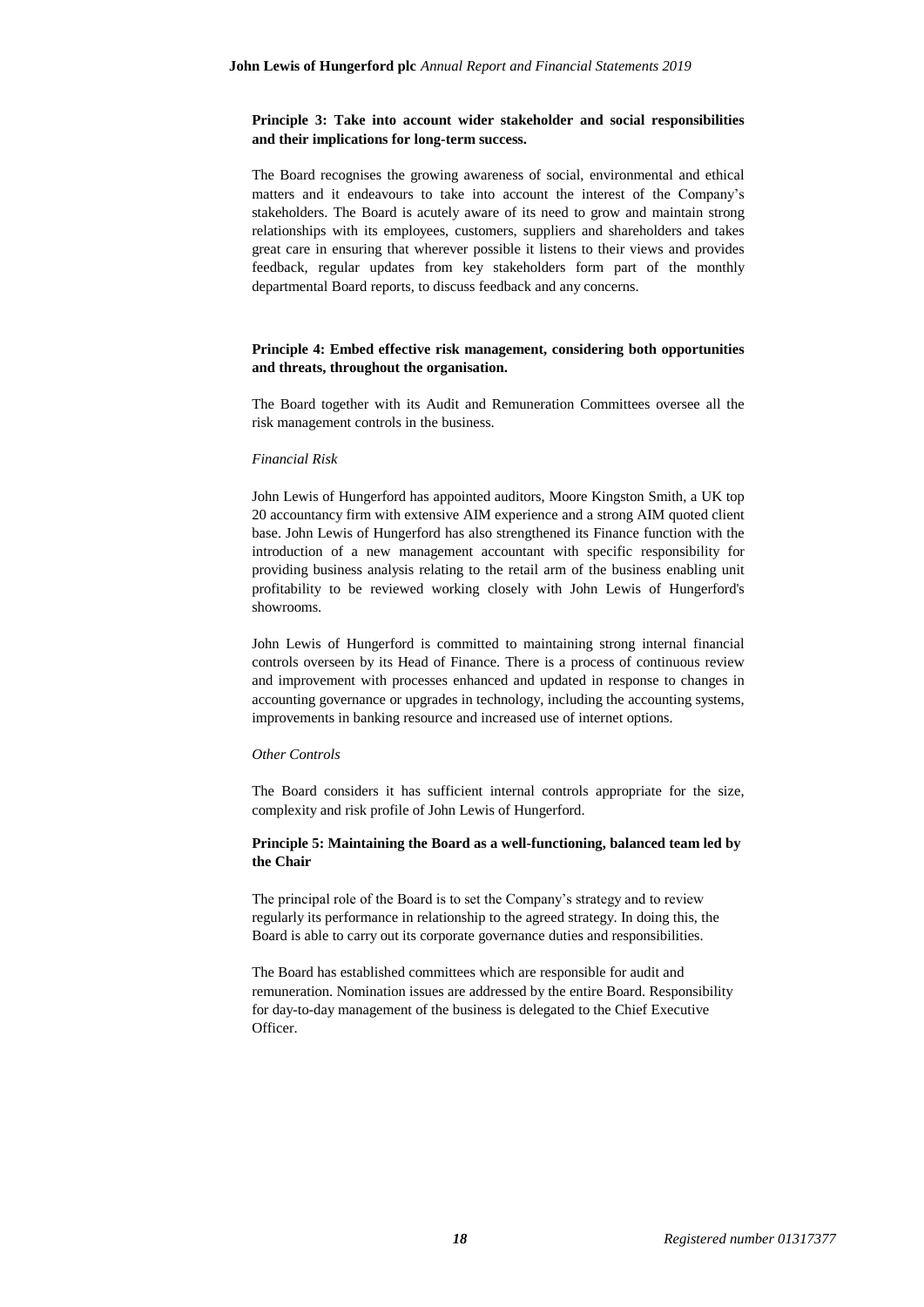## **Principle 3: Take into account wider stakeholder and social responsibilities and their implications for long-term success.**

The Board recognises the growing awareness of social, environmental and ethical matters and it endeavours to take into account the interest of the Company's stakeholders. The Board is acutely aware of its need to grow and maintain strong relationships with its employees, customers, suppliers and shareholders and takes great care in ensuring that wherever possible it listens to their views and provides feedback, regular updates from key stakeholders form part of the monthly departmental Board reports, to discuss feedback and any concerns.

## **Principle 4: Embed effective risk management, considering both opportunities and threats, throughout the organisation.**

The Board together with its Audit and Remuneration Committees oversee all the risk management controls in the business.

#### *Financial Risk*

John Lewis of Hungerford has appointed auditors, Moore Kingston Smith, a UK top 20 accountancy firm with extensive AIM experience and a strong AIM quoted client base. John Lewis of Hungerford has also strengthened its Finance function with the introduction of a new management accountant with specific responsibility for providing business analysis relating to the retail arm of the business enabling unit profitability to be reviewed working closely with John Lewis of Hungerford's showrooms.

John Lewis of Hungerford is committed to maintaining strong internal financial controls overseen by its Head of Finance. There is a process of continuous review and improvement with processes enhanced and updated in response to changes in accounting governance or upgrades in technology, including the accounting systems, improvements in banking resource and increased use of internet options.

#### *Other Controls*

The Board considers it has sufficient internal controls appropriate for the size, complexity and risk profile of John Lewis of Hungerford.

## **Principle 5: Maintaining the Board as a well-functioning, balanced team led by the Chair**

The principal role of the Board is to set the Company's strategy and to review regularly its performance in relationship to the agreed strategy. In doing this, the Board is able to carry out its corporate governance duties and responsibilities.

The Board has established committees which are responsible for audit and remuneration. Nomination issues are addressed by the entire Board. Responsibility for day-to-day management of the business is delegated to the Chief Executive Officer.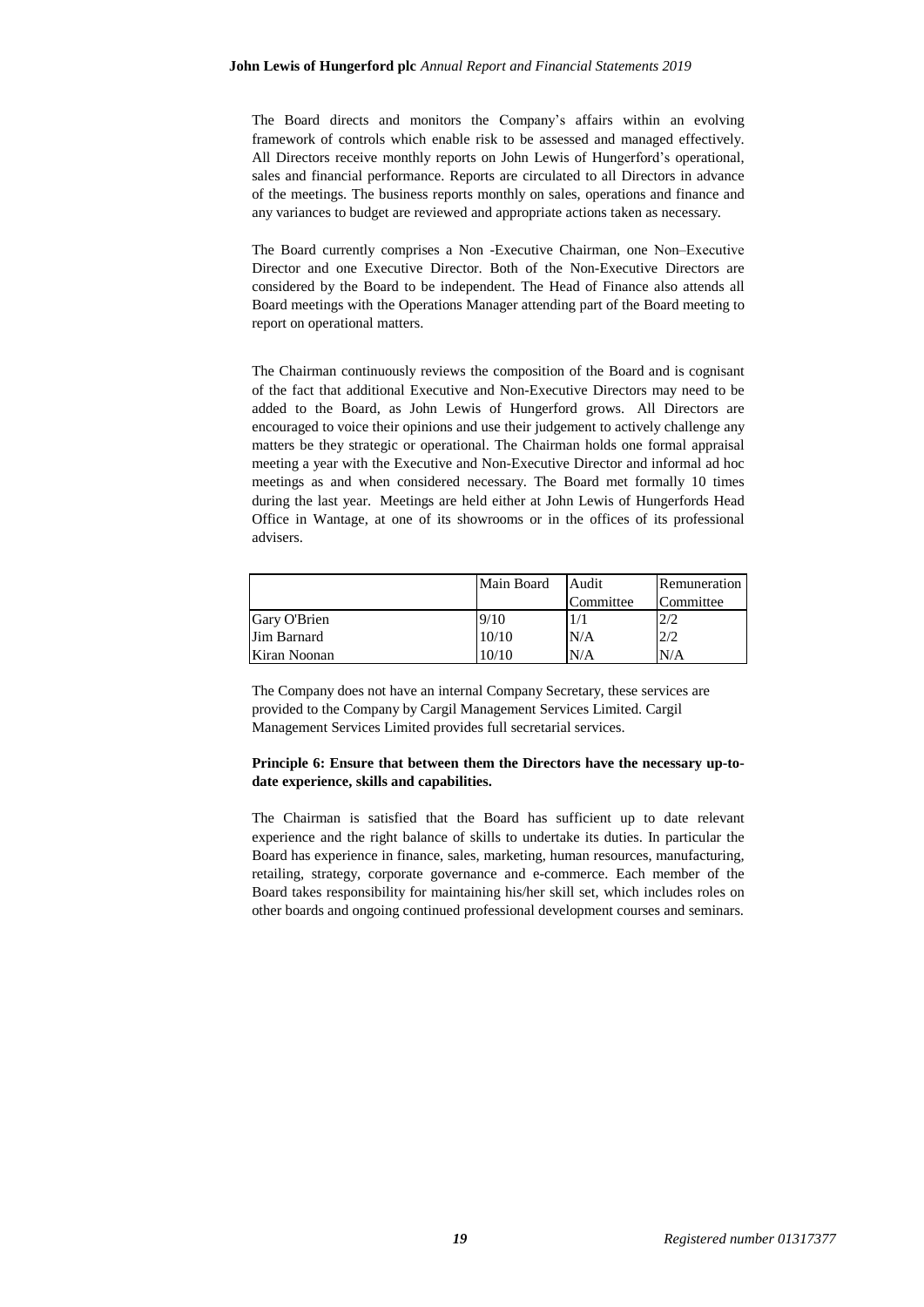The Board directs and monitors the Company's affairs within an evolving framework of controls which enable risk to be assessed and managed effectively. All Directors receive monthly reports on John Lewis of Hungerford's operational, sales and financial performance. Reports are circulated to all Directors in advance of the meetings. The business reports monthly on sales, operations and finance and any variances to budget are reviewed and appropriate actions taken as necessary.

The Board currently comprises a Non -Executive Chairman, one Non–Executive Director and one Executive Director. Both of the Non-Executive Directors are considered by the Board to be independent. The Head of Finance also attends all Board meetings with the Operations Manager attending part of the Board meeting to report on operational matters.

The Chairman continuously reviews the composition of the Board and is cognisant of the fact that additional Executive and Non-Executive Directors may need to be added to the Board, as John Lewis of Hungerford grows. All Directors are encouraged to voice their opinions and use their judgement to actively challenge any matters be they strategic or operational. The Chairman holds one formal appraisal meeting a year with the Executive and Non-Executive Director and informal ad hoc meetings as and when considered necessary. The Board met formally 10 times during the last year. Meetings are held either at John Lewis of Hungerfords Head Office in Wantage, at one of its showrooms or in the offices of its professional advisers.

|              | Main Board | Audit     | Remuneration |
|--------------|------------|-----------|--------------|
|              |            | Committee | Committee    |
| Gary O'Brien | 9/10       |           | 2/2          |
| Jim Barnard  | 10/10      | N/A       | 2/2          |
| Kiran Noonan | 10/10      | N/A       | N/A          |

The Company does not have an internal Company Secretary, these services are provided to the Company by Cargil Management Services Limited. Cargil Management Services Limited provides full secretarial services.

#### **Principle 6: Ensure that between them the Directors have the necessary up-todate experience, skills and capabilities.**

The Chairman is satisfied that the Board has sufficient up to date relevant experience and the right balance of skills to undertake its duties. In particular the Board has experience in finance, sales, marketing, human resources, manufacturing, retailing, strategy, corporate governance and e-commerce. Each member of the Board takes responsibility for maintaining his/her skill set, which includes roles on other boards and ongoing continued professional development courses and seminars.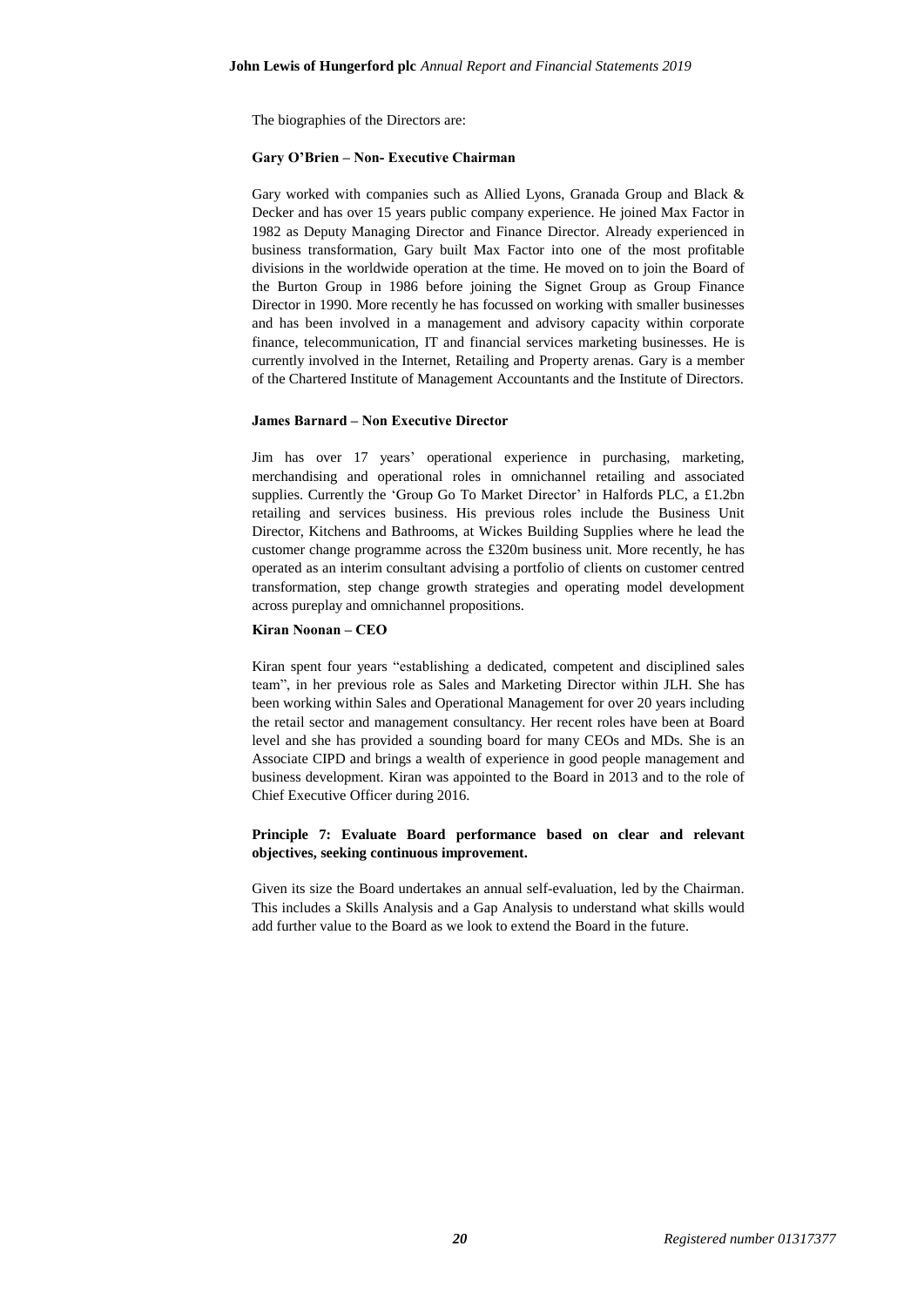The biographies of the Directors are:

#### **Gary O'Brien – Non- Executive Chairman**

Gary worked with companies such as Allied Lyons, Granada Group and Black & Decker and has over 15 years public company experience. He joined Max Factor in 1982 as Deputy Managing Director and Finance Director. Already experienced in business transformation, Gary built Max Factor into one of the most profitable divisions in the worldwide operation at the time. He moved on to join the Board of the Burton Group in 1986 before joining the Signet Group as Group Finance Director in 1990. More recently he has focussed on working with smaller businesses and has been involved in a management and advisory capacity within corporate finance, telecommunication, IT and financial services marketing businesses. He is currently involved in the Internet, Retailing and Property arenas. Gary is a member of the Chartered Institute of Management Accountants and the Institute of Directors.

#### **James Barnard – Non Executive Director**

Jim has over 17 years' operational experience in purchasing, marketing, merchandising and operational roles in omnichannel retailing and associated supplies. Currently the 'Group Go To Market Director' in Halfords PLC, a £1.2bn retailing and services business. His previous roles include the Business Unit Director, Kitchens and Bathrooms, at Wickes Building Supplies where he lead the customer change programme across the £320m business unit. More recently, he has operated as an interim consultant advising a portfolio of clients on customer centred transformation, step change growth strategies and operating model development across pureplay and omnichannel propositions.

#### **Kiran Noonan – CEO**

Kiran spent four years "establishing a dedicated, competent and disciplined sales team", in her previous role as Sales and Marketing Director within JLH. She has been working within Sales and Operational Management for over 20 years including the retail sector and management consultancy. Her recent roles have been at Board level and she has provided a sounding board for many CEOs and MDs. She is an Associate CIPD and brings a wealth of experience in good people management and business development. Kiran was appointed to the Board in 2013 and to the role of Chief Executive Officer during 2016.

## **Principle 7: Evaluate Board performance based on clear and relevant objectives, seeking continuous improvement.**

Given its size the Board undertakes an annual self-evaluation, led by the Chairman. This includes a Skills Analysis and a Gap Analysis to understand what skills would add further value to the Board as we look to extend the Board in the future.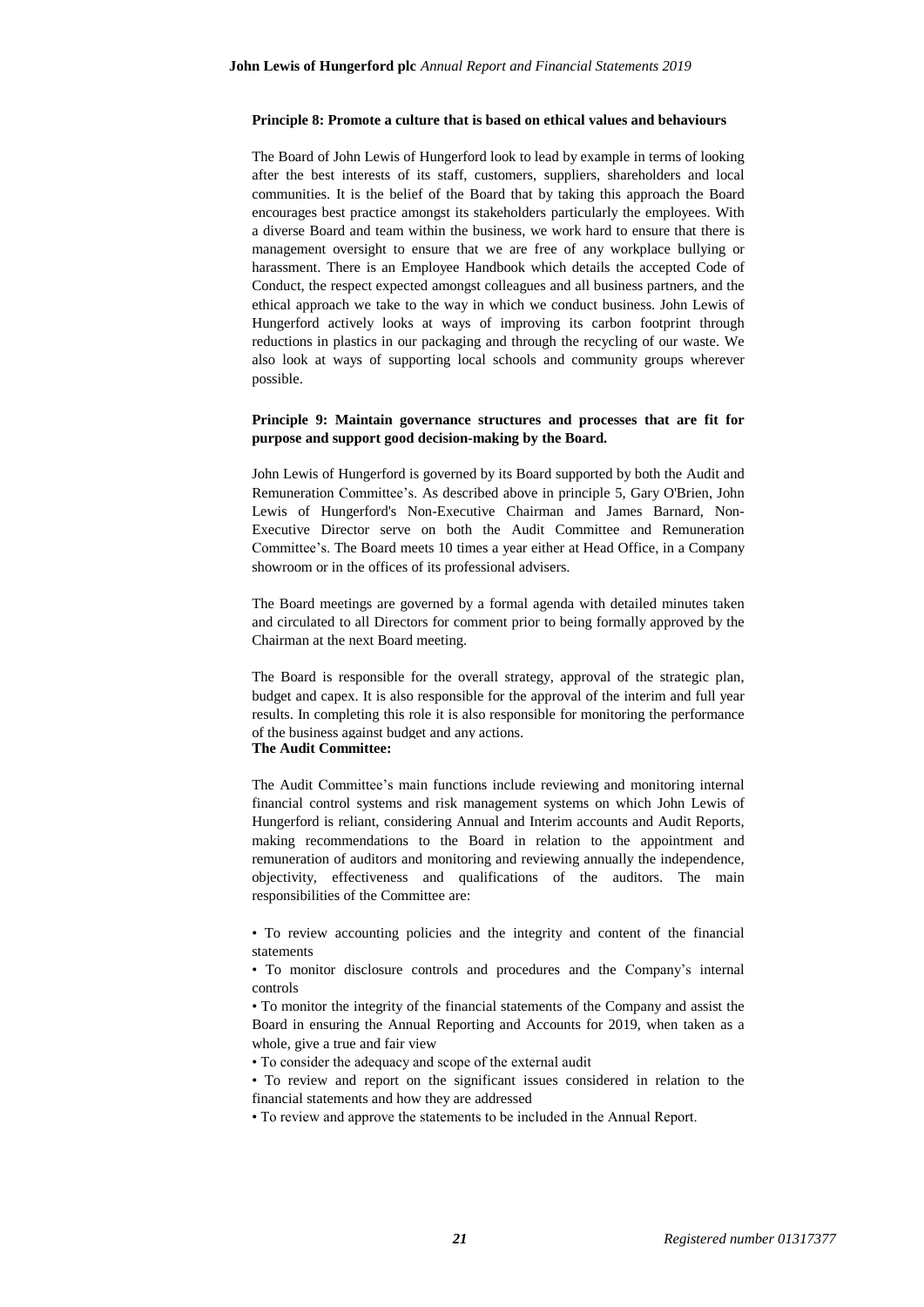#### **Principle 8: Promote a culture that is based on ethical values and behaviours**

The Board of John Lewis of Hungerford look to lead by example in terms of looking after the best interests of its staff, customers, suppliers, shareholders and local communities. It is the belief of the Board that by taking this approach the Board encourages best practice amongst its stakeholders particularly the employees. With a diverse Board and team within the business, we work hard to ensure that there is management oversight to ensure that we are free of any workplace bullying or harassment. There is an Employee Handbook which details the accepted Code of Conduct, the respect expected amongst colleagues and all business partners, and the ethical approach we take to the way in which we conduct business. John Lewis of Hungerford actively looks at ways of improving its carbon footprint through reductions in plastics in our packaging and through the recycling of our waste. We also look at ways of supporting local schools and community groups wherever possible.

## **Principle 9: Maintain governance structures and processes that are fit for purpose and support good decision-making by the Board.**

John Lewis of Hungerford is governed by its Board supported by both the Audit and Remuneration Committee's. As described above in principle 5, Gary O'Brien, John Lewis of Hungerford's Non-Executive Chairman and James Barnard, Non-Executive Director serve on both the Audit Committee and Remuneration Committee's. The Board meets 10 times a year either at Head Office, in a Company showroom or in the offices of its professional advisers.

The Board meetings are governed by a formal agenda with detailed minutes taken and circulated to all Directors for comment prior to being formally approved by the Chairman at the next Board meeting.

The Board is responsible for the overall strategy, approval of the strategic plan, budget and capex. It is also responsible for the approval of the interim and full year results. In completing this role it is also responsible for monitoring the performance of the business against budget and any actions. **The Audit Committee:** 

The Audit Committee's main functions include reviewing and monitoring internal financial control systems and risk management systems on which John Lewis of Hungerford is reliant, considering Annual and Interim accounts and Audit Reports, making recommendations to the Board in relation to the appointment and remuneration of auditors and monitoring and reviewing annually the independence, objectivity, effectiveness and qualifications of the auditors. The main responsibilities of the Committee are:

• To review accounting policies and the integrity and content of the financial statements

• To monitor disclosure controls and procedures and the Company's internal controls

• To monitor the integrity of the financial statements of the Company and assist the Board in ensuring the Annual Reporting and Accounts for 2019, when taken as a whole, give a true and fair view

• To consider the adequacy and scope of the external audit

• To review and report on the significant issues considered in relation to the financial statements and how they are addressed

• To review and approve the statements to be included in the Annual Report.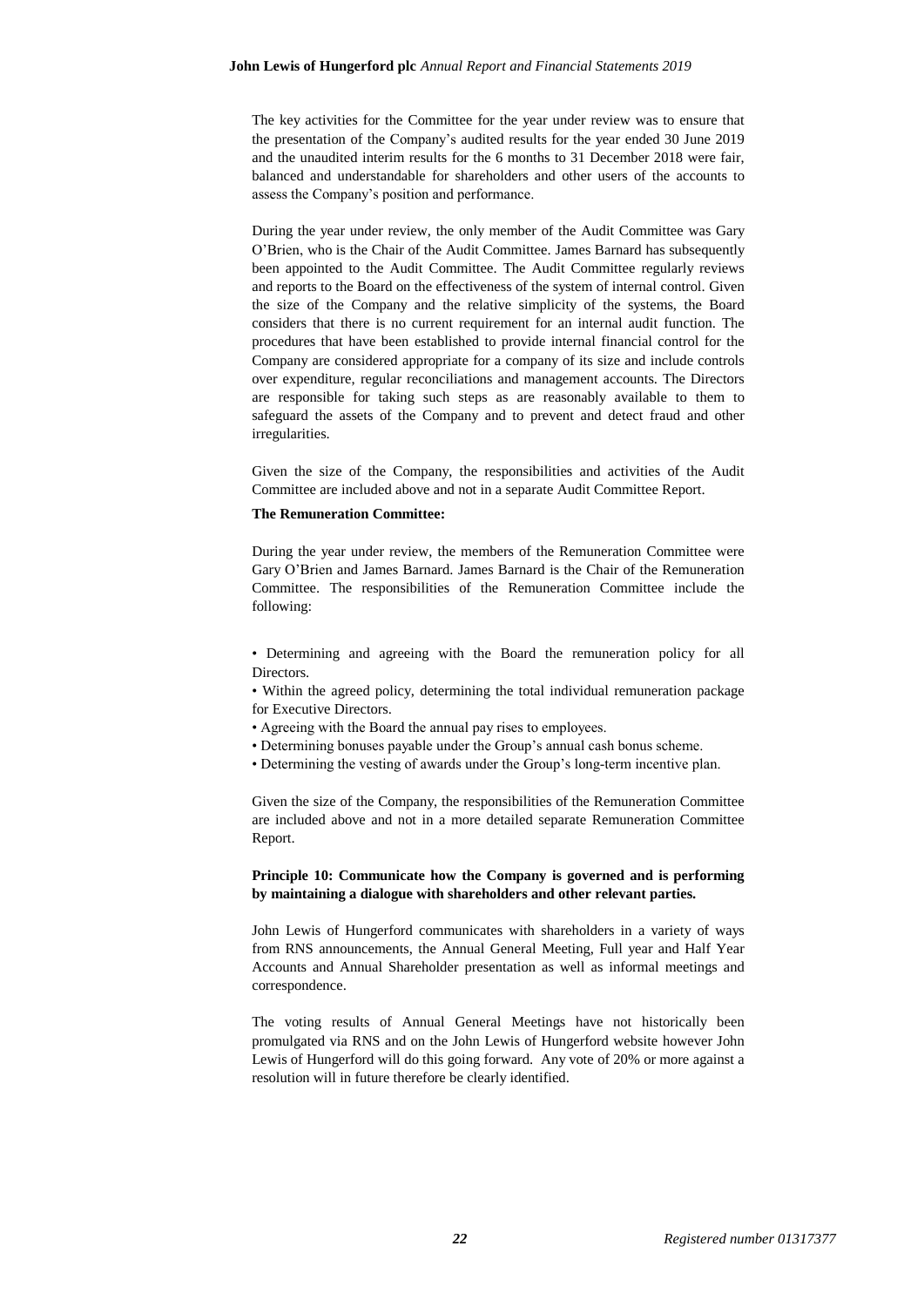The key activities for the Committee for the year under review was to ensure that the presentation of the Company's audited results for the year ended 30 June 2019 and the unaudited interim results for the 6 months to 31 December 2018 were fair, balanced and understandable for shareholders and other users of the accounts to assess the Company's position and performance.

During the year under review, the only member of the Audit Committee was Gary O'Brien, who is the Chair of the Audit Committee. James Barnard has subsequently been appointed to the Audit Committee. The Audit Committee regularly reviews and reports to the Board on the effectiveness of the system of internal control. Given the size of the Company and the relative simplicity of the systems, the Board considers that there is no current requirement for an internal audit function. The procedures that have been established to provide internal financial control for the Company are considered appropriate for a company of its size and include controls over expenditure, regular reconciliations and management accounts. The Directors are responsible for taking such steps as are reasonably available to them to safeguard the assets of the Company and to prevent and detect fraud and other irregularities.

Given the size of the Company, the responsibilities and activities of the Audit Committee are included above and not in a separate Audit Committee Report.

#### **The Remuneration Committee:**

During the year under review, the members of the Remuneration Committee were Gary O'Brien and James Barnard. James Barnard is the Chair of the Remuneration Committee. The responsibilities of the Remuneration Committee include the following:

• Determining and agreeing with the Board the remuneration policy for all Directors.

• Within the agreed policy, determining the total individual remuneration package for Executive Directors.

• Agreeing with the Board the annual pay rises to employees.

- Determining bonuses payable under the Group's annual cash bonus scheme.
- Determining the vesting of awards under the Group's long-term incentive plan.

Given the size of the Company, the responsibilities of the Remuneration Committee are included above and not in a more detailed separate Remuneration Committee Report.

#### **Principle 10: Communicate how the Company is governed and is performing by maintaining a dialogue with shareholders and other relevant parties.**

John Lewis of Hungerford communicates with shareholders in a variety of ways from RNS announcements, the Annual General Meeting, Full year and Half Year Accounts and Annual Shareholder presentation as well as informal meetings and correspondence.

The voting results of Annual General Meetings have not historically been promulgated via RNS and on the John Lewis of Hungerford website however John Lewis of Hungerford will do this going forward. Any vote of 20% or more against a resolution will in future therefore be clearly identified.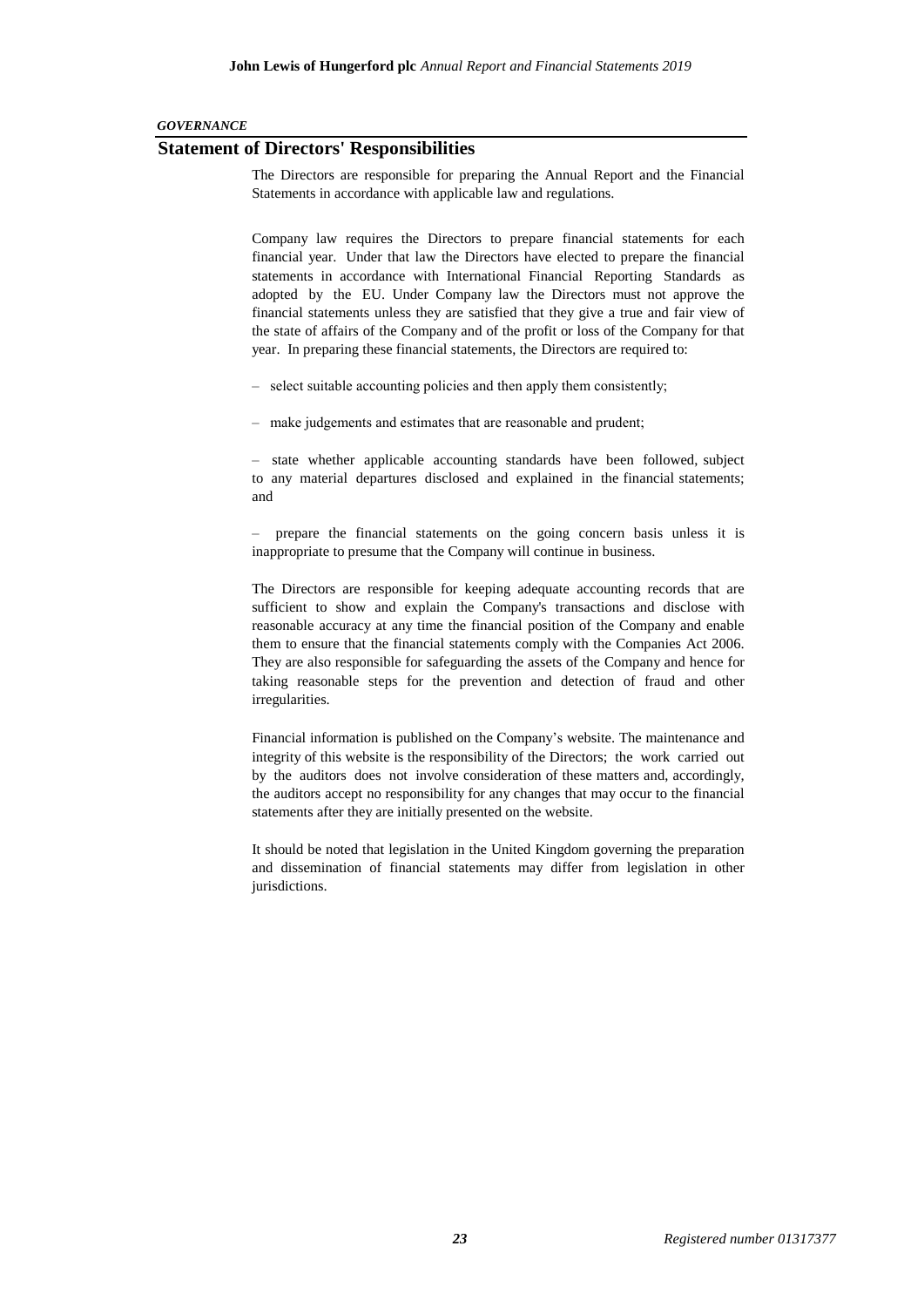#### *GOVERNANCE*

## **Statement of Directors' Responsibilities**

The Directors are responsible for preparing the Annual Report and the Financial Statements in accordance with applicable law and regulations.

Company law requires the Directors to prepare financial statements for each financial year. Under that law the Directors have elected to prepare the financial statements in accordance with International Financial Reporting Standards as adopted by the EU. Under Company law the Directors must not approve the financial statements unless they are satisfied that they give a true and fair view of the state of affairs of the Company and of the profit or loss of the Company for that year. In preparing these financial statements, the Directors are required to:

- select suitable accounting policies and then apply them consistently;
- make judgements and estimates that are reasonable and prudent;

– state whether applicable accounting standards have been followed, subject to any material departures disclosed and explained in the financial statements; and

– prepare the financial statements on the going concern basis unless it is inappropriate to presume that the Company will continue in business.

The Directors are responsible for keeping adequate accounting records that are sufficient to show and explain the Company's transactions and disclose with reasonable accuracy at any time the financial position of the Company and enable them to ensure that the financial statements comply with the Companies Act 2006. They are also responsible for safeguarding the assets of the Company and hence for taking reasonable steps for the prevention and detection of fraud and other irregularities.

Financial information is published on the Company's website. The maintenance and integrity of this website is the responsibility of the Directors; the work carried out by the auditors does not involve consideration of these matters and, accordingly, the auditors accept no responsibility for any changes that may occur to the financial statements after they are initially presented on the website.

It should be noted that legislation in the United Kingdom governing the preparation and dissemination of financial statements may differ from legislation in other jurisdictions.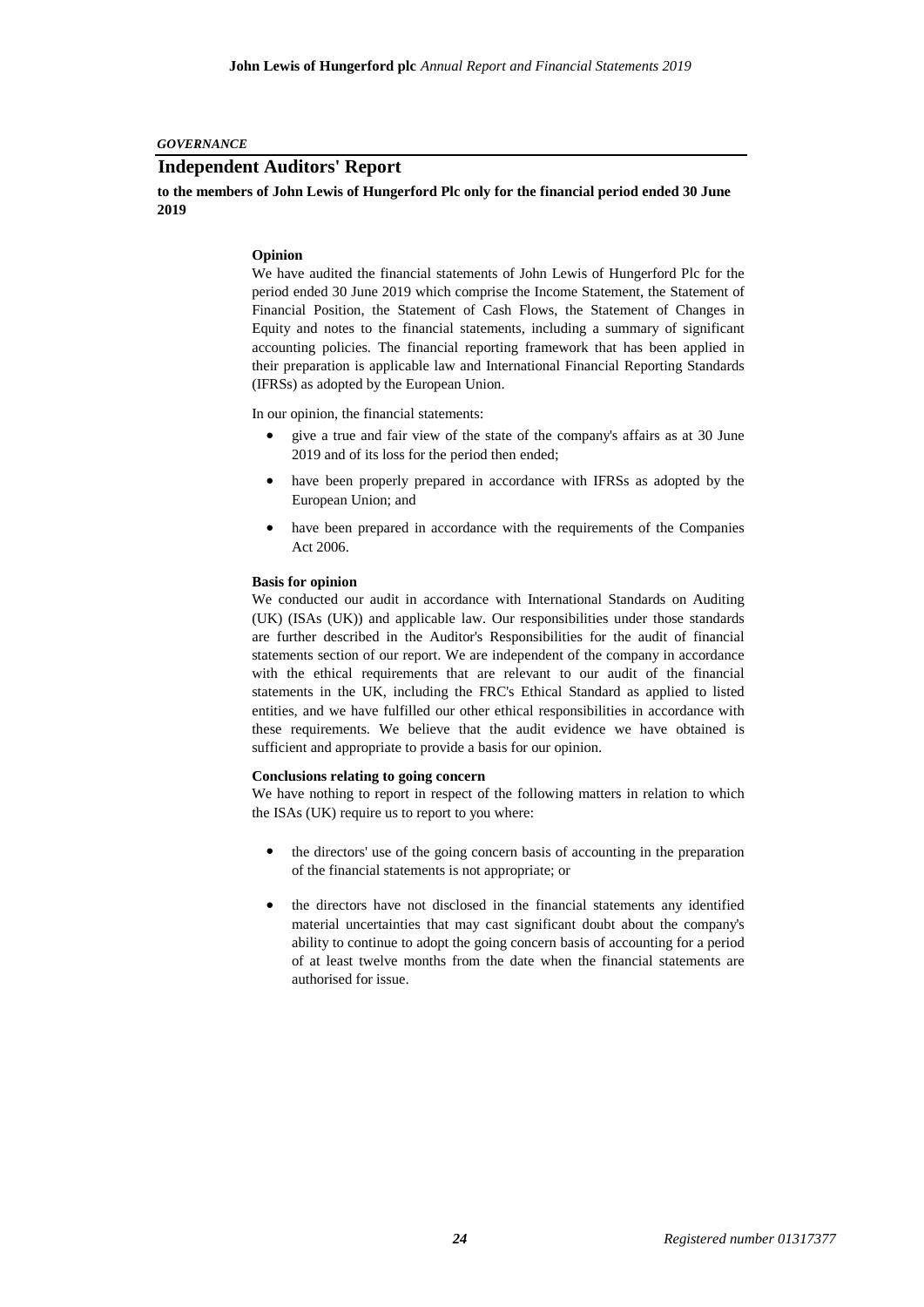#### *GOVERNANCE*

## **Independent Auditors' Report**

**to the members of John Lewis of Hungerford Plc only for the financial period ended 30 June 2019**

## **Opinion**

We have audited the financial statements of John Lewis of Hungerford Plc for the period ended 30 June 2019 which comprise the Income Statement, the Statement of Financial Position, the Statement of Cash Flows, the Statement of Changes in Equity and notes to the financial statements, including a summary of significant accounting policies. The financial reporting framework that has been applied in their preparation is applicable law and International Financial Reporting Standards (IFRSs) as adopted by the European Union.

In our opinion, the financial statements:

- give a true and fair view of the state of the company's affairs as at 30 June 2019 and of its loss for the period then ended;
- have been properly prepared in accordance with IFRSs as adopted by the European Union; and
- have been prepared in accordance with the requirements of the Companies Act 2006.

#### **Basis for opinion**

We conducted our audit in accordance with International Standards on Auditing (UK) (ISAs (UK)) and applicable law. Our responsibilities under those standards are further described in the Auditor's Responsibilities for the audit of financial statements section of our report. We are independent of the company in accordance with the ethical requirements that are relevant to our audit of the financial statements in the UK, including the FRC's Ethical Standard as applied to listed entities, and we have fulfilled our other ethical responsibilities in accordance with these requirements. We believe that the audit evidence we have obtained is sufficient and appropriate to provide a basis for our opinion.

#### **Conclusions relating to going concern**

We have nothing to report in respect of the following matters in relation to which the ISAs (UK) require us to report to you where:

- the directors' use of the going concern basis of accounting in the preparation of the financial statements is not appropriate; or
- the directors have not disclosed in the financial statements any identified material uncertainties that may cast significant doubt about the company's ability to continue to adopt the going concern basis of accounting for a period of at least twelve months from the date when the financial statements are authorised for issue.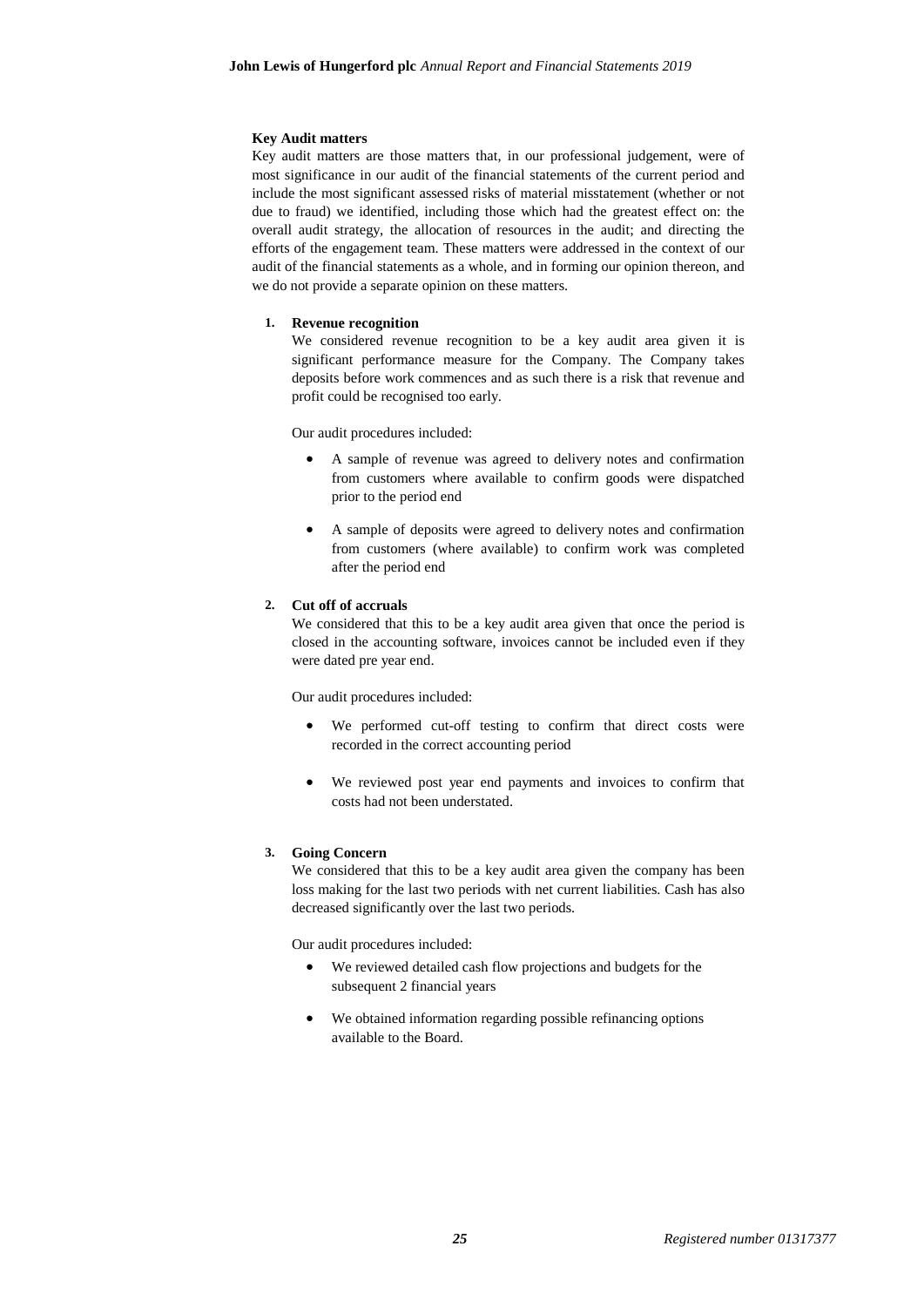#### **Key Audit matters**

Key audit matters are those matters that, in our professional judgement, were of most significance in our audit of the financial statements of the current period and include the most significant assessed risks of material misstatement (whether or not due to fraud) we identified, including those which had the greatest effect on: the overall audit strategy, the allocation of resources in the audit; and directing the efforts of the engagement team. These matters were addressed in the context of our audit of the financial statements as a whole, and in forming our opinion thereon, and we do not provide a separate opinion on these matters.

#### **1. Revenue recognition**

We considered revenue recognition to be a key audit area given it is significant performance measure for the Company. The Company takes deposits before work commences and as such there is a risk that revenue and profit could be recognised too early.

Our audit procedures included:

- A sample of revenue was agreed to delivery notes and confirmation from customers where available to confirm goods were dispatched prior to the period end
- A sample of deposits were agreed to delivery notes and confirmation from customers (where available) to confirm work was completed after the period end

#### **2. Cut off of accruals**

We considered that this to be a key audit area given that once the period is closed in the accounting software, invoices cannot be included even if they were dated pre year end.

Our audit procedures included:

- $\bullet$ We performed cut-off testing to confirm that direct costs were recorded in the correct accounting period
- We reviewed post year end payments and invoices to confirm that costs had not been understated.

#### **3. Going Concern**

We considered that this to be a key audit area given the company has been loss making for the last two periods with net current liabilities. Cash has also decreased significantly over the last two periods.

Our audit procedures included:

- We reviewed detailed cash flow projections and budgets for the subsequent 2 financial years
- We obtained information regarding possible refinancing options available to the Board.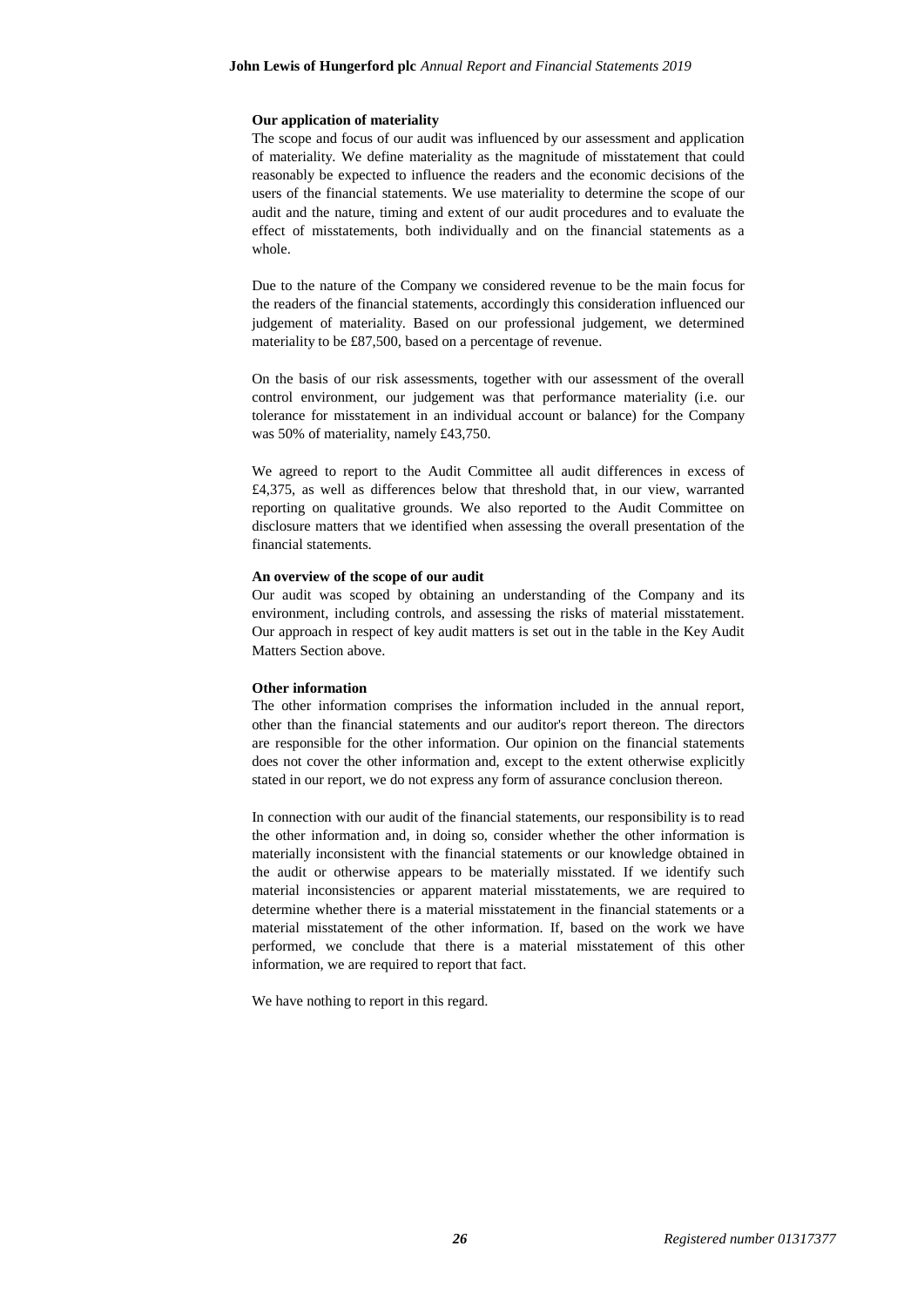#### **Our application of materiality**

The scope and focus of our audit was influenced by our assessment and application of materiality. We define materiality as the magnitude of misstatement that could reasonably be expected to influence the readers and the economic decisions of the users of the financial statements. We use materiality to determine the scope of our audit and the nature, timing and extent of our audit procedures and to evaluate the effect of misstatements, both individually and on the financial statements as a whole.

Due to the nature of the Company we considered revenue to be the main focus for the readers of the financial statements, accordingly this consideration influenced our judgement of materiality. Based on our professional judgement, we determined materiality to be £87,500, based on a percentage of revenue.

On the basis of our risk assessments, together with our assessment of the overall control environment, our judgement was that performance materiality (i.e. our tolerance for misstatement in an individual account or balance) for the Company was 50% of materiality, namely £43,750.

We agreed to report to the Audit Committee all audit differences in excess of £4,375, as well as differences below that threshold that, in our view, warranted reporting on qualitative grounds. We also reported to the Audit Committee on disclosure matters that we identified when assessing the overall presentation of the financial statements.

#### **An overview of the scope of our audit**

Our audit was scoped by obtaining an understanding of the Company and its environment, including controls, and assessing the risks of material misstatement. Our approach in respect of key audit matters is set out in the table in the Key Audit Matters Section above.

#### **Other information**

The other information comprises the information included in the annual report, other than the financial statements and our auditor's report thereon. The directors are responsible for the other information. Our opinion on the financial statements does not cover the other information and, except to the extent otherwise explicitly stated in our report, we do not express any form of assurance conclusion thereon.

In connection with our audit of the financial statements, our responsibility is to read the other information and, in doing so, consider whether the other information is materially inconsistent with the financial statements or our knowledge obtained in the audit or otherwise appears to be materially misstated. If we identify such material inconsistencies or apparent material misstatements, we are required to determine whether there is a material misstatement in the financial statements or a material misstatement of the other information. If, based on the work we have performed, we conclude that there is a material misstatement of this other information, we are required to report that fact.

We have nothing to report in this regard.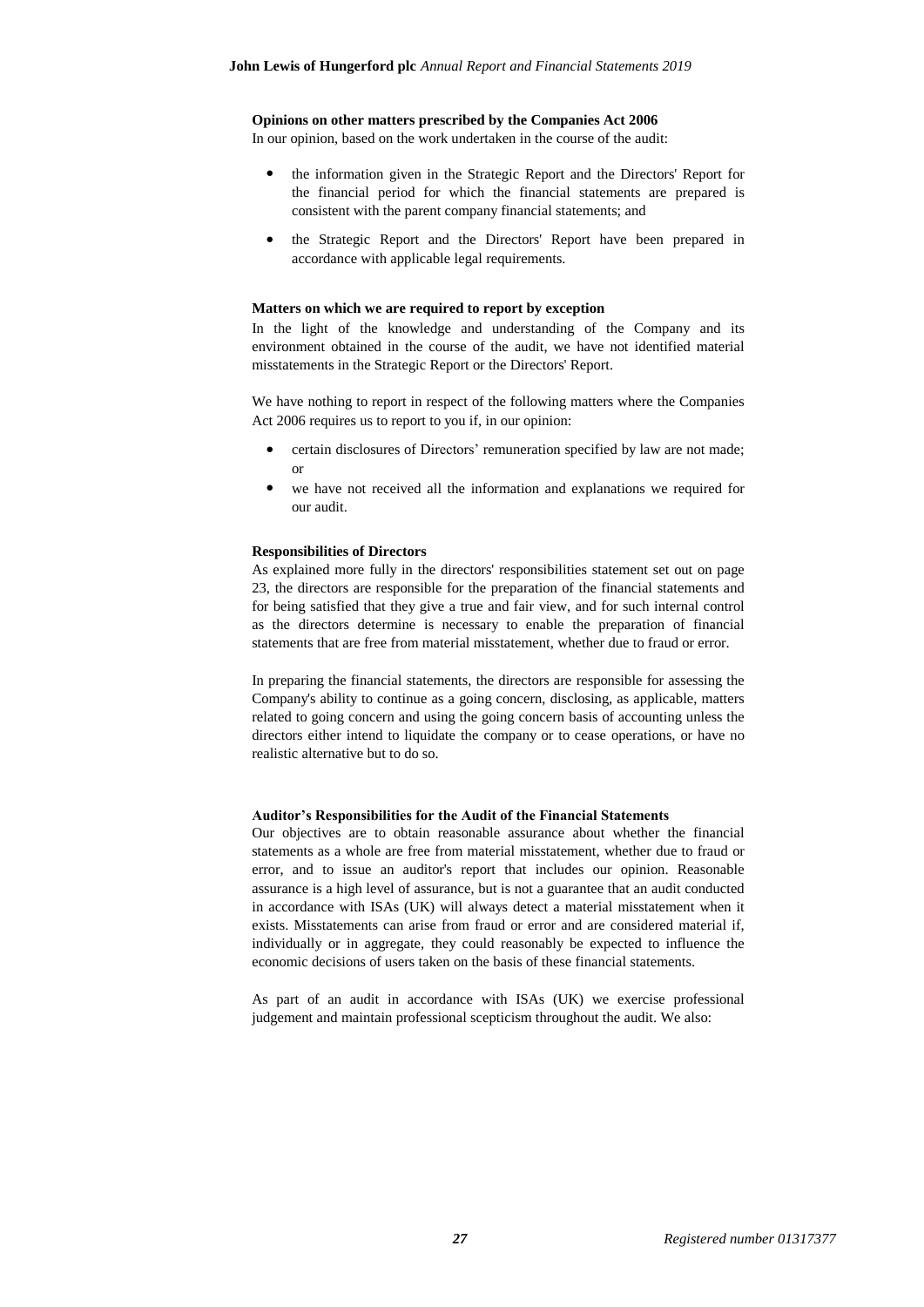#### **Opinions on other matters prescribed by the Companies Act 2006**

In our opinion, based on the work undertaken in the course of the audit:

- the information given in the Strategic Report and the Directors' Report for the financial period for which the financial statements are prepared is consistent with the parent company financial statements; and
- the Strategic Report and the Directors' Report have been prepared in accordance with applicable legal requirements.

#### **Matters on which we are required to report by exception**

In the light of the knowledge and understanding of the Company and its environment obtained in the course of the audit, we have not identified material misstatements in the Strategic Report or the Directors' Report.

We have nothing to report in respect of the following matters where the Companies Act 2006 requires us to report to you if, in our opinion:

- certain disclosures of Directors' remuneration specified by law are not made; or
- we have not received all the information and explanations we required for our audit.

#### **Responsibilities of Directors**

As explained more fully in the directors' responsibilities statement set out on page 23, the directors are responsible for the preparation of the financial statements and for being satisfied that they give a true and fair view, and for such internal control as the directors determine is necessary to enable the preparation of financial statements that are free from material misstatement, whether due to fraud or error.

In preparing the financial statements, the directors are responsible for assessing the Company's ability to continue as a going concern, disclosing, as applicable, matters related to going concern and using the going concern basis of accounting unless the directors either intend to liquidate the company or to cease operations, or have no realistic alternative but to do so.

#### **Auditor's Responsibilities for the Audit of the Financial Statements**

Our objectives are to obtain reasonable assurance about whether the financial statements as a whole are free from material misstatement, whether due to fraud or error, and to issue an auditor's report that includes our opinion. Reasonable assurance is a high level of assurance, but is not a guarantee that an audit conducted in accordance with ISAs (UK) will always detect a material misstatement when it exists. Misstatements can arise from fraud or error and are considered material if, individually or in aggregate, they could reasonably be expected to influence the economic decisions of users taken on the basis of these financial statements.

As part of an audit in accordance with ISAs (UK) we exercise professional judgement and maintain professional scepticism throughout the audit. We also: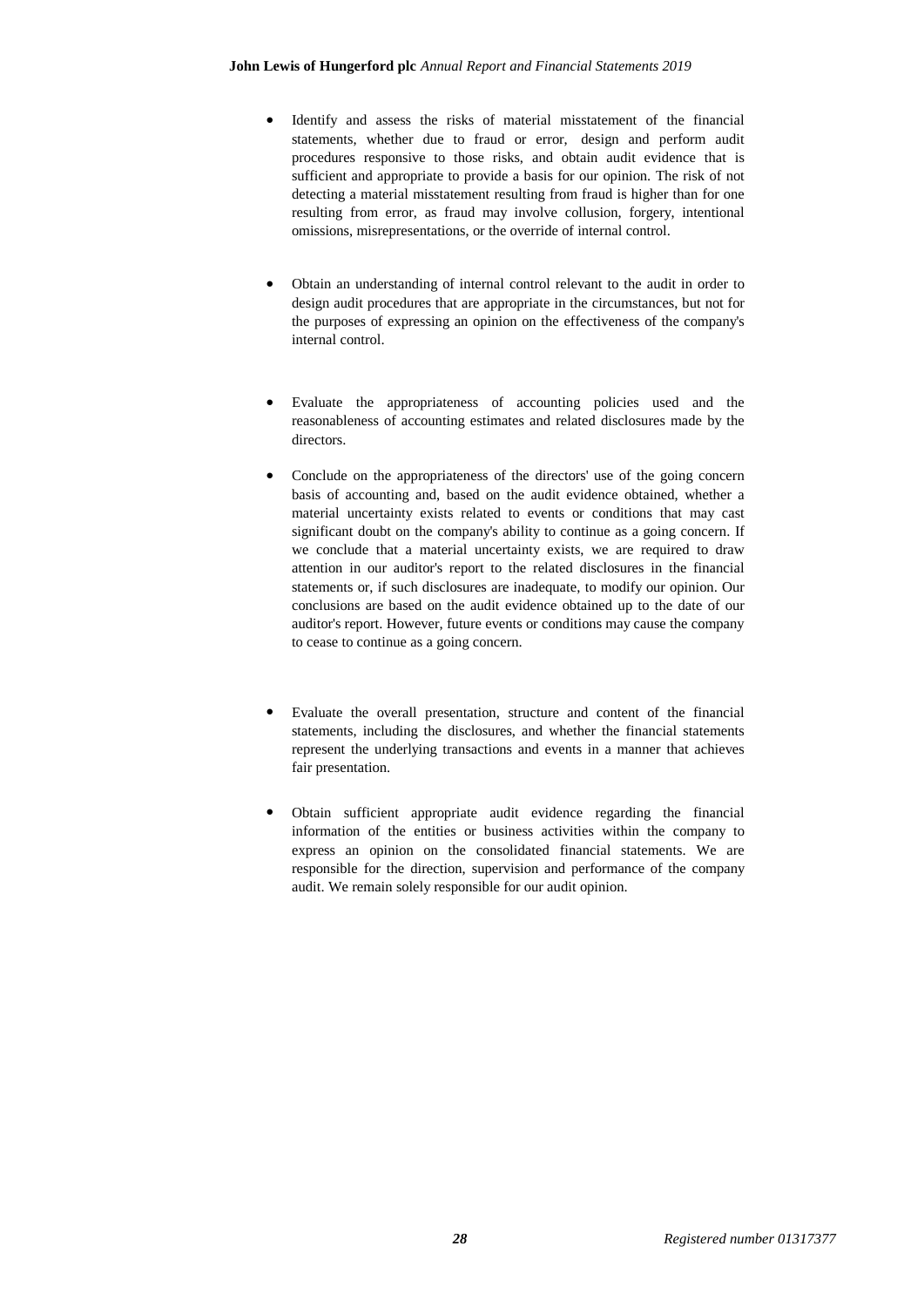- Identify and assess the risks of material misstatement of the financial statements, whether due to fraud or error, design and perform audit procedures responsive to those risks, and obtain audit evidence that is sufficient and appropriate to provide a basis for our opinion. The risk of not detecting a material misstatement resulting from fraud is higher than for one resulting from error, as fraud may involve collusion, forgery, intentional omissions, misrepresentations, or the override of internal control.
- Obtain an understanding of internal control relevant to the audit in order to design audit procedures that are appropriate in the circumstances, but not for the purposes of expressing an opinion on the effectiveness of the company's internal control.
- Evaluate the appropriateness of accounting policies used and the reasonableness of accounting estimates and related disclosures made by the directors.
- Conclude on the appropriateness of the directors' use of the going concern basis of accounting and, based on the audit evidence obtained, whether a material uncertainty exists related to events or conditions that may cast significant doubt on the company's ability to continue as a going concern. If we conclude that a material uncertainty exists, we are required to draw attention in our auditor's report to the related disclosures in the financial statements or, if such disclosures are inadequate, to modify our opinion. Our conclusions are based on the audit evidence obtained up to the date of our auditor's report. However, future events or conditions may cause the company to cease to continue as a going concern.
- Evaluate the overall presentation, structure and content of the financial statements, including the disclosures, and whether the financial statements represent the underlying transactions and events in a manner that achieves fair presentation.
- $\bullet$ Obtain sufficient appropriate audit evidence regarding the financial information of the entities or business activities within the company to express an opinion on the consolidated financial statements. We are responsible for the direction, supervision and performance of the company audit. We remain solely responsible for our audit opinion.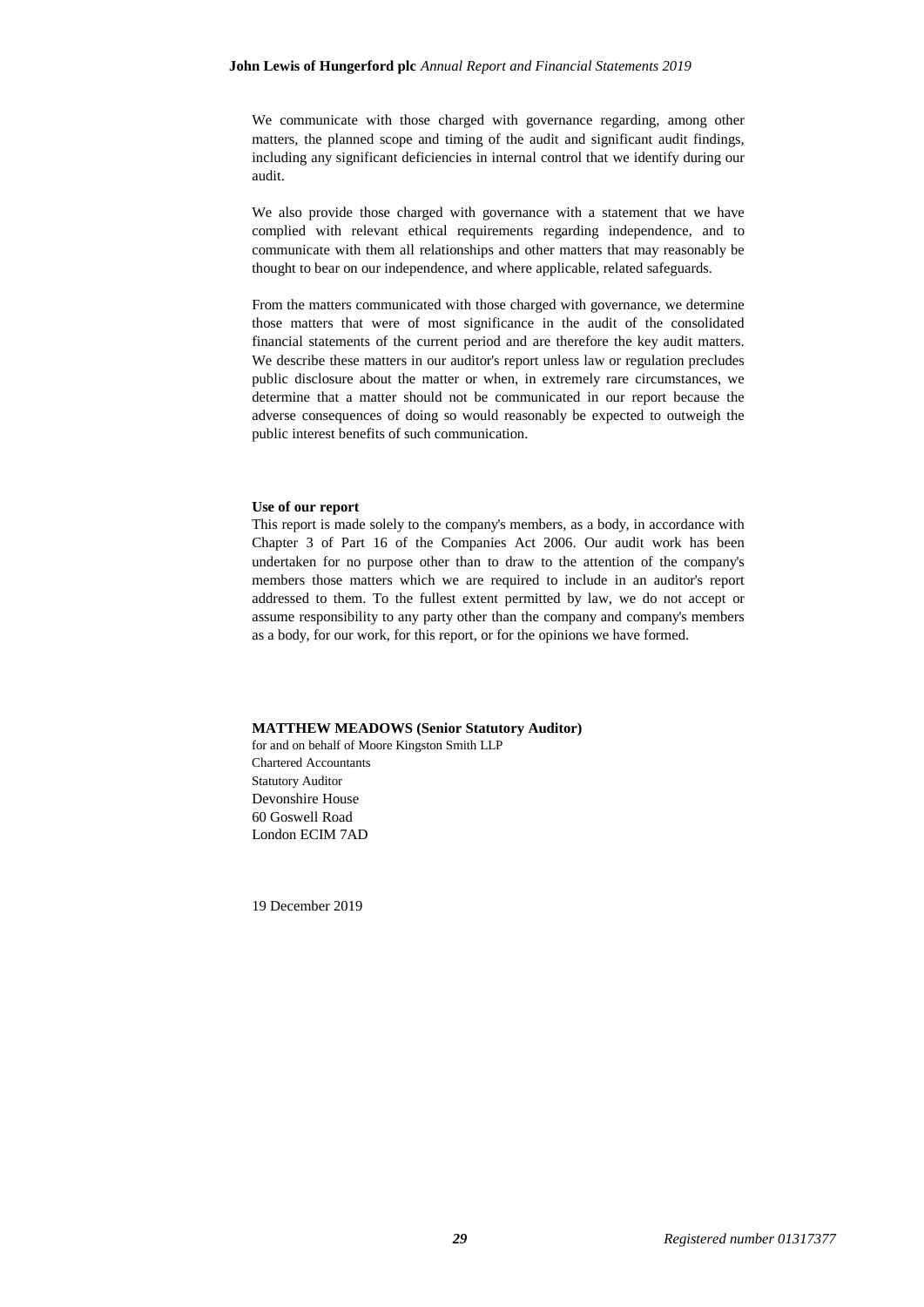We communicate with those charged with governance regarding, among other matters, the planned scope and timing of the audit and significant audit findings, including any significant deficiencies in internal control that we identify during our audit.

We also provide those charged with governance with a statement that we have complied with relevant ethical requirements regarding independence, and to communicate with them all relationships and other matters that may reasonably be thought to bear on our independence, and where applicable, related safeguards.

From the matters communicated with those charged with governance, we determine those matters that were of most significance in the audit of the consolidated financial statements of the current period and are therefore the key audit matters. We describe these matters in our auditor's report unless law or regulation precludes public disclosure about the matter or when, in extremely rare circumstances, we determine that a matter should not be communicated in our report because the adverse consequences of doing so would reasonably be expected to outweigh the public interest benefits of such communication.

#### **Use of our report**

This report is made solely to the company's members, as a body, in accordance with Chapter 3 of Part 16 of the Companies Act 2006. Our audit work has been undertaken for no purpose other than to draw to the attention of the company's members those matters which we are required to include in an auditor's report addressed to them. To the fullest extent permitted by law, we do not accept or assume responsibility to any party other than the company and company's members as a body, for our work, for this report, or for the opinions we have formed.

## **MATTHEW MEADOWS (Senior Statutory Auditor)**

for and on behalf of Moore Kingston Smith LLP Chartered Accountants Statutory Auditor Devonshire House 60 Goswell Road London ECIM 7AD

19 December 2019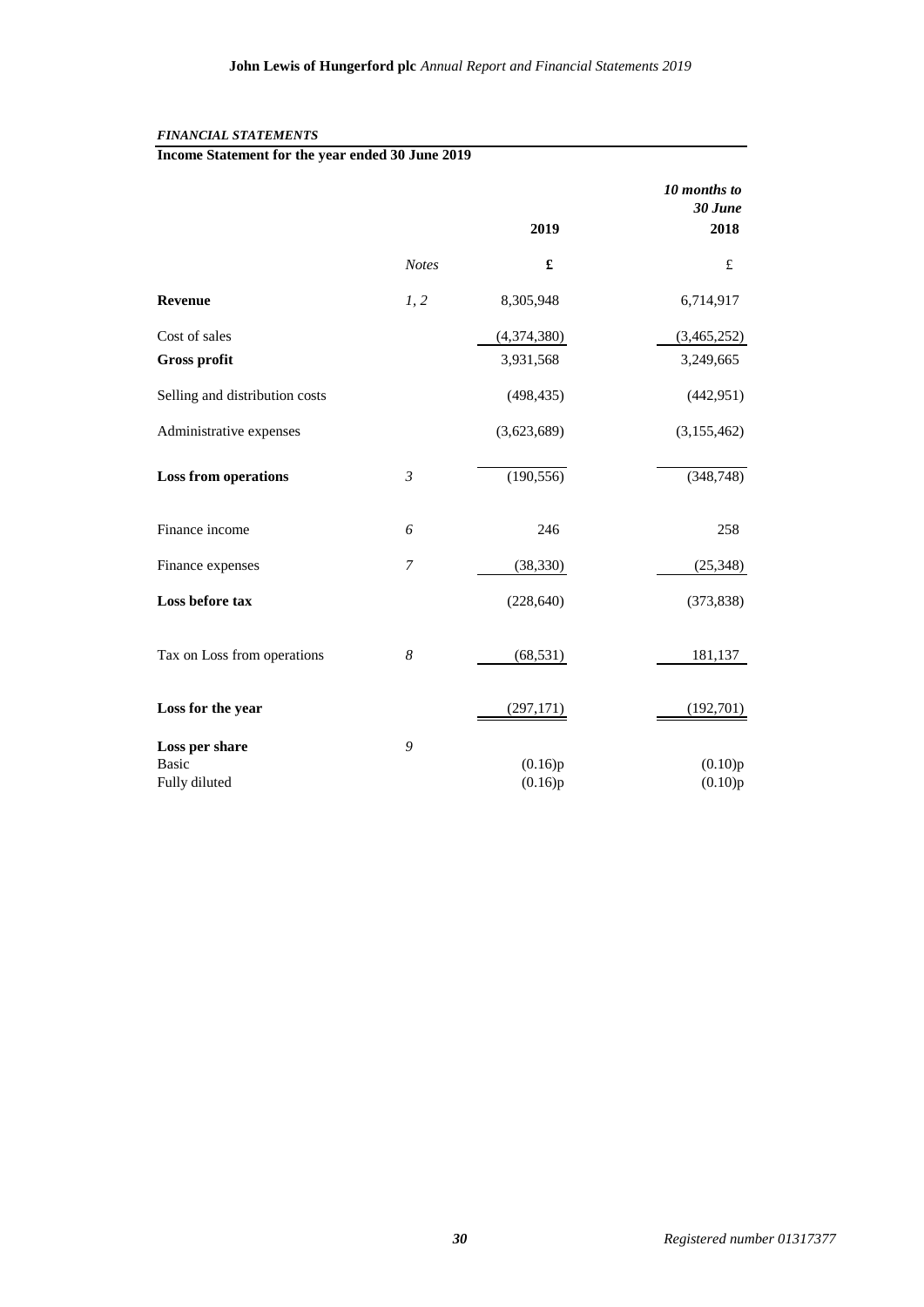| Income Statement for the year ended 30 June 2019 |                |                          |                                 |  |  |
|--------------------------------------------------|----------------|--------------------------|---------------------------------|--|--|
|                                                  |                | 2019                     | 10 months to<br>30 June<br>2018 |  |  |
|                                                  | <b>Notes</b>   | £                        | £                               |  |  |
| <b>Revenue</b>                                   | 1, 2           | 8,305,948                | 6,714,917                       |  |  |
| Cost of sales<br>Gross profit                    |                | (4,374,380)<br>3,931,568 | (3,465,252)<br>3,249,665        |  |  |
| Selling and distribution costs                   |                | (498, 435)               | (442, 951)                      |  |  |
| Administrative expenses                          |                | (3,623,689)              | (3,155,462)                     |  |  |
| <b>Loss from operations</b>                      | $\mathfrak{Z}$ | (190, 556)               | (348, 748)                      |  |  |
| Finance income                                   | 6              | 246                      | 258                             |  |  |
| Finance expenses                                 | $\overline{7}$ | (38, 330)                | (25,348)                        |  |  |
| Loss before tax                                  |                | (228, 640)               | (373, 838)                      |  |  |
| Tax on Loss from operations                      | 8              | (68, 531)                | 181,137                         |  |  |
| Loss for the year                                |                | (297, 171)               | (192, 701)                      |  |  |
| Loss per share<br><b>Basic</b><br>Fully diluted  | 9              | (0.16)p<br>(0.16)p       | (0.10)p<br>(0.10)p              |  |  |

## *FINANCIAL STATEMENTS*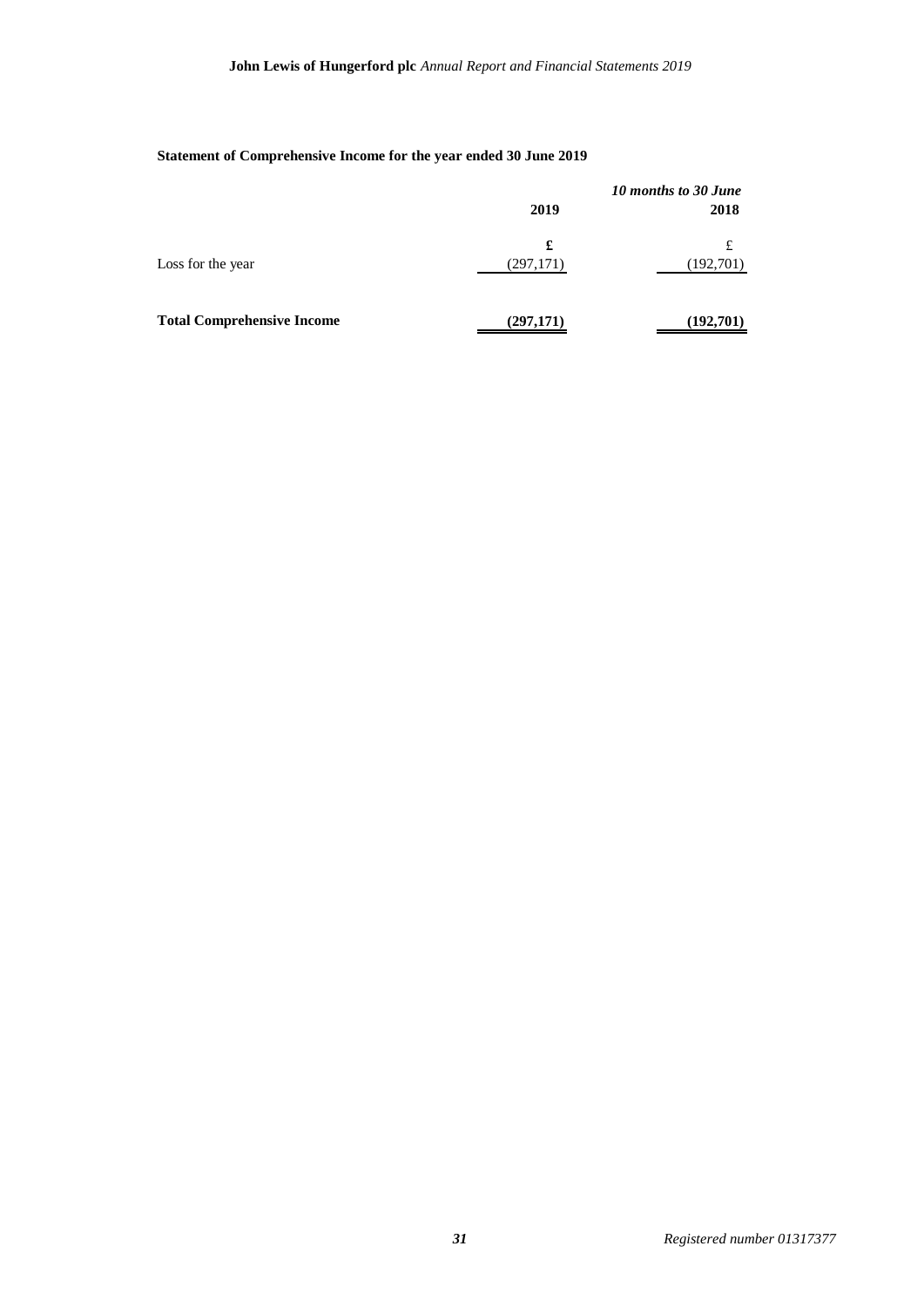## **Statement of Comprehensive Income for the year ended 30 June 2019**

|                                   | 2019            | 10 months to 30 June<br>2018 |
|-----------------------------------|-----------------|------------------------------|
| Loss for the year                 | £<br>(297, 171) | £<br>(192,701)               |
| <b>Total Comprehensive Income</b> | (297, 171)      | (192,701)                    |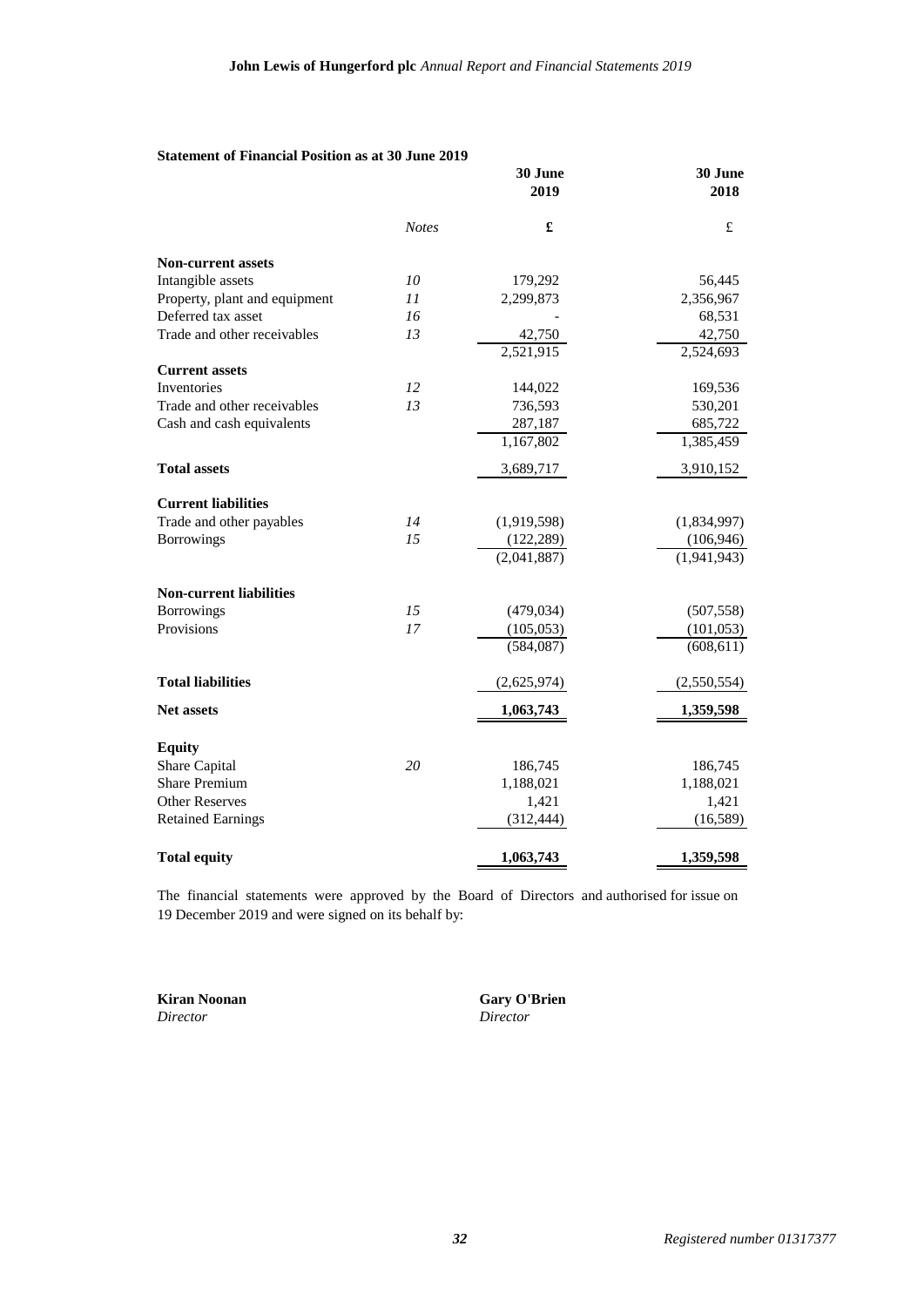## **Statement of Financial Position as at 30 June 2019**

|                                |              | 30 June<br>2019 | 30 June<br>2018 |
|--------------------------------|--------------|-----------------|-----------------|
|                                | <b>Notes</b> | £               | $\pounds$       |
|                                |              |                 |                 |
| <b>Non-current assets</b>      |              |                 |                 |
| Intangible assets              | 10           | 179,292         | 56,445          |
| Property, plant and equipment  | 11           | 2,299,873       | 2,356,967       |
| Deferred tax asset             | 16           |                 | 68,531          |
| Trade and other receivables    | 13           | 42,750          | 42,750          |
|                                |              | 2,521,915       | 2,524,693       |
| <b>Current assets</b>          |              |                 |                 |
| Inventories                    | 12           | 144,022         | 169,536         |
| Trade and other receivables    | 13           | 736,593         | 530,201         |
| Cash and cash equivalents      |              | 287,187         | 685,722         |
|                                |              | 1,167,802       | 1,385,459       |
| <b>Total assets</b>            |              | 3,689,717       | 3,910,152       |
| <b>Current liabilities</b>     |              |                 |                 |
| Trade and other payables       | 14           | (1,919,598)     | (1,834,997)     |
| <b>Borrowings</b>              | 15           | (122, 289)      | (106, 946)      |
|                                |              | (2,041,887)     | (1,941,943)     |
| <b>Non-current liabilities</b> |              |                 |                 |
| <b>Borrowings</b>              | 15           | (479, 034)      | (507, 558)      |
| Provisions                     | 17           | (105, 053)      | (101, 053)      |
|                                |              | (584,087)       | (608, 611)      |
| <b>Total liabilities</b>       |              | (2,625,974)     | (2,550,554)     |
| <b>Net assets</b>              |              | 1,063,743       | 1,359,598       |
| <b>Equity</b>                  |              |                 |                 |
| Share Capital                  | 20           | 186,745         | 186,745         |
| <b>Share Premium</b>           |              | 1,188,021       | 1,188,021       |
| <b>Other Reserves</b>          |              | 1,421           | 1,421           |
| <b>Retained Earnings</b>       |              | (312, 444)      | (16, 589)       |
|                                |              |                 |                 |
| <b>Total equity</b>            |              | 1,063,743       | 1,359,598       |

The financial statements were approved by the Board of Directors and authorised for issue on 19 December 2019 and were signed on its behalf by:

**Kiran Noonan Gary O'Brien**<br>*Director Director Director Director*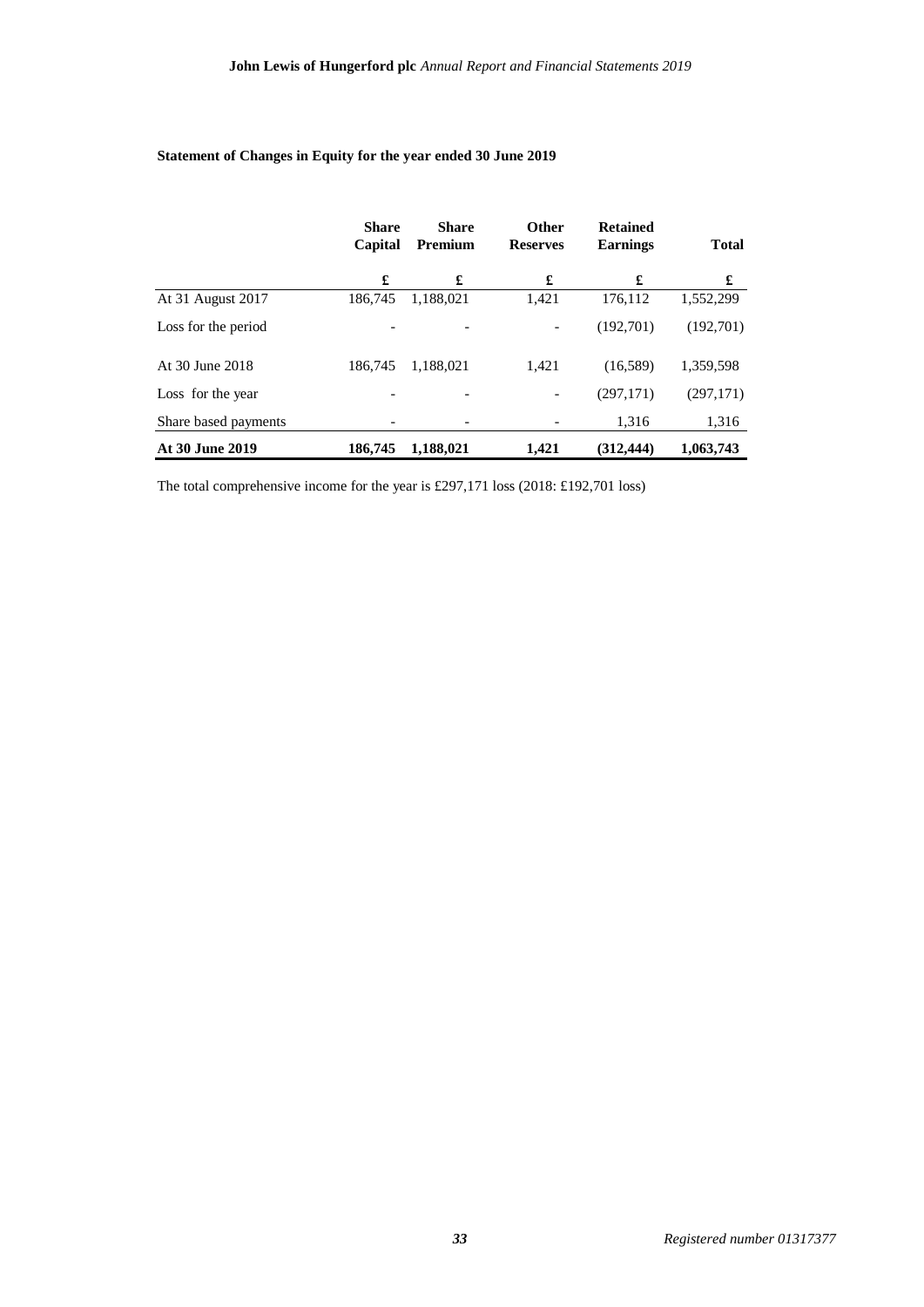|                      | <b>Share</b><br>Capital | <b>Share</b><br>Premium | <b>Other</b><br><b>Reserves</b> | <b>Retained</b><br><b>Earnings</b> | <b>Total</b> |
|----------------------|-------------------------|-------------------------|---------------------------------|------------------------------------|--------------|
|                      | £                       | £                       | £                               | £                                  | £            |
| At 31 August 2017    | 186.745                 | 1,188,021               | 1,421                           | 176.112                            | 1,552,299    |
| Loss for the period  |                         |                         | $\overline{\phantom{a}}$        | (192,701)                          | (192,701)    |
| At 30 June 2018      | 186.745                 | 1.188.021               | 1,421                           | (16,589)                           | 1,359,598    |
| Loss for the year    |                         |                         |                                 | (297, 171)                         | (297, 171)   |
| Share based payments |                         |                         |                                 | 1,316                              | 1,316        |
| At 30 June 2019      | 186,745                 | 1,188,021               | 1,421                           | (312, 444)                         | 1,063,743    |

## **Statement of Changes in Equity for the year ended 30 June 2019**

The total comprehensive income for the year is £297,171 loss (2018: £192,701 loss)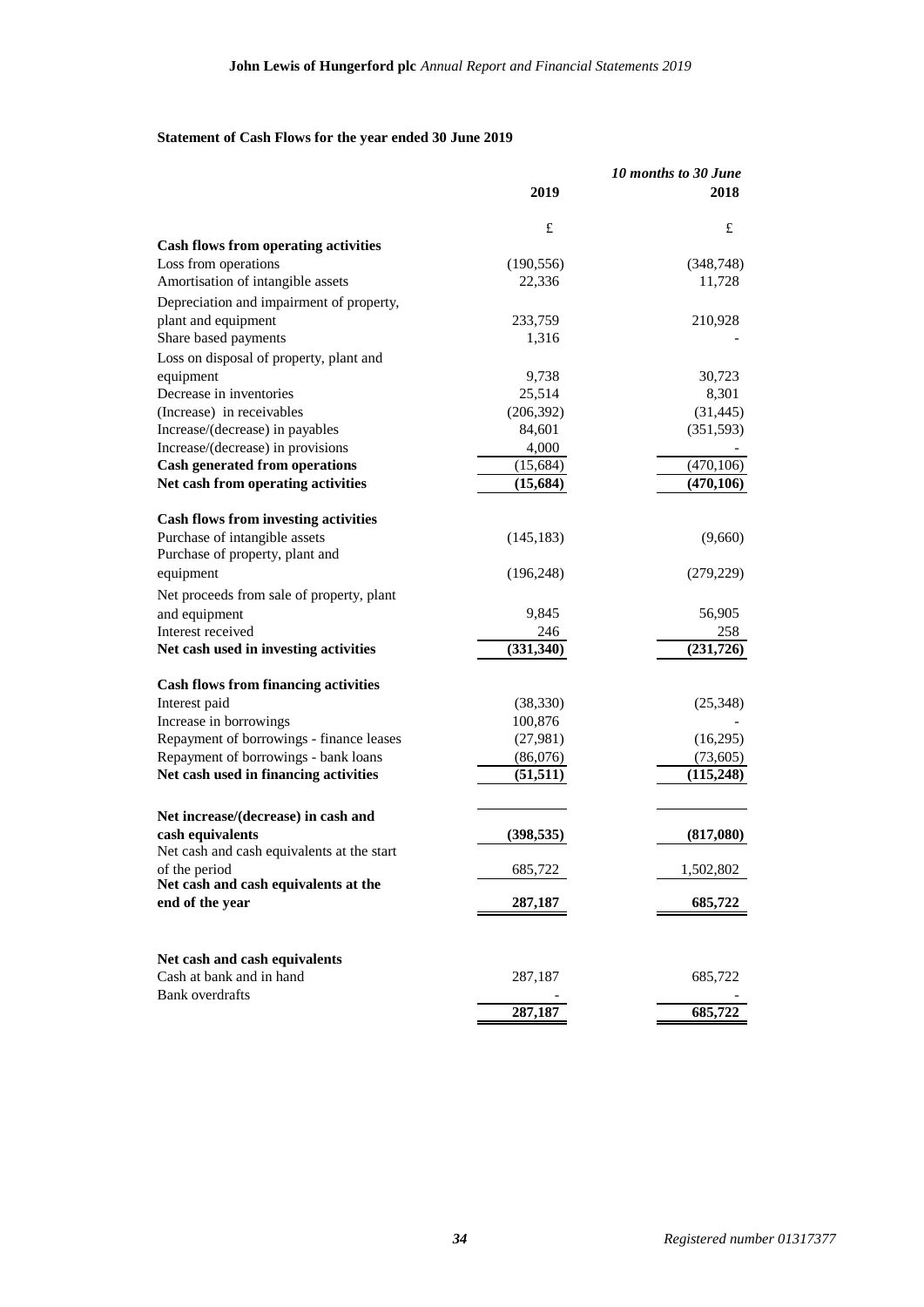## **Statement of Cash Flows for the year ended 30 June 2019**

|                                             | 2019       | 10 months to 30 June<br>2018 |
|---------------------------------------------|------------|------------------------------|
|                                             | £          | £                            |
| <b>Cash flows from operating activities</b> |            |                              |
| Loss from operations                        | (190, 556) | (348, 748)                   |
| Amortisation of intangible assets           | 22,336     | 11,728                       |
| Depreciation and impairment of property,    |            |                              |
| plant and equipment                         | 233,759    | 210,928                      |
| Share based payments                        | 1,316      |                              |
| Loss on disposal of property, plant and     |            |                              |
| equipment                                   | 9,738      | 30,723                       |
| Decrease in inventories                     | 25,514     | 8,301                        |
| (Increase) in receivables                   | (206, 392) | (31, 445)                    |
| Increase/(decrease) in payables             | 84,601     | (351, 593)                   |
| Increase/(decrease) in provisions           | 4,000      |                              |
| <b>Cash generated from operations</b>       | (15,684)   | (470, 106)                   |
| Net cash from operating activities          | (15, 684)  | (470, 106)                   |
|                                             |            |                              |
| <b>Cash flows from investing activities</b> |            |                              |
| Purchase of intangible assets               | (145, 183) | (9,660)                      |
| Purchase of property, plant and             |            |                              |
| equipment                                   | (196, 248) | (279, 229)                   |
| Net proceeds from sale of property, plant   |            |                              |
| and equipment                               | 9,845      | 56,905                       |
| Interest received                           | 246        | 258                          |
| Net cash used in investing activities       | (331, 340) | (231, 726)                   |
|                                             |            |                              |
| <b>Cash flows from financing activities</b> |            |                              |
| Interest paid                               | (38, 330)  | (25, 348)                    |
| Increase in borrowings                      | 100,876    |                              |
| Repayment of borrowings - finance leases    | (27,981)   | (16,295)                     |
| Repayment of borrowings - bank loans        | (86,076)   | (73, 605)                    |
| Net cash used in financing activities       | (51, 511)  | (115, 248)                   |
|                                             |            |                              |
| Net increase/(decrease) in cash and         |            |                              |
| cash equivalents                            | (398, 535) | (817,080)                    |
| Net cash and cash equivalents at the start  |            |                              |
| of the period                               | 685,722    | 1,502,802                    |
| Net cash and cash equivalents at the        |            |                              |
| end of the year                             | 287,187    | 685,722                      |
|                                             |            |                              |
| Net cash and cash equivalents               |            |                              |
| Cash at bank and in hand                    | 287,187    | 685,722                      |
| <b>Bank</b> overdrafts                      | 287,187    |                              |
|                                             |            | 685,722                      |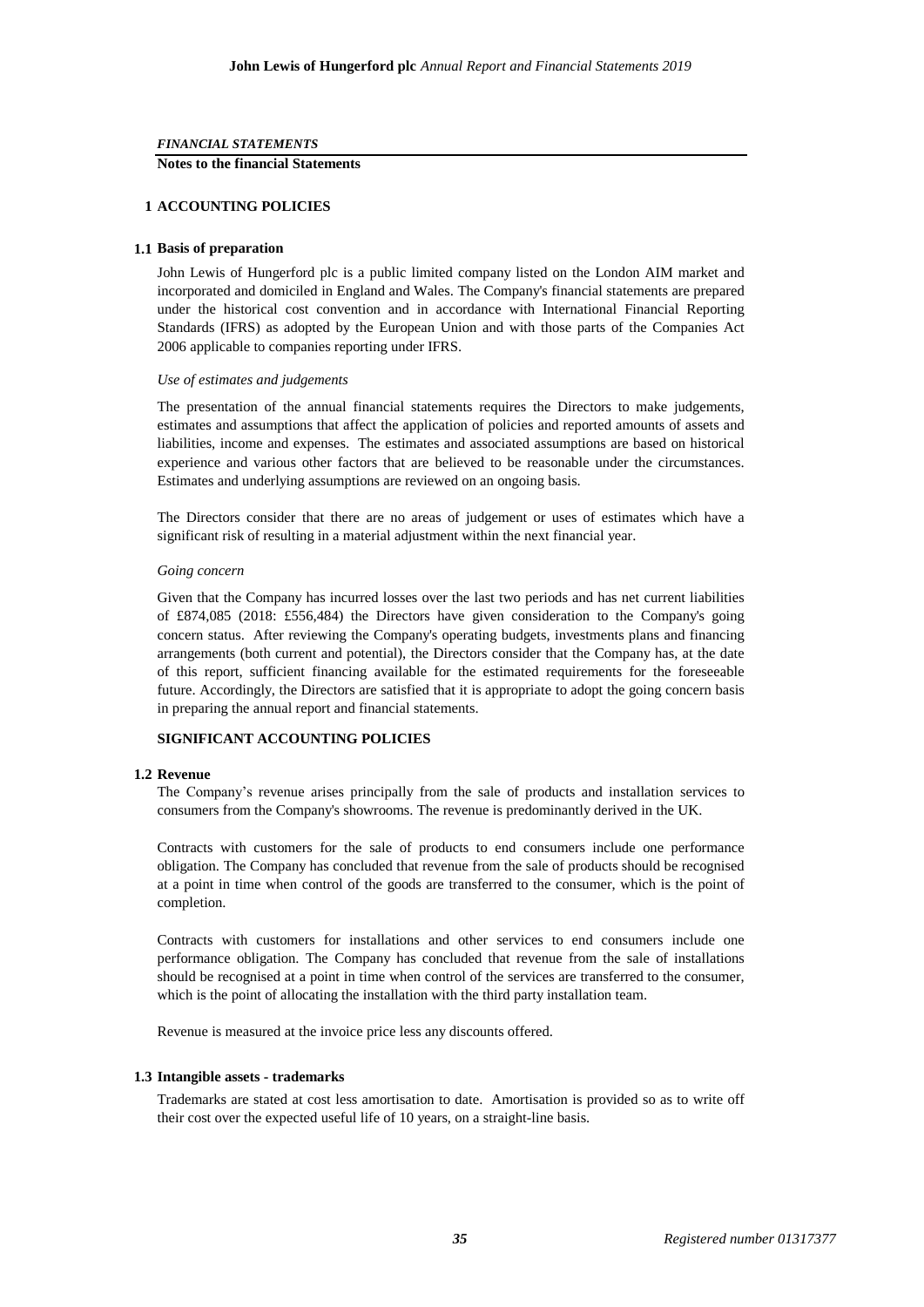#### *FINANCIAL STATEMENTS*

**Notes to the financial Statements**

### **1 ACCOUNTING POLICIES**

#### **1.1 Basis of preparation**

John Lewis of Hungerford plc is a public limited company listed on the London AIM market and incorporated and domiciled in England and Wales. The Company's financial statements are prepared under the historical cost convention and in accordance with International Financial Reporting Standards (IFRS) as adopted by the European Union and with those parts of the Companies Act 2006 applicable to companies reporting under IFRS.

#### *Use of estimates and judgements*

The presentation of the annual financial statements requires the Directors to make judgements, estimates and assumptions that affect the application of policies and reported amounts of assets and liabilities, income and expenses. The estimates and associated assumptions are based on historical experience and various other factors that are believed to be reasonable under the circumstances. Estimates and underlying assumptions are reviewed on an ongoing basis.

The Directors consider that there are no areas of judgement or uses of estimates which have a significant risk of resulting in a material adjustment within the next financial year.

#### *Going concern*

Given that the Company has incurred losses over the last two periods and has net current liabilities of £874,085 (2018: £556,484) the Directors have given consideration to the Company's going concern status. After reviewing the Company's operating budgets, investments plans and financing arrangements (both current and potential), the Directors consider that the Company has, at the date of this report, sufficient financing available for the estimated requirements for the foreseeable future. Accordingly, the Directors are satisfied that it is appropriate to adopt the going concern basis in preparing the annual report and financial statements.

#### **SIGNIFICANT ACCOUNTING POLICIES**

#### **1.2 Revenue**

The Company's revenue arises principally from the sale of products and installation services to consumers from the Company's showrooms. The revenue is predominantly derived in the UK.

Contracts with customers for the sale of products to end consumers include one performance obligation. The Company has concluded that revenue from the sale of products should be recognised at a point in time when control of the goods are transferred to the consumer, which is the point of completion.

Contracts with customers for installations and other services to end consumers include one performance obligation. The Company has concluded that revenue from the sale of installations should be recognised at a point in time when control of the services are transferred to the consumer, which is the point of allocating the installation with the third party installation team.

Revenue is measured at the invoice price less any discounts offered.

#### **1.3 Intangible assets - trademarks**

Trademarks are stated at cost less amortisation to date. Amortisation is provided so as to write off their cost over the expected useful life of 10 years, on a straight-line basis.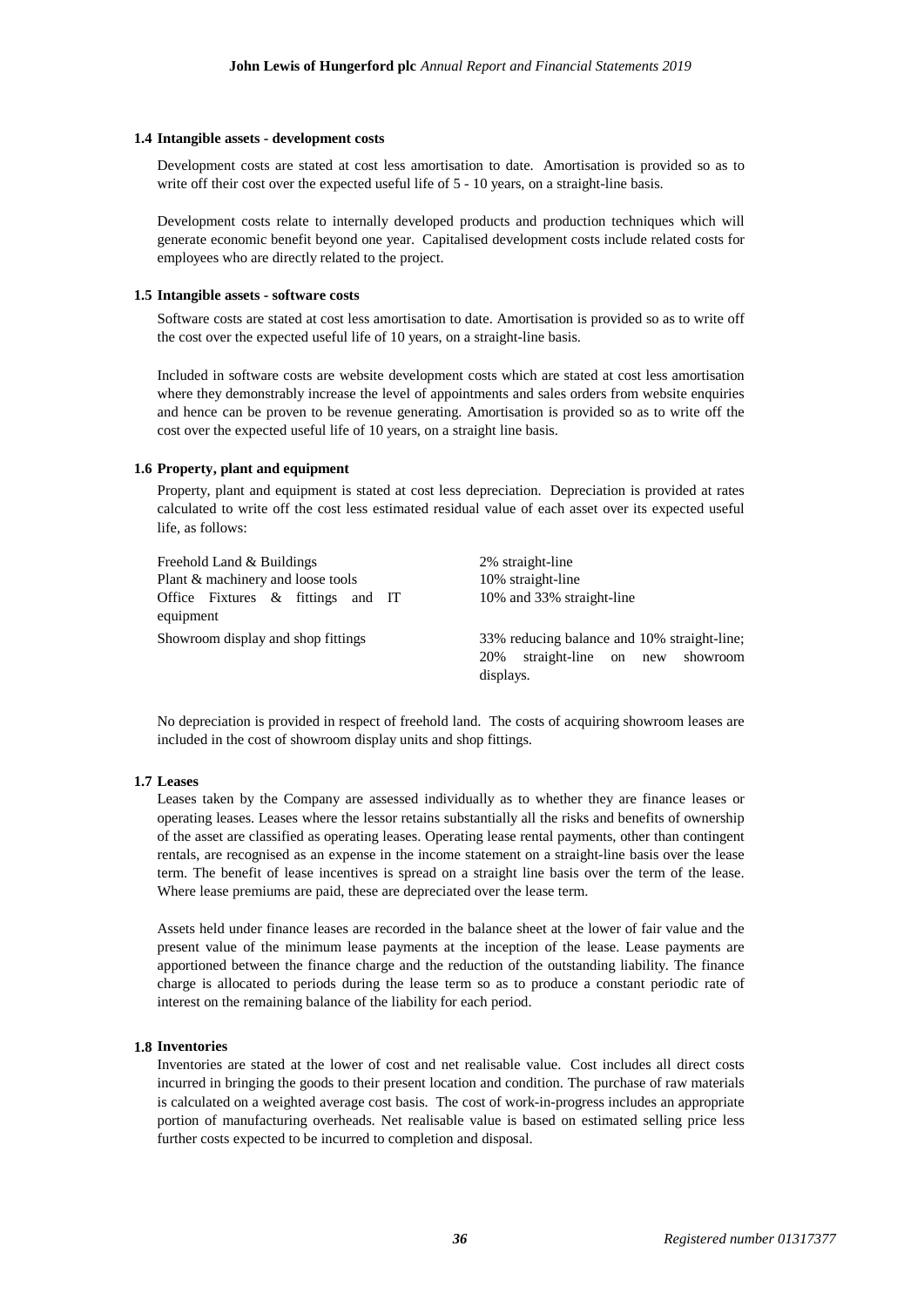#### **1.4 Intangible assets - development costs**

Development costs are stated at cost less amortisation to date. Amortisation is provided so as to write off their cost over the expected useful life of 5 - 10 years, on a straight-line basis.

Development costs relate to internally developed products and production techniques which will generate economic benefit beyond one year. Capitalised development costs include related costs for employees who are directly related to the project.

#### **1.5 Intangible assets - software costs**

Software costs are stated at cost less amortisation to date. Amortisation is provided so as to write off the cost over the expected useful life of 10 years, on a straight-line basis.

Included in software costs are website development costs which are stated at cost less amortisation where they demonstrably increase the level of appointments and sales orders from website enquiries and hence can be proven to be revenue generating. Amortisation is provided so as to write off the cost over the expected useful life of 10 years, on a straight line basis.

#### **1.6 Property, plant and equipment**

Property, plant and equipment is stated at cost less depreciation. Depreciation is provided at rates calculated to write off the cost less estimated residual value of each asset over its expected useful life, as follows:

Freehold Land & Buildings Showroom display and shop fittings Office Fixtures & fittings and IT equipment Plant & machinery and loose tools

10% straight-line 10% and 33% straight-line 2% straight-line

33% reducing balance and 10% straight-line; 20% straight-line on new showroom displays.

No depreciation is provided in respect of freehold land. The costs of acquiring showroom leases are included in the cost of showroom display units and shop fittings.

#### **1.7 Leases**

Leases taken by the Company are assessed individually as to whether they are finance leases or operating leases. Leases where the lessor retains substantially all the risks and benefits of ownership of the asset are classified as operating leases. Operating lease rental payments, other than contingent rentals, are recognised as an expense in the income statement on a straight-line basis over the lease term. The benefit of lease incentives is spread on a straight line basis over the term of the lease. Where lease premiums are paid, these are depreciated over the lease term.

Assets held under finance leases are recorded in the balance sheet at the lower of fair value and the present value of the minimum lease payments at the inception of the lease. Lease payments are apportioned between the finance charge and the reduction of the outstanding liability. The finance charge is allocated to periods during the lease term so as to produce a constant periodic rate of interest on the remaining balance of the liability for each period.

## **1.8 Inventories**

Inventories are stated at the lower of cost and net realisable value. Cost includes all direct costs incurred in bringing the goods to their present location and condition. The purchase of raw materials is calculated on a weighted average cost basis. The cost of work-in-progress includes an appropriate portion of manufacturing overheads. Net realisable value is based on estimated selling price less further costs expected to be incurred to completion and disposal.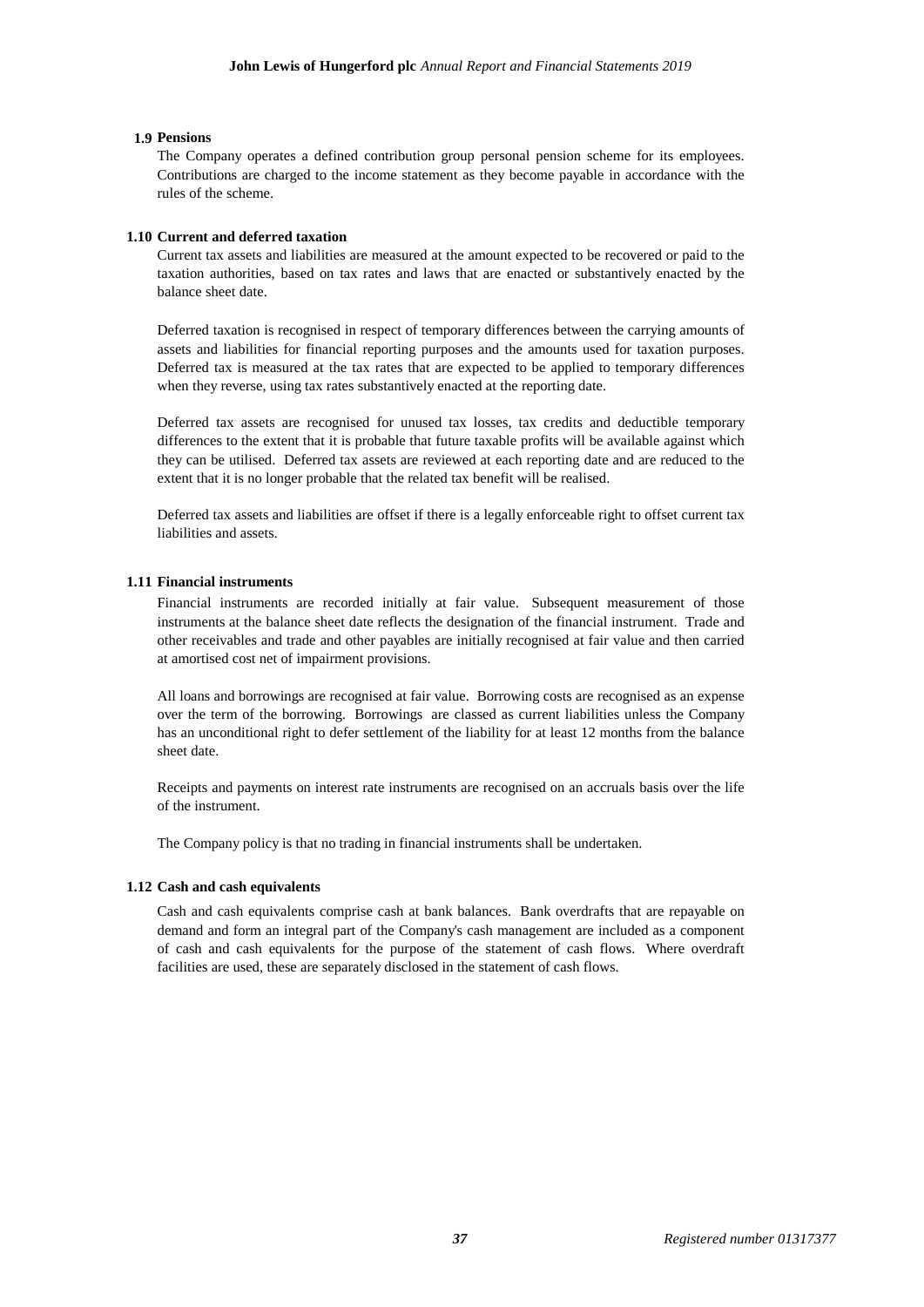#### **1.9 Pensions**

The Company operates a defined contribution group personal pension scheme for its employees. Contributions are charged to the income statement as they become payable in accordance with the rules of the scheme.

#### **1.10 Current and deferred taxation**

Current tax assets and liabilities are measured at the amount expected to be recovered or paid to the taxation authorities, based on tax rates and laws that are enacted or substantively enacted by the balance sheet date.

Deferred taxation is recognised in respect of temporary differences between the carrying amounts of assets and liabilities for financial reporting purposes and the amounts used for taxation purposes. Deferred tax is measured at the tax rates that are expected to be applied to temporary differences when they reverse, using tax rates substantively enacted at the reporting date.

Deferred tax assets are recognised for unused tax losses, tax credits and deductible temporary differences to the extent that it is probable that future taxable profits will be available against which they can be utilised. Deferred tax assets are reviewed at each reporting date and are reduced to the extent that it is no longer probable that the related tax benefit will be realised.

Deferred tax assets and liabilities are offset if there is a legally enforceable right to offset current tax liabilities and assets.

## **1.11 Financial instruments**

Financial instruments are recorded initially at fair value. Subsequent measurement of those instruments at the balance sheet date reflects the designation of the financial instrument. Trade and other receivables and trade and other payables are initially recognised at fair value and then carried at amortised cost net of impairment provisions.

All loans and borrowings are recognised at fair value. Borrowing costs are recognised as an expense over the term of the borrowing. Borrowings are classed as current liabilities unless the Company has an unconditional right to defer settlement of the liability for at least 12 months from the balance sheet date.

Receipts and payments on interest rate instruments are recognised on an accruals basis over the life of the instrument.

The Company policy is that no trading in financial instruments shall be undertaken.

## **1.12 Cash and cash equivalents**

Cash and cash equivalents comprise cash at bank balances. Bank overdrafts that are repayable on demand and form an integral part of the Company's cash management are included as a component of cash and cash equivalents for the purpose of the statement of cash flows. Where overdraft facilities are used, these are separately disclosed in the statement of cash flows.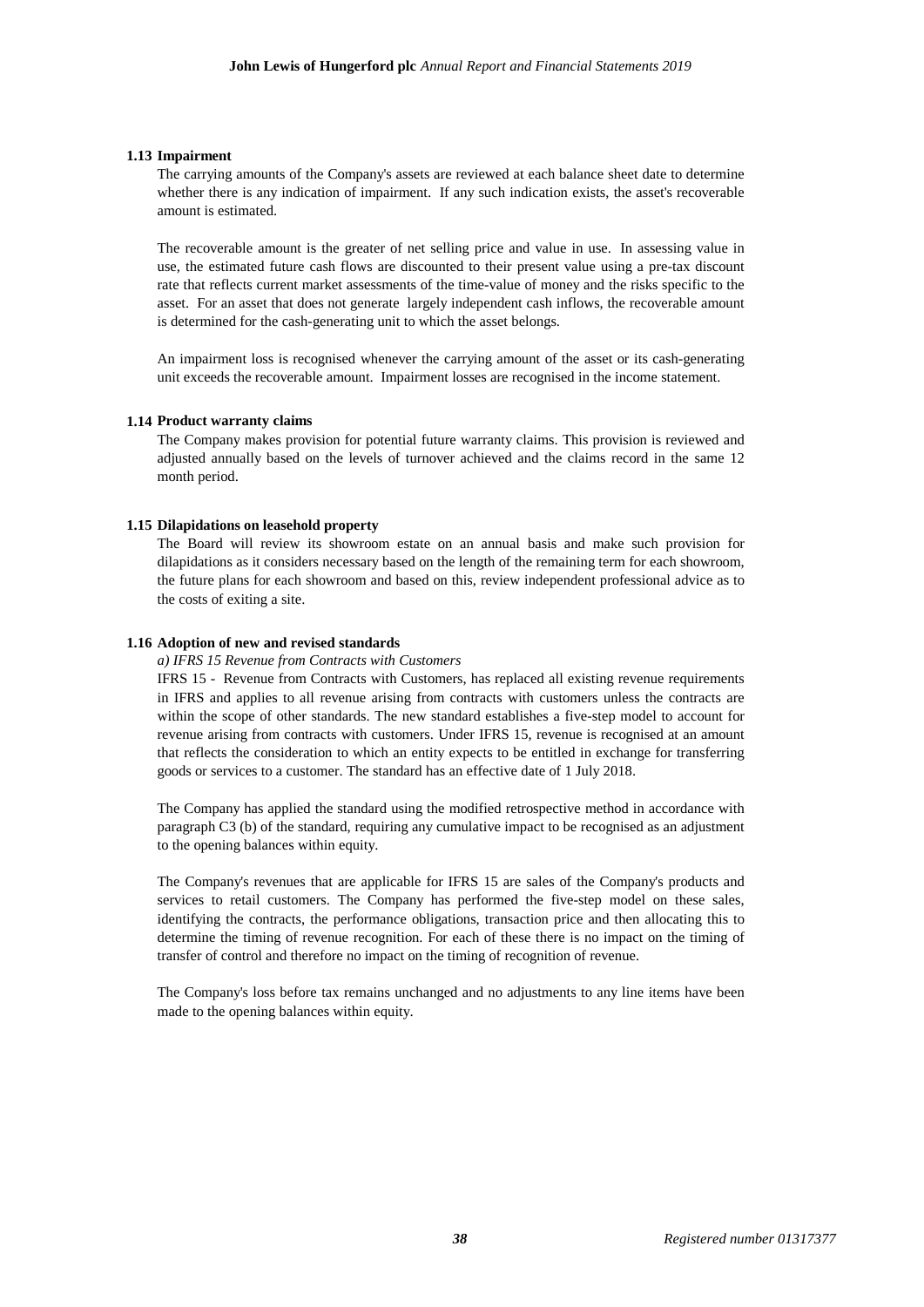#### **1.13 Impairment**

The carrying amounts of the Company's assets are reviewed at each balance sheet date to determine whether there is any indication of impairment. If any such indication exists, the asset's recoverable amount is estimated.

The recoverable amount is the greater of net selling price and value in use. In assessing value in use, the estimated future cash flows are discounted to their present value using a pre-tax discount rate that reflects current market assessments of the time-value of money and the risks specific to the asset. For an asset that does not generate largely independent cash inflows, the recoverable amount is determined for the cash-generating unit to which the asset belongs.

An impairment loss is recognised whenever the carrying amount of the asset or its cash-generating unit exceeds the recoverable amount. Impairment losses are recognised in the income statement.

#### **1.14 Product warranty claims**

The Company makes provision for potential future warranty claims. This provision is reviewed and adjusted annually based on the levels of turnover achieved and the claims record in the same 12 month period.

#### **1.15 Dilapidations on leasehold property**

The Board will review its showroom estate on an annual basis and make such provision for dilapidations as it considers necessary based on the length of the remaining term for each showroom, the future plans for each showroom and based on this, review independent professional advice as to the costs of exiting a site.

#### **1.16 Adoption of new and revised standards**

#### *a) IFRS 15 Revenue from Contracts with Customers*

IFRS 15 - Revenue from Contracts with Customers, has replaced all existing revenue requirements in IFRS and applies to all revenue arising from contracts with customers unless the contracts are within the scope of other standards. The new standard establishes a five-step model to account for revenue arising from contracts with customers. Under IFRS 15, revenue is recognised at an amount that reflects the consideration to which an entity expects to be entitled in exchange for transferring goods or services to a customer. The standard has an effective date of 1 July 2018.

The Company has applied the standard using the modified retrospective method in accordance with paragraph C3 (b) of the standard, requiring any cumulative impact to be recognised as an adjustment to the opening balances within equity.

The Company's revenues that are applicable for IFRS 15 are sales of the Company's products and services to retail customers. The Company has performed the five-step model on these sales, identifying the contracts, the performance obligations, transaction price and then allocating this to determine the timing of revenue recognition. For each of these there is no impact on the timing of transfer of control and therefore no impact on the timing of recognition of revenue.

The Company's loss before tax remains unchanged and no adjustments to any line items have been made to the opening balances within equity.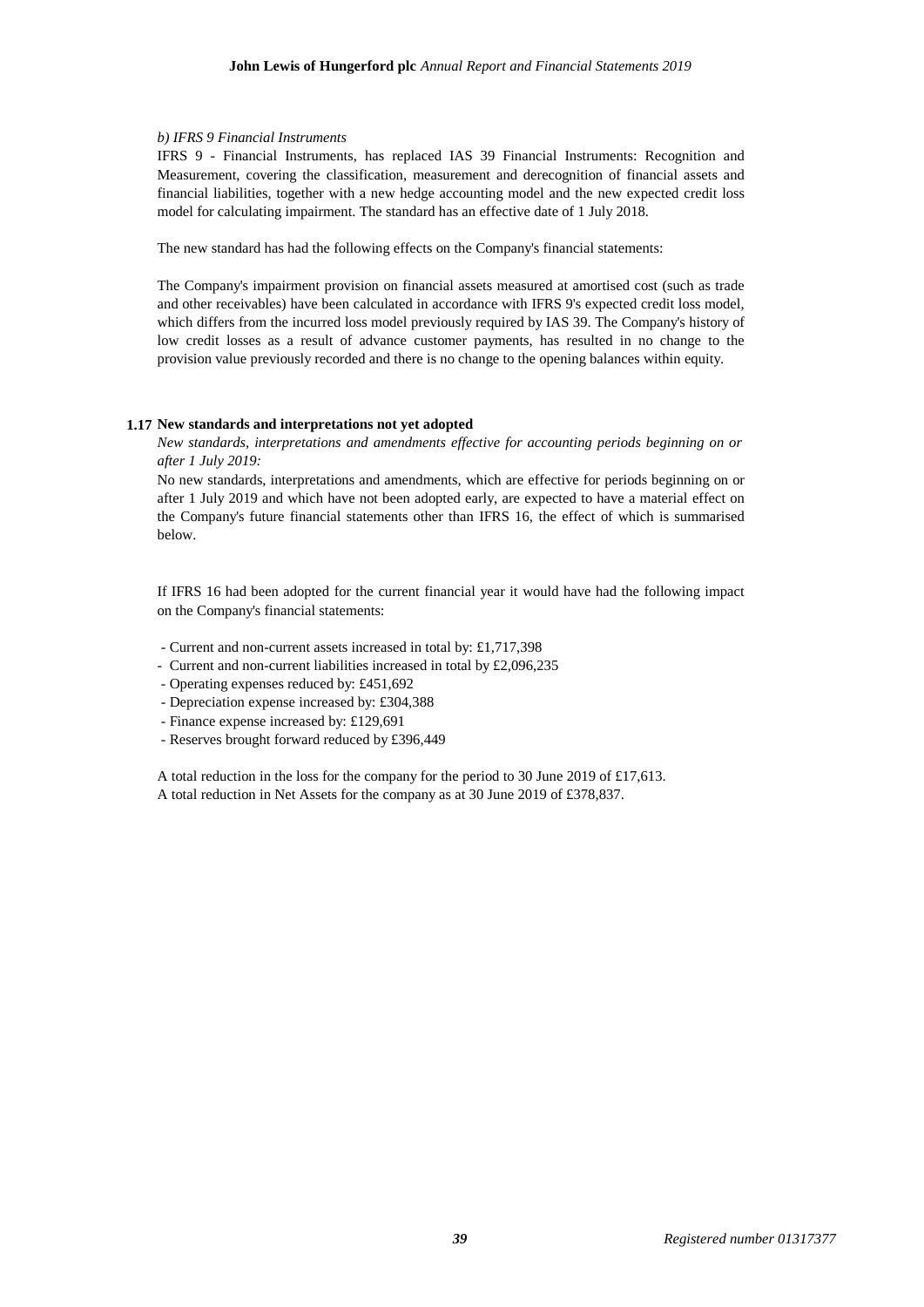#### *b) IFRS 9 Financial Instruments*

IFRS 9 - Financial Instruments, has replaced IAS 39 Financial Instruments: Recognition and Measurement, covering the classification, measurement and derecognition of financial assets and financial liabilities, together with a new hedge accounting model and the new expected credit loss model for calculating impairment. The standard has an effective date of 1 July 2018.

The new standard has had the following effects on the Company's financial statements:

The Company's impairment provision on financial assets measured at amortised cost (such as trade and other receivables) have been calculated in accordance with IFRS 9's expected credit loss model, which differs from the incurred loss model previously required by IAS 39. The Company's history of low credit losses as a result of advance customer payments, has resulted in no change to the provision value previously recorded and there is no change to the opening balances within equity.

#### **1.17 New standards and interpretations not yet adopted**

*New standards, interpretations and amendments effective for accounting periods beginning on or after 1 July 2019:* 

No new standards, interpretations and amendments, which are effective for periods beginning on or after 1 July 2019 and which have not been adopted early, are expected to have a material effect on the Company's future financial statements other than IFRS 16, the effect of which is summarised below.

If IFRS 16 had been adopted for the current financial year it would have had the following impact on the Company's financial statements:

- Current and non-current assets increased in total by: £1,717,398

- Current and non-current liabilities increased in total by £2,096,235
- Operating expenses reduced by: £451,692
- Depreciation expense increased by: £304,388
- Finance expense increased by: £129,691
- Reserves brought forward reduced by £396,449

A total reduction in the loss for the company for the period to 30 June 2019 of £17,613. A total reduction in Net Assets for the company as at 30 June 2019 of £378,837.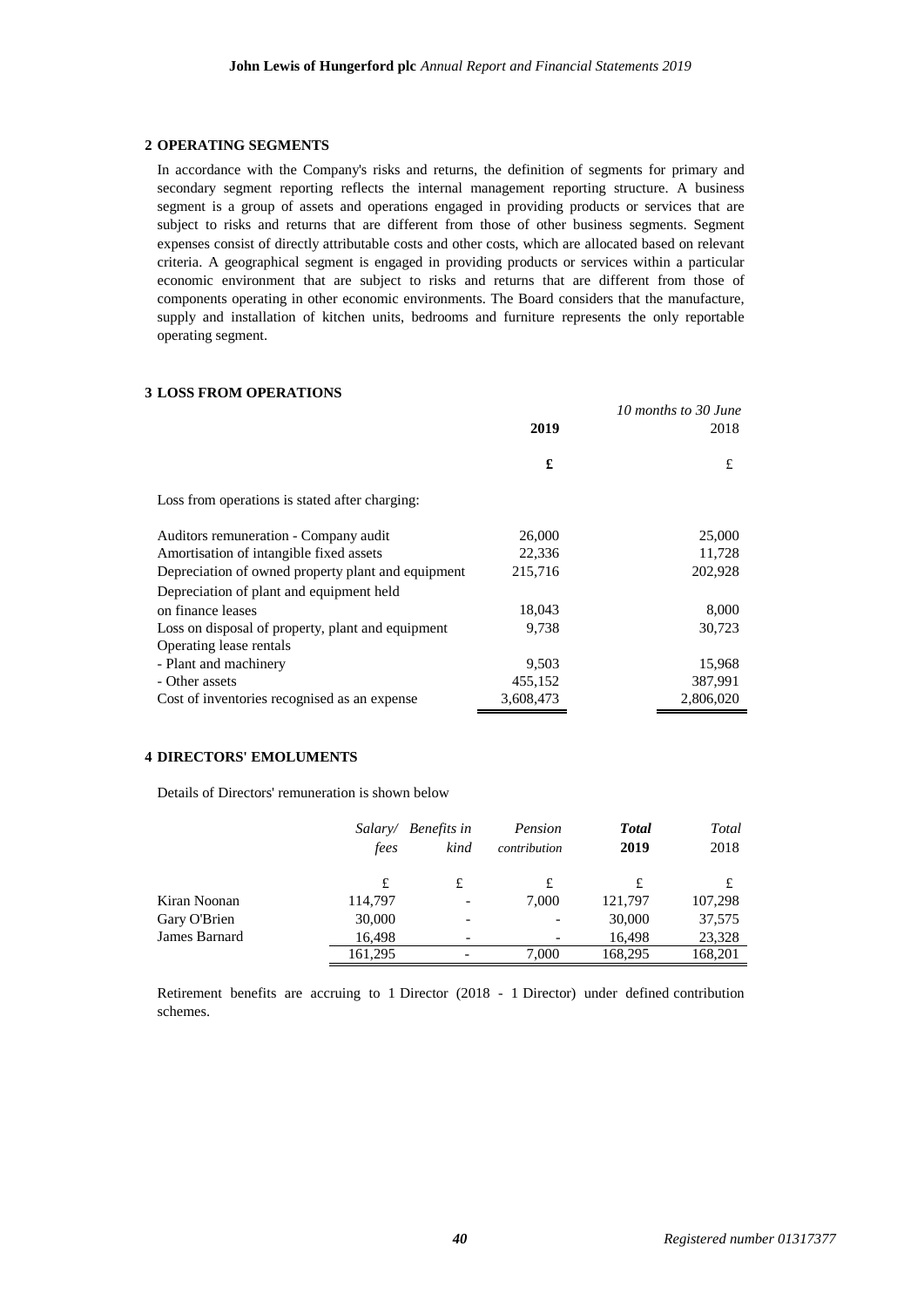## **2 OPERATING SEGMENTS**

In accordance with the Company's risks and returns, the definition of segments for primary and secondary segment reporting reflects the internal management reporting structure. A business segment is a group of assets and operations engaged in providing products or services that are subject to risks and returns that are different from those of other business segments. Segment expenses consist of directly attributable costs and other costs, which are allocated based on relevant criteria. A geographical segment is engaged in providing products or services within a particular economic environment that are subject to risks and returns that are different from those of components operating in other economic environments. The Board considers that the manufacture, supply and installation of kitchen units, bedrooms and furniture represents the only reportable operating segment.

## **3 LOSS FROM OPERATIONS**

|                                                    |           | 10 months to 30 June |
|----------------------------------------------------|-----------|----------------------|
|                                                    | 2019      | 2018                 |
|                                                    | £         | £                    |
| Loss from operations is stated after charging:     |           |                      |
| Auditors remuneration - Company audit              | 26,000    | 25,000               |
| Amortisation of intangible fixed assets            | 22,336    | 11,728               |
| Depreciation of owned property plant and equipment | 215,716   | 202,928              |
| Depreciation of plant and equipment held           |           |                      |
| on finance leases                                  | 18,043    | 8,000                |
| Loss on disposal of property, plant and equipment  | 9,738     | 30,723               |
| Operating lease rentals                            |           |                      |
| - Plant and machinery                              | 9,503     | 15,968               |
| - Other assets                                     | 455,152   | 387,991              |
| Cost of inventories recognised as an expense       | 3,608,473 | 2,806,020            |

## **4 DIRECTORS' EMOLUMENTS**

Details of Directors' remuneration is shown below

|               | Salary/<br>fees | Benefits in<br>kind      | Pension<br>contribution | <b>T</b> otal<br>2019 | Total<br>2018 |
|---------------|-----------------|--------------------------|-------------------------|-----------------------|---------------|
|               | £               | £                        | £                       | £                     | £             |
| Kiran Noonan  | 114,797         | $\overline{\phantom{a}}$ | 7.000                   | 121.797               | 107,298       |
| Gary O'Brien  | 30,000          |                          |                         | 30,000                | 37,575        |
| James Barnard | 16.498          | $\overline{\phantom{0}}$ |                         | 16,498                | 23,328        |
|               | 161.295         |                          | 7.000                   | 168,295               | 168,201       |

Retirement benefits are accruing to 1 Director (2018 - 1 Director) under defined contribution schemes.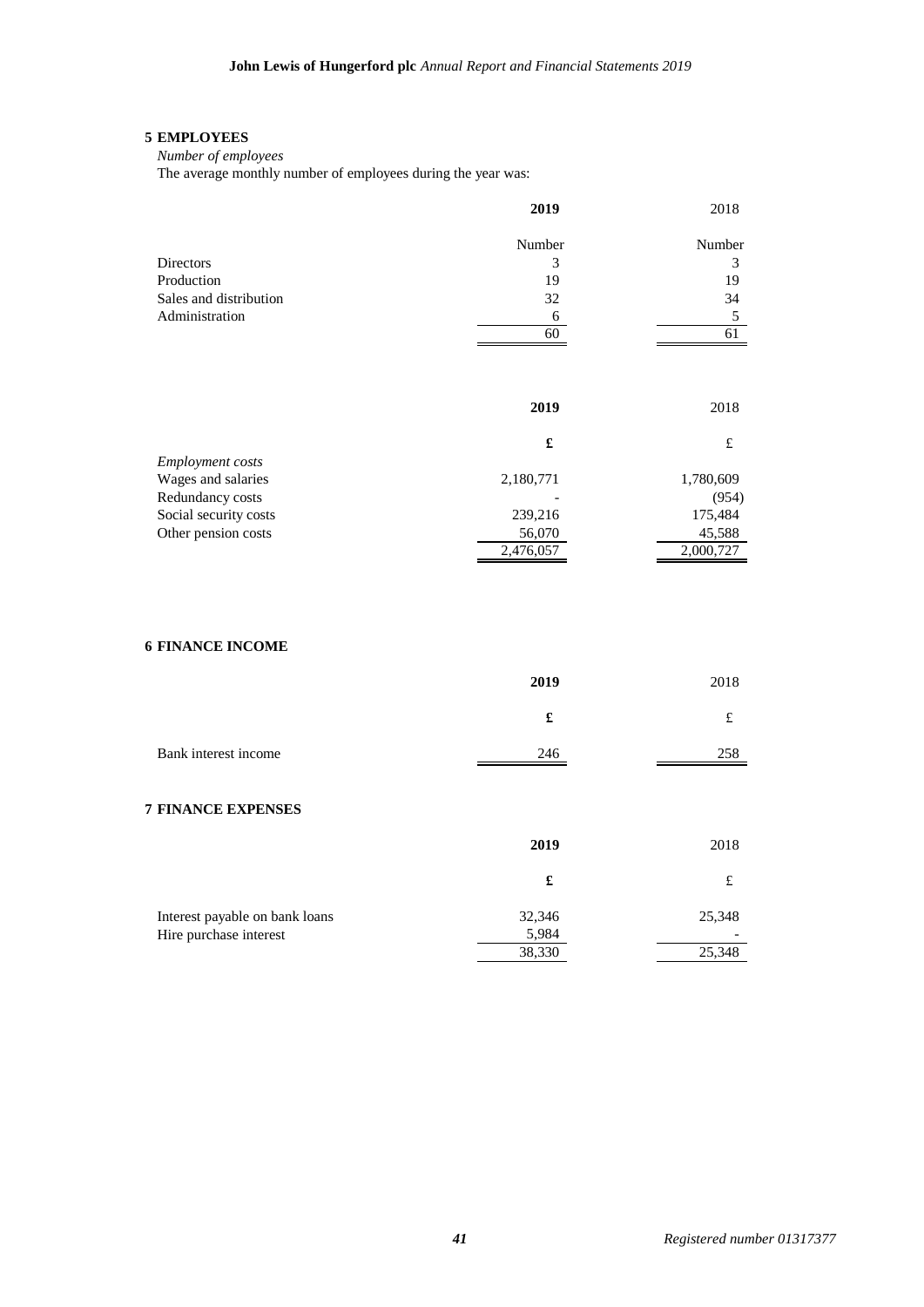## **5 EMPLOYEES**

## *Number of employees*

The average monthly number of employees during the year was:

|                         | 2019      | 2018      |
|-------------------------|-----------|-----------|
|                         | Number    | Number    |
| Directors               | 3         | 3         |
| Production              | 19        | 19        |
| Sales and distribution  | 32        | 34        |
| Administration          | 6         | 5         |
|                         | 60        | 61        |
|                         | 2019      | 2018      |
|                         | £         | £         |
| <b>Employment costs</b> |           |           |
| Wages and salaries      | 2,180,771 | 1,780,609 |
| Redundancy costs        |           | (954)     |
| Social security costs   | 239,216   | 175,484   |
| Other pension costs     | 56,070    | 45,588    |
|                         | 2,476,057 | 2,000,727 |
|                         |           |           |

## **6 FINANCE INCOME**

|                                | 2019   | 2018   |
|--------------------------------|--------|--------|
|                                | £      | £      |
| Bank interest income           | 246    | 258    |
|                                |        |        |
| <b>7 FINANCE EXPENSES</b>      |        |        |
|                                | 2019   | 2018   |
|                                | £      | £      |
| Interest payable on bank loans | 32,346 | 25,348 |
| Hire purchase interest         | 5,984  |        |

38,330 25,348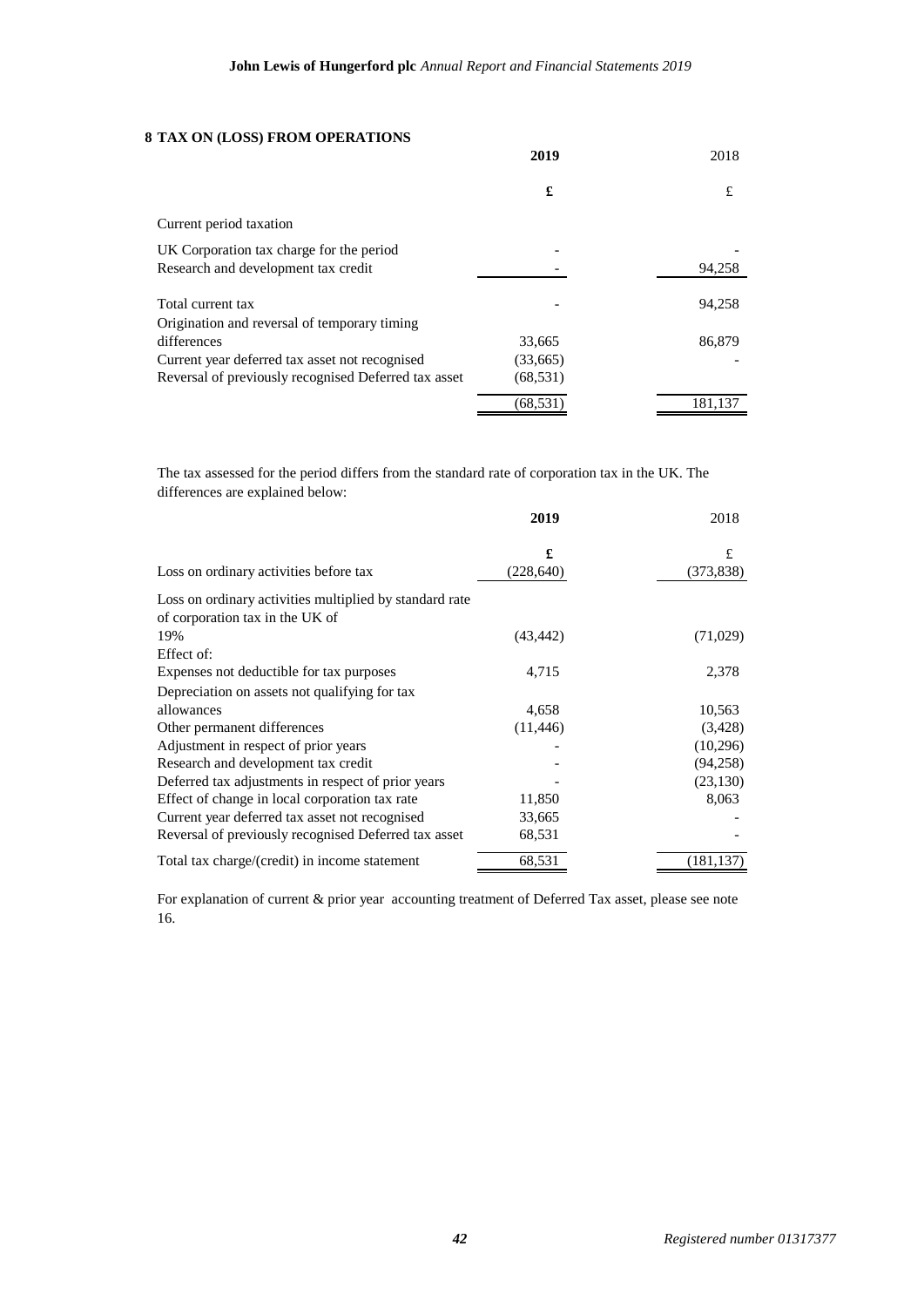## **8 TAX ON (LOSS) FROM OPERATIONS**

|                                                      | 2019      | 2018    |
|------------------------------------------------------|-----------|---------|
|                                                      | £         | £       |
| Current period taxation                              |           |         |
| UK Corporation tax charge for the period             |           |         |
| Research and development tax credit                  |           | 94,258  |
| Total current tax                                    |           | 94,258  |
| Origination and reversal of temporary timing         |           |         |
| differences                                          | 33,665    | 86,879  |
| Current year deferred tax asset not recognised       | (33,665)  |         |
| Reversal of previously recognised Deferred tax asset | (68, 531) |         |
|                                                      | (68, 531) | 181,137 |

The tax assessed for the period differs from the standard rate of corporation tax in the UK. The differences are explained below:

|                                                         | 2019       | 2018       |
|---------------------------------------------------------|------------|------------|
|                                                         | £          | £          |
| Loss on ordinary activities before tax                  | (228, 640) | (373, 838) |
| Loss on ordinary activities multiplied by standard rate |            |            |
| of corporation tax in the UK of                         |            |            |
| 19%                                                     | (43, 442)  | (71,029)   |
| Effect of:                                              |            |            |
| Expenses not deductible for tax purposes                | 4,715      | 2,378      |
| Depreciation on assets not qualifying for tax           |            |            |
| allowances                                              | 4,658      | 10,563     |
| Other permanent differences                             | (11, 446)  | (3,428)    |
| Adjustment in respect of prior years                    |            | (10,296)   |
| Research and development tax credit                     |            | (94,258)   |
| Deferred tax adjustments in respect of prior years      |            | (23, 130)  |
| Effect of change in local corporation tax rate          | 11,850     | 8,063      |
| Current year deferred tax asset not recognised          | 33,665     |            |
| Reversal of previously recognised Deferred tax asset    | 68,531     |            |
| Total tax charge/(credit) in income statement           | 68,531     | (181, 137) |

For explanation of current & prior year accounting treatment of Deferred Tax asset, please see note 16.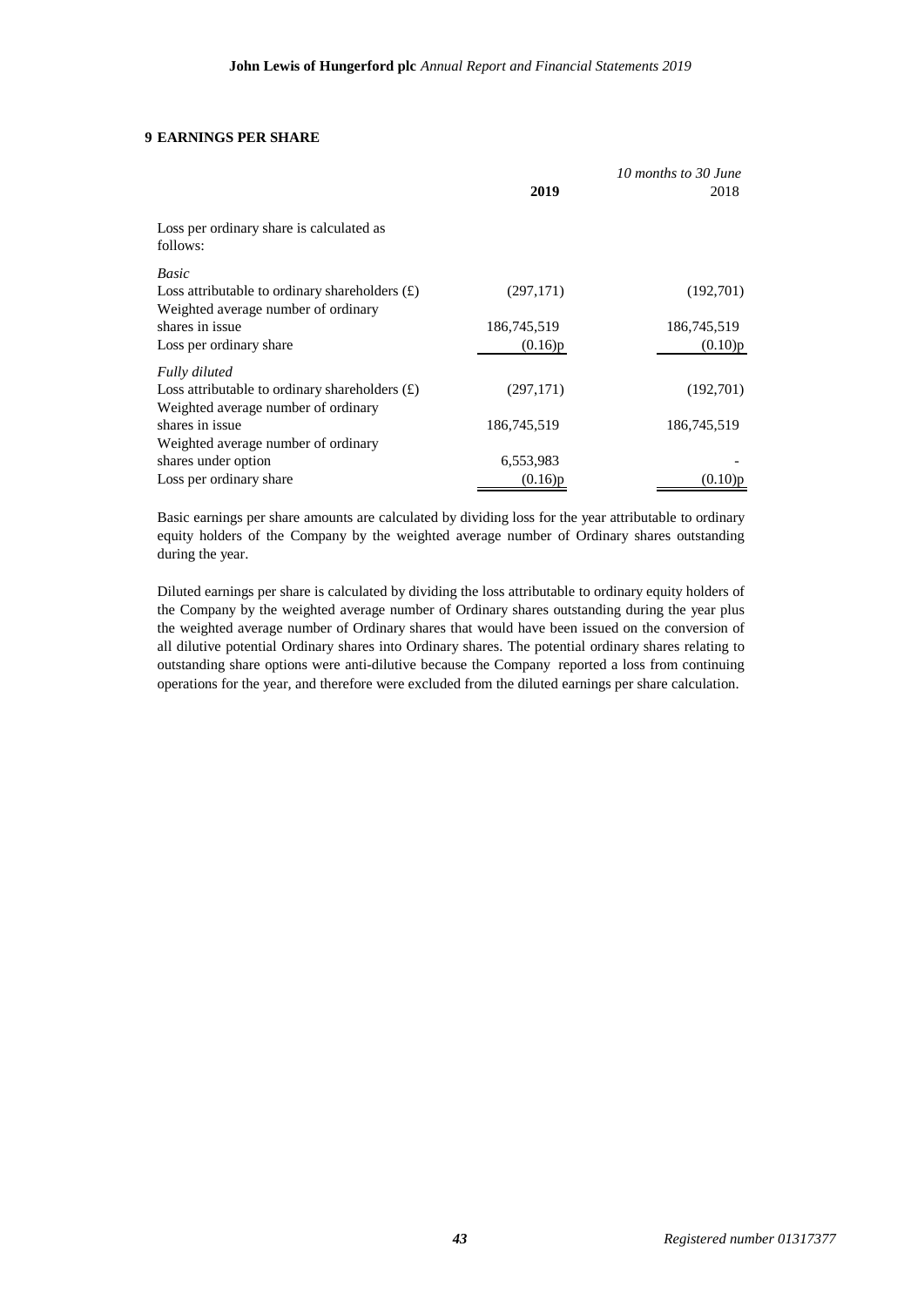## **9 EARNINGS PER SHARE**

|                                                  | 2019        | 10 months to 30 June<br>2018 |
|--------------------------------------------------|-------------|------------------------------|
|                                                  |             |                              |
| Loss per ordinary share is calculated as         |             |                              |
| follows:                                         |             |                              |
| Basic                                            |             |                              |
| Loss attributable to ordinary shareholders $(f)$ | (297, 171)  | (192,701)                    |
| Weighted average number of ordinary              |             |                              |
| shares in issue                                  | 186,745,519 | 186,745,519                  |
| Loss per ordinary share                          | (0.16)p     | (0.10)p                      |
| <b>Fully</b> diluted                             |             |                              |
| Loss attributable to ordinary shareholders $(f)$ | (297, 171)  | (192,701)                    |
| Weighted average number of ordinary              |             |                              |
| shares in issue                                  | 186,745,519 | 186,745,519                  |
| Weighted average number of ordinary              |             |                              |
| shares under option                              | 6,553,983   |                              |
| Loss per ordinary share                          | (0.16)p     | (0.10)p                      |

Basic earnings per share amounts are calculated by dividing loss for the year attributable to ordinary equity holders of the Company by the weighted average number of Ordinary shares outstanding during the year.

Diluted earnings per share is calculated by dividing the loss attributable to ordinary equity holders of the Company by the weighted average number of Ordinary shares outstanding during the year plus the weighted average number of Ordinary shares that would have been issued on the conversion of all dilutive potential Ordinary shares into Ordinary shares. The potential ordinary shares relating to outstanding share options were anti-dilutive because the Company reported a loss from continuing operations for the year, and therefore were excluded from the diluted earnings per share calculation.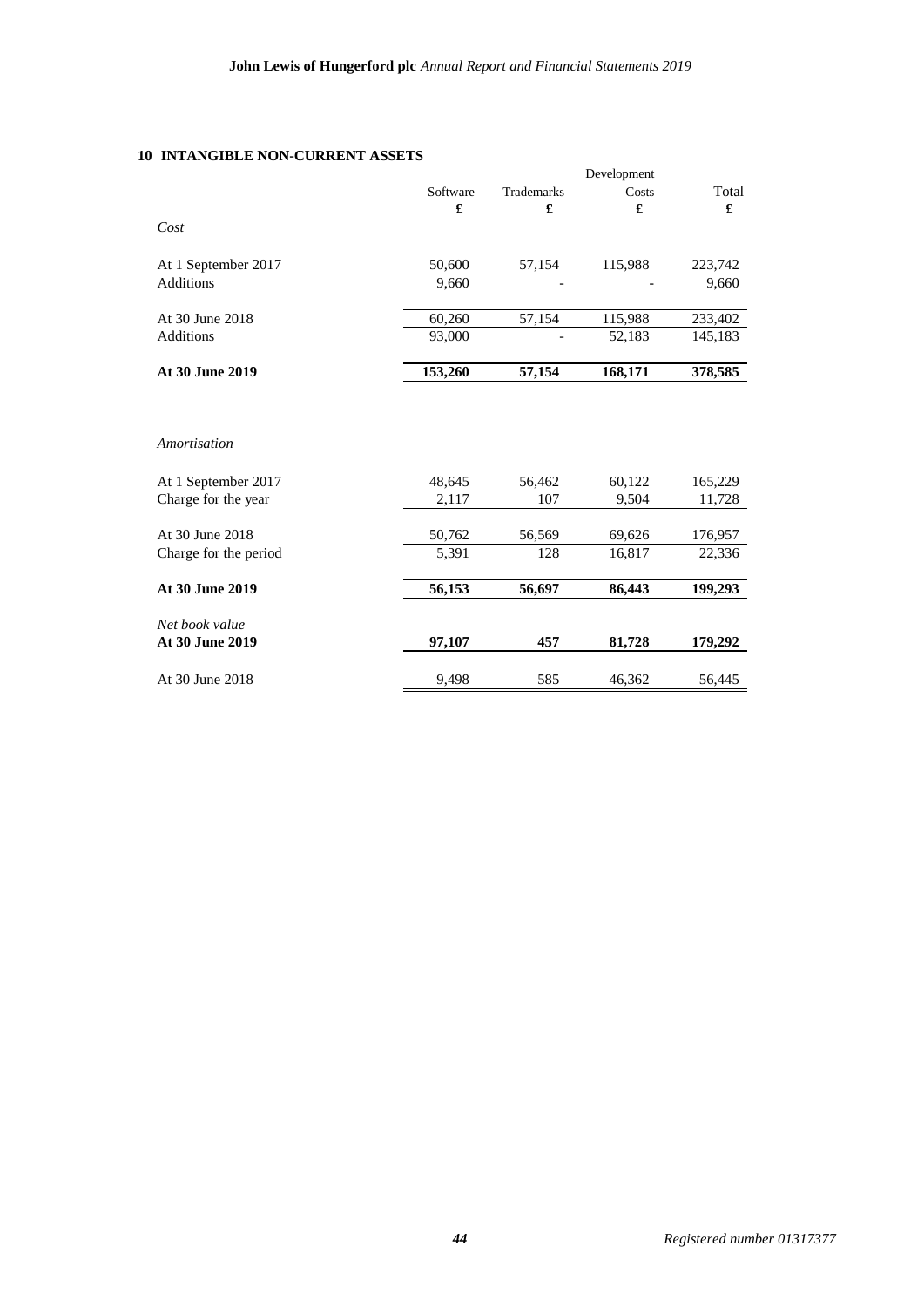## **10 INTANGIBLE NON-CURRENT ASSETS**

|                       |          |            | Development |         |
|-----------------------|----------|------------|-------------|---------|
|                       | Software | Trademarks | Costs       | Total   |
|                       | £        | £          | £           | £       |
| Cost                  |          |            |             |         |
| At 1 September 2017   | 50,600   | 57,154     | 115,988     | 223,742 |
| <b>Additions</b>      | 9,660    |            |             | 9,660   |
| At 30 June 2018       | 60,260   | 57,154     | 115,988     | 233,402 |
| <b>Additions</b>      | 93,000   |            | 52,183      | 145,183 |
| At 30 June 2019       | 153,260  | 57,154     | 168,171     | 378,585 |
| Amortisation          |          |            |             |         |
|                       |          |            |             |         |
| At 1 September 2017   | 48,645   | 56,462     | 60,122      | 165,229 |
| Charge for the year   | 2,117    | 107        | 9,504       | 11,728  |
| At 30 June 2018       | 50,762   | 56,569     | 69,626      | 176,957 |
| Charge for the period | 5,391    | 128        | 16,817      | 22,336  |
| At 30 June 2019       | 56,153   | 56,697     | 86,443      | 199,293 |
| Net book value        |          |            |             |         |
| At 30 June 2019       | 97,107   | 457        | 81,728      | 179,292 |
| At 30 June 2018       | 9,498    | 585        | 46,362      | 56,445  |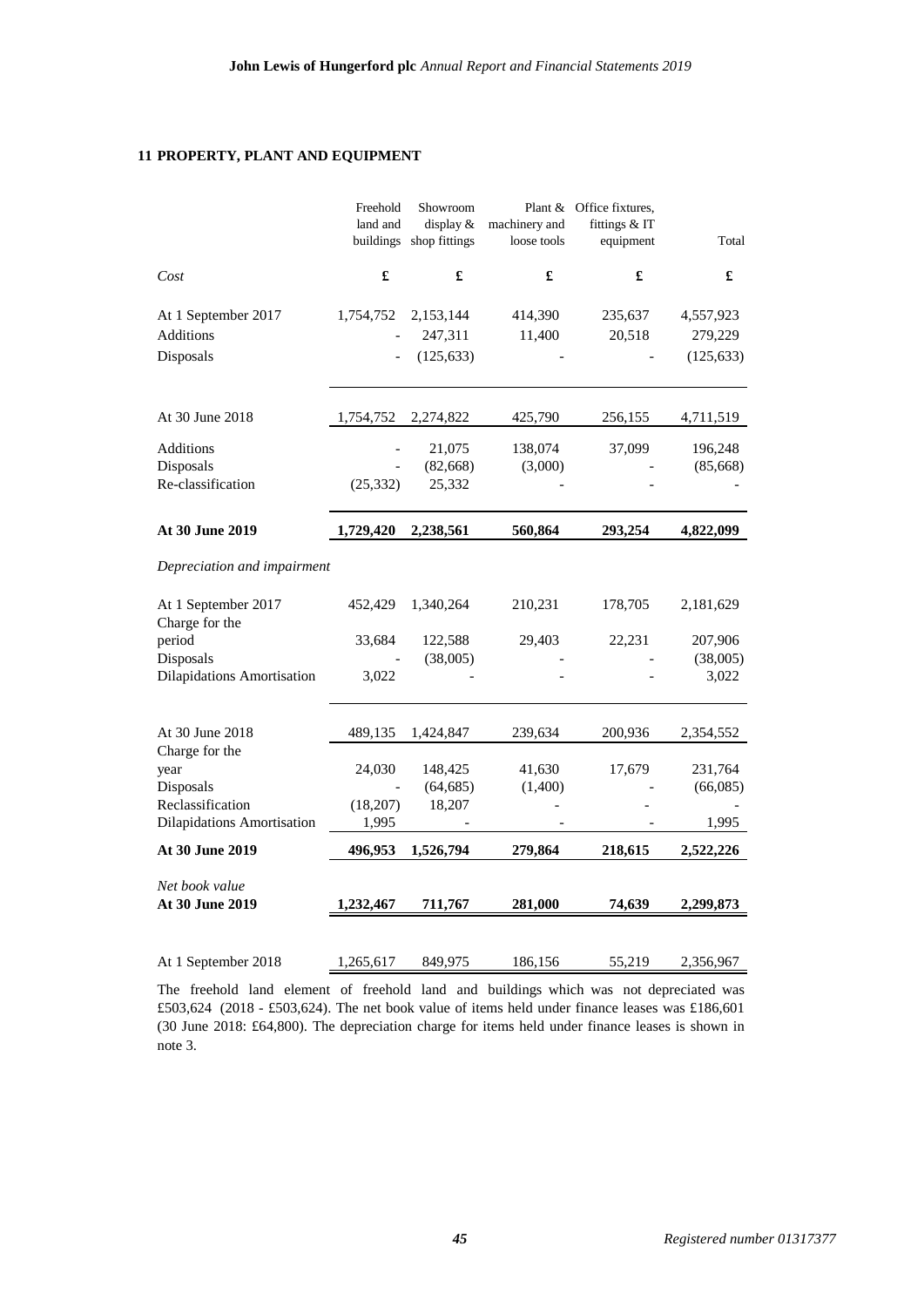## **11 PROPERTY, PLANT AND EQUIPMENT**

|                                                       | Freehold<br>land and | Showroom<br>display $&$<br>buildings shop fittings | machinery and<br>loose tools | Plant & Office fixtures,<br>fittings & IT<br>equipment | Total                |
|-------------------------------------------------------|----------------------|----------------------------------------------------|------------------------------|--------------------------------------------------------|----------------------|
| Cost                                                  | $\pmb{\mathfrak{L}}$ | £                                                  | £                            | £                                                      | $\pmb{\mathfrak{L}}$ |
| At 1 September 2017                                   | 1,754,752            | 2,153,144                                          | 414,390                      | 235,637                                                | 4,557,923            |
| <b>Additions</b>                                      |                      | 247,311                                            | 11,400                       | 20,518                                                 | 279,229              |
| Disposals                                             |                      | (125, 633)                                         |                              |                                                        | (125, 633)           |
| At 30 June 2018                                       | 1,754,752            | 2,274,822                                          | 425,790                      | 256,155                                                | 4,711,519            |
| Additions                                             |                      | 21,075                                             | 138,074                      | 37,099                                                 | 196,248              |
| Disposals                                             |                      | (82, 668)                                          | (3,000)                      |                                                        | (85, 668)            |
| Re-classification                                     | (25, 332)            | 25,332                                             |                              |                                                        |                      |
| At 30 June 2019                                       | 1,729,420            | 2,238,561                                          | 560,864                      | 293,254                                                | 4,822,099            |
| Depreciation and impairment                           |                      |                                                    |                              |                                                        |                      |
| At 1 September 2017<br>Charge for the                 | 452,429              | 1,340,264                                          | 210,231                      | 178,705                                                | 2,181,629            |
| period                                                | 33,684               | 122,588                                            | 29,403                       | 22,231                                                 | 207,906              |
| Disposals                                             |                      | (38,005)                                           |                              |                                                        | (38,005)             |
| <b>Dilapidations Amortisation</b>                     | 3,022                |                                                    |                              |                                                        | 3,022                |
| At 30 June 2018                                       | 489,135              | 1,424,847                                          | 239,634                      | 200,936                                                | 2,354,552            |
| Charge for the                                        |                      |                                                    |                              |                                                        |                      |
| year                                                  | 24,030               | 148,425                                            | 41,630                       | 17,679                                                 | 231,764              |
| Disposals                                             |                      | (64, 685)                                          | (1,400)                      |                                                        | (66,085)             |
| Reclassification<br><b>Dilapidations Amortisation</b> | (18,207)<br>1,995    | 18,207                                             |                              |                                                        | 1,995                |
| At 30 June 2019                                       | 496,953              | 1,526,794                                          | 279,864                      | 218,615                                                | 2,522,226            |
|                                                       |                      |                                                    |                              |                                                        |                      |
| Net book value<br>At 30 June 2019                     | 1,232,467            | 711,767                                            | 281,000                      | 74,639                                                 | 2,299,873            |
|                                                       |                      |                                                    |                              |                                                        |                      |
| At 1 September 2018                                   | 1,265,617            | 849,975                                            | 186,156                      | 55,219                                                 | 2,356,967            |

The freehold land element of freehold land and buildings which was not depreciated was £503,624 (2018 - £503,624). The net book value of items held under finance leases was £186,601 (30 June 2018: £64,800). The depreciation charge for items held under finance leases is shown in note 3.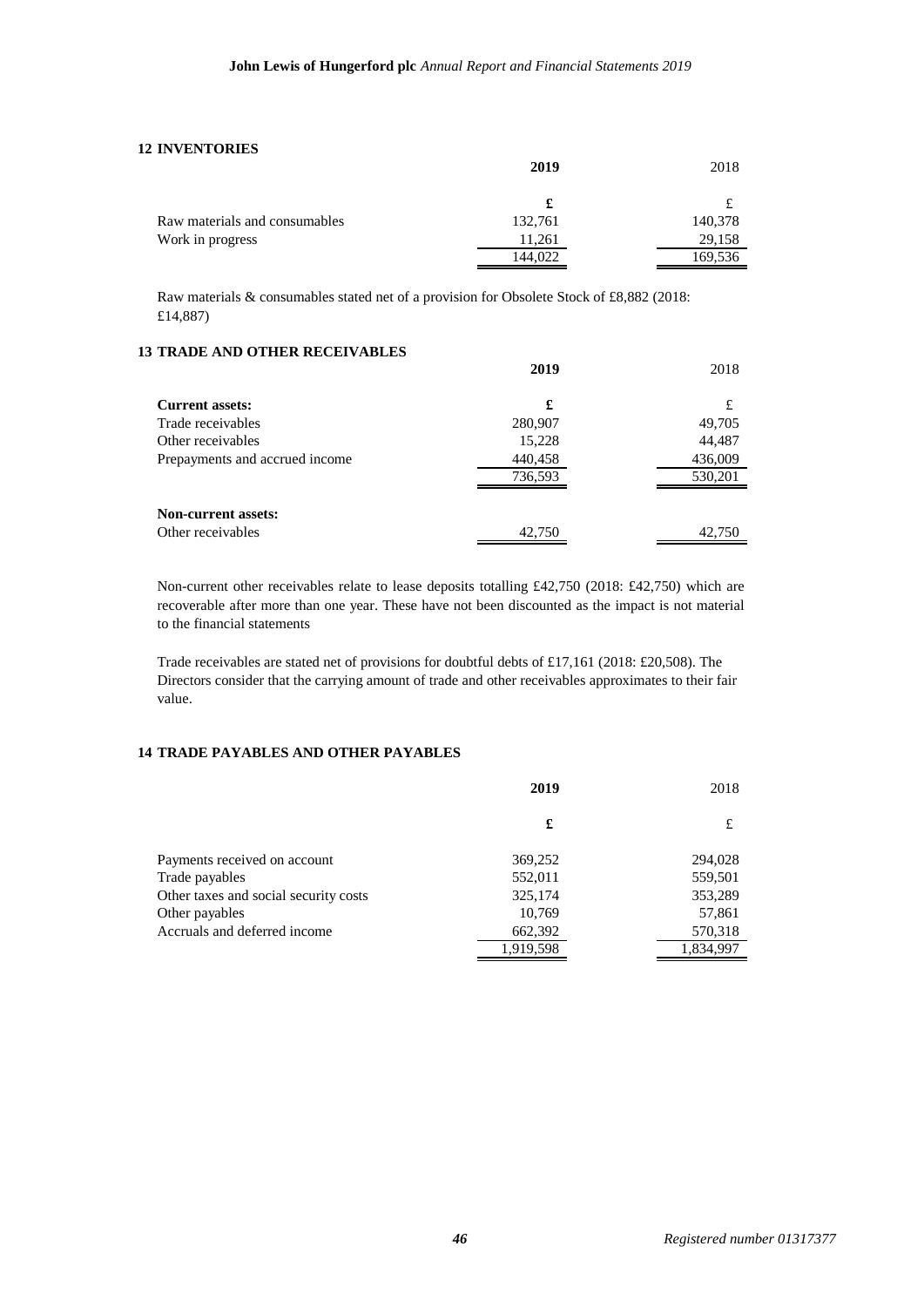## **12 INVENTORIES**

|                               | 2019    | 2018    |
|-------------------------------|---------|---------|
|                               |         | £       |
| Raw materials and consumables | 132,761 | 140,378 |
| Work in progress              | 11.261  | 29,158  |
|                               | 144.022 | 169,536 |

Raw materials & consumables stated net of a provision for Obsolete Stock of £8,882 (2018: £14,887)

## **13 TRADE AND OTHER RECEIVABLES**

|                                | 2019    | 2018    |
|--------------------------------|---------|---------|
| <b>Current assets:</b>         | £       | £       |
| Trade receivables              | 280,907 | 49,705  |
| Other receivables              | 15,228  | 44,487  |
| Prepayments and accrued income | 440,458 | 436,009 |
|                                | 736,593 | 530,201 |
| <b>Non-current assets:</b>     |         |         |
| Other receivables              | 42,750  | 42,750  |

Non-current other receivables relate to lease deposits totalling £42,750 (2018: £42,750) which are recoverable after more than one year. These have not been discounted as the impact is not material to the financial statements

Trade receivables are stated net of provisions for doubtful debts of £17,161 (2018: £20,508). The Directors consider that the carrying amount of trade and other receivables approximates to their fair value.

## **14 TRADE PAYABLES AND OTHER PAYABLES**

|                                       | 2019      | 2018      |
|---------------------------------------|-----------|-----------|
|                                       | £         | £         |
| Payments received on account          | 369,252   | 294,028   |
| Trade payables                        | 552,011   | 559,501   |
| Other taxes and social security costs | 325,174   | 353,289   |
| Other payables                        | 10,769    | 57,861    |
| Accruals and deferred income          | 662,392   | 570,318   |
|                                       | 1,919,598 | 1,834,997 |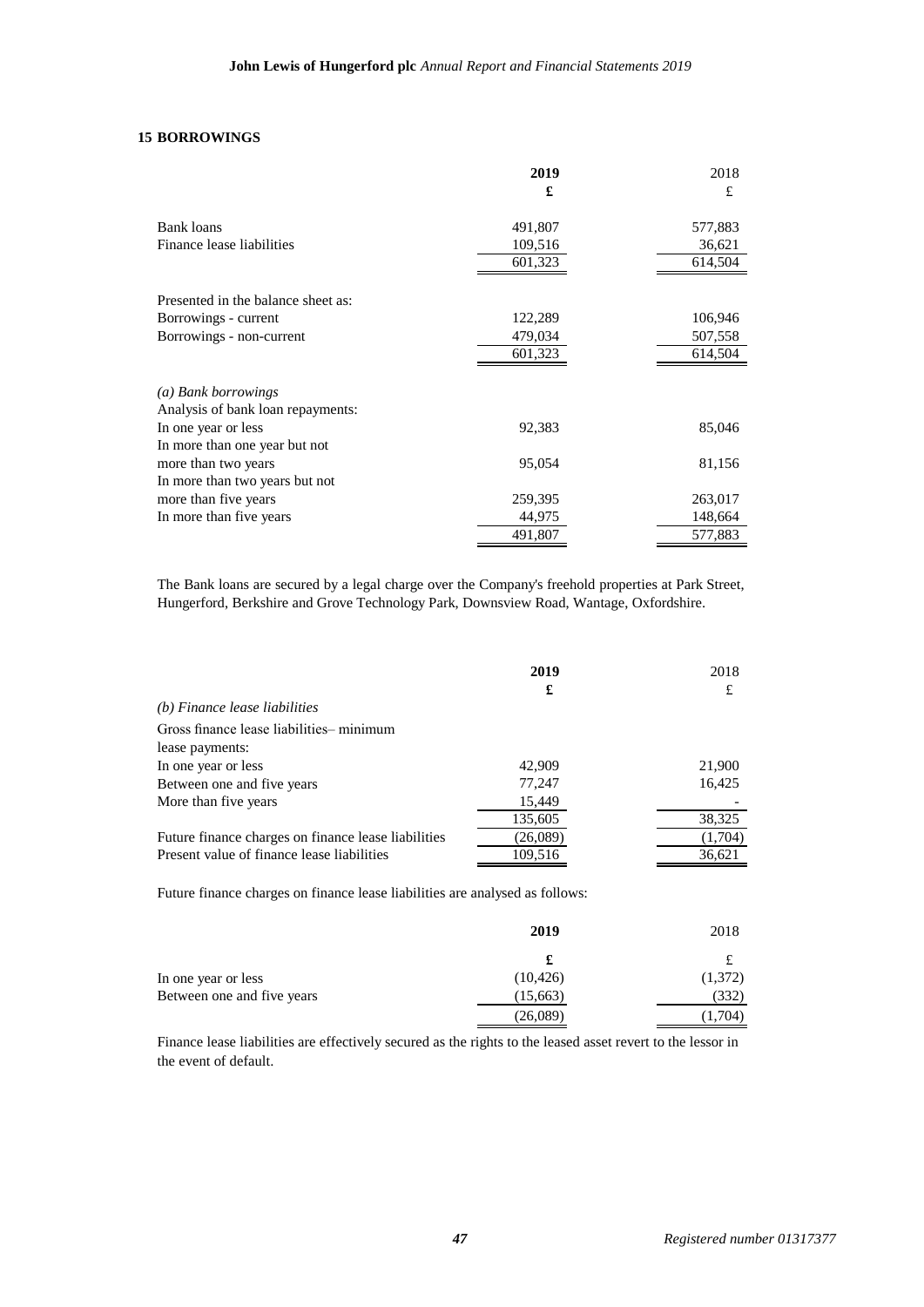## **15 BORROWINGS**

|                                    | 2019    | 2018    |
|------------------------------------|---------|---------|
|                                    | £       | £       |
| Bank loans                         | 491,807 | 577,883 |
| Finance lease liabilities          | 109,516 | 36,621  |
|                                    | 601,323 | 614,504 |
| Presented in the balance sheet as: |         |         |
| Borrowings - current               | 122,289 | 106,946 |
| Borrowings - non-current           | 479,034 | 507,558 |
|                                    | 601,323 | 614,504 |
|                                    |         |         |
| (a) Bank borrowings                |         |         |
| Analysis of bank loan repayments:  |         |         |
| In one year or less                | 92,383  | 85,046  |
| In more than one year but not      |         |         |
| more than two years                | 95,054  | 81,156  |
| In more than two years but not     |         |         |
| more than five years               | 259,395 | 263,017 |
| In more than five years            | 44,975  | 148,664 |
|                                    | 491,807 | 577,883 |

The Bank loans are secured by a legal charge over the Company's freehold properties at Park Street, Hungerford, Berkshire and Grove Technology Park, Downsview Road, Wantage, Oxfordshire.

|                                                     | 2019<br>£ | 2018<br>£ |
|-----------------------------------------------------|-----------|-----------|
| (b) Finance lease liabilities                       |           |           |
| Gross finance lease liabilities— minimum            |           |           |
| lease payments:                                     |           |           |
| In one year or less                                 | 42,909    | 21,900    |
| Between one and five years                          | 77,247    | 16,425    |
| More than five years                                | 15,449    |           |
|                                                     | 135,605   | 38,325    |
| Future finance charges on finance lease liabilities | (26,089)  | (1,704)   |
| Present value of finance lease liabilities          | 109.516   | 36,621    |

Future finance charges on finance lease liabilities are analysed as follows:

|                            | 2019      | 2018    |
|----------------------------|-----------|---------|
|                            |           |         |
| In one year or less        | (10, 426) | (1,372) |
| Between one and five years | (15,663)  | (332)   |
|                            | (26,089)  | (1,704) |

Finance lease liabilities are effectively secured as the rights to the leased asset revert to the lessor in the event of default.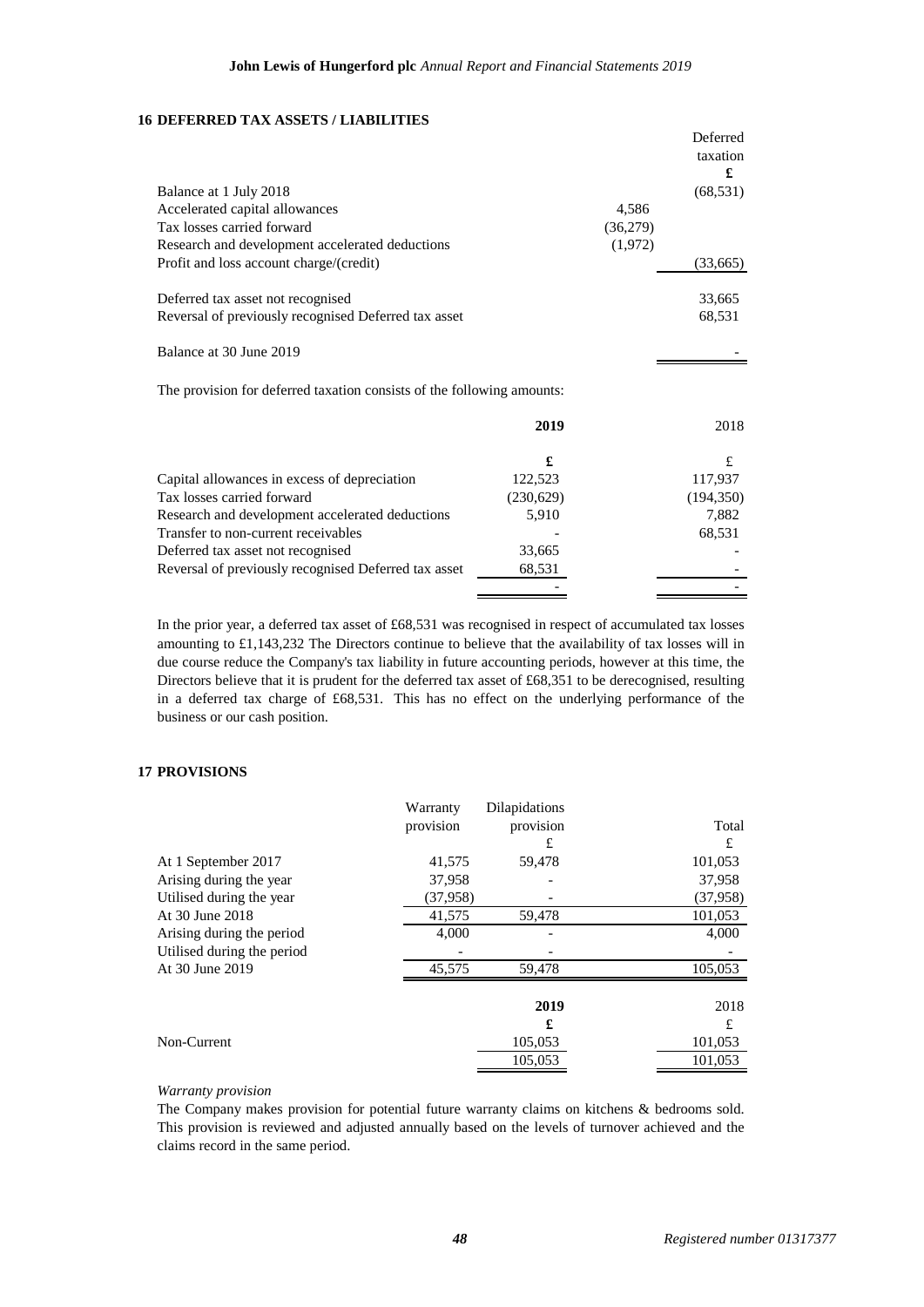## **16 DEFERRED TAX ASSETS / LIABILITIES**

|                                                                        |            |          | Deferred<br>taxation |
|------------------------------------------------------------------------|------------|----------|----------------------|
|                                                                        |            |          | £                    |
| Balance at 1 July 2018                                                 |            |          | (68, 531)            |
| Accelerated capital allowances                                         |            | 4,586    |                      |
| Tax losses carried forward                                             |            | (36,279) |                      |
| Research and development accelerated deductions                        |            | (1,972)  |                      |
| Profit and loss account charge/(credit)                                |            |          | (33,665)             |
| Deferred tax asset not recognised                                      |            |          | 33,665               |
| Reversal of previously recognised Deferred tax asset                   |            |          | 68,531               |
| Balance at 30 June 2019                                                |            |          |                      |
| The provision for deferred taxation consists of the following amounts: |            |          |                      |
|                                                                        | 2019       |          | 2018                 |
|                                                                        | £          |          | £                    |
| Capital allowances in excess of depreciation                           | 122,523    |          | 117,937              |
| Tax losses carried forward                                             | (230, 629) |          | (194, 350)           |
| Research and development accelerated deductions                        | 5,910      |          | 7,882                |
| Transfer to non-current receivables                                    |            |          | 68,531               |
| Deferred tax asset not recognised                                      | 33,665     |          |                      |
| Reversal of previously recognised Deferred tax asset                   | 68,531     |          |                      |
|                                                                        |            |          |                      |

In the prior year, a deferred tax asset of £68,531 was recognised in respect of accumulated tax losses amounting to £1,143,232 The Directors continue to believe that the availability of tax losses will in due course reduce the Company's tax liability in future accounting periods, however at this time, the Directors believe that it is prudent for the deferred tax asset of £68,351 to be derecognised, resulting in a deferred tax charge of £68,531. This has no effect on the underlying performance of the business or our cash position.

## **17 PROVISIONS**

|                            | Warranty  | Dilapidations |           |
|----------------------------|-----------|---------------|-----------|
|                            | provision | provision     | Total     |
|                            |           | £             | £         |
| At 1 September 2017        | 41,575    | 59,478        | 101,053   |
| Arising during the year    | 37,958    |               | 37,958    |
| Utilised during the year   | (37,958)  |               | (37, 958) |
| At 30 June 2018            | 41,575    | 59,478        | 101,053   |
| Arising during the period  | 4,000     |               | 4,000     |
| Utilised during the period |           |               |           |
| At 30 June 2019            | 45,575    | 59,478        | 105,053   |
|                            |           |               |           |
|                            |           | 2019          | 2018      |
|                            |           | £             | £         |
| Non-Current                |           | 105,053       | 101,053   |
|                            |           | 105,053       | 101,053   |
|                            |           |               |           |

## *Warranty provision*

The Company makes provision for potential future warranty claims on kitchens & bedrooms sold. This provision is reviewed and adjusted annually based on the levels of turnover achieved and the claims record in the same period.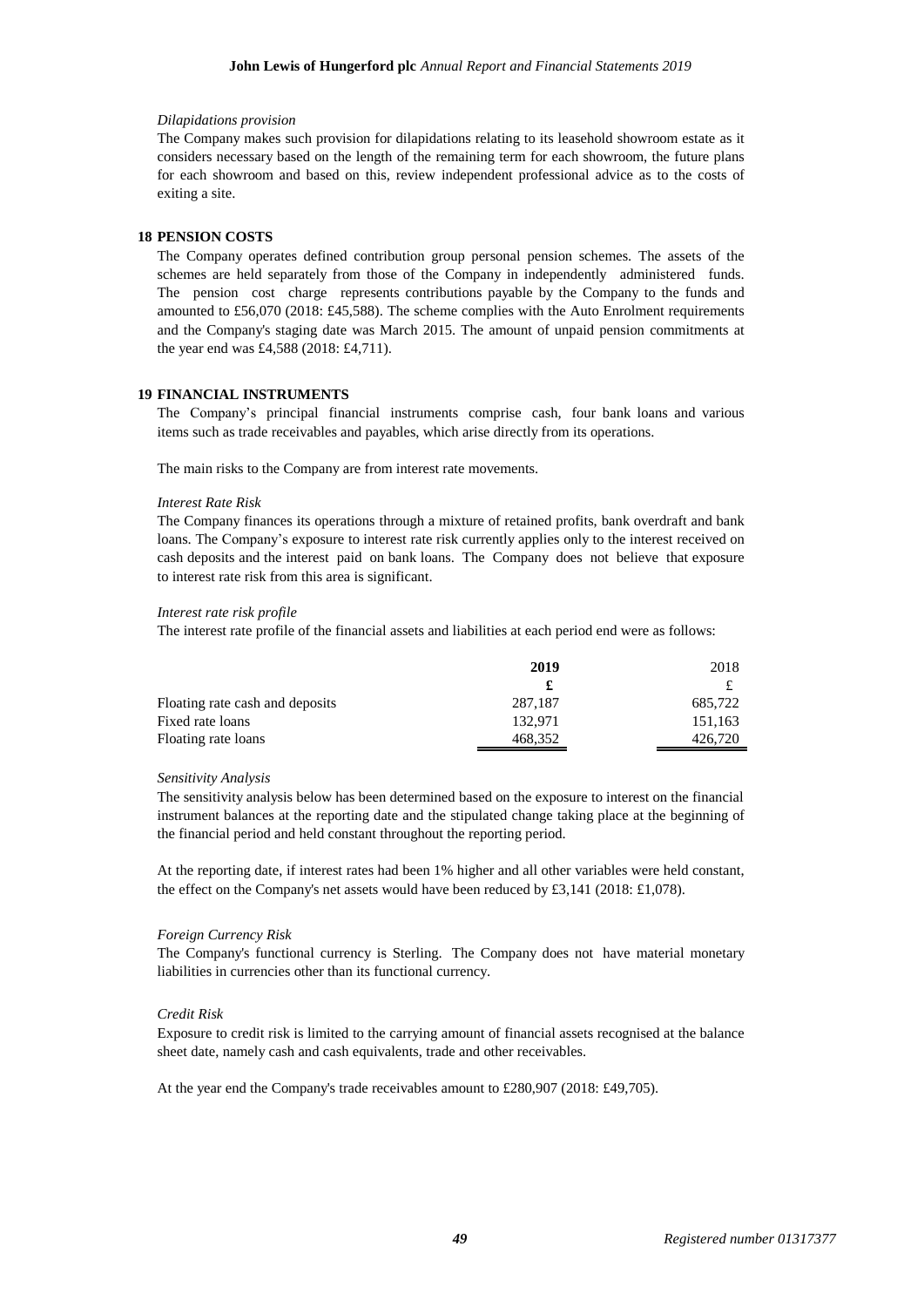#### *Dilapidations provision*

The Company makes such provision for dilapidations relating to its leasehold showroom estate as it considers necessary based on the length of the remaining term for each showroom, the future plans for each showroom and based on this, review independent professional advice as to the costs of exiting a site.

#### **18 PENSION COSTS**

The Company operates defined contribution group personal pension schemes. The assets of the schemes are held separately from those of the Company in independently administered funds. The pension cost charge represents contributions payable by the Company to the funds and amounted to £56,070 (2018: £45,588). The scheme complies with the Auto Enrolment requirements and the Company's staging date was March 2015. The amount of unpaid pension commitments at the year end was £4,588 (2018: £4,711).

#### **19 FINANCIAL INSTRUMENTS**

The Company's principal financial instruments comprise cash, four bank loans and various items such as trade receivables and payables, which arise directly from its operations.

The main risks to the Company are from interest rate movements.

#### *Interest Rate Risk*

The Company finances its operations through a mixture of retained profits, bank overdraft and bank loans. The Company's exposure to interest rate risk currently applies only to the interest received on cash deposits and the interest paid on bank loans. The Company does not believe that exposure to interest rate risk from this area is significant.

#### *Interest rate risk profile*

The interest rate profile of the financial assets and liabilities at each period end were as follows:

|                                 | 2019    | 2018    |
|---------------------------------|---------|---------|
|                                 |         |         |
| Floating rate cash and deposits | 287,187 | 685,722 |
| Fixed rate loans                | 132.971 | 151,163 |
| Floating rate loans             | 468,352 | 426.720 |

#### *Sensitivity Analysis*

The sensitivity analysis below has been determined based on the exposure to interest on the financial instrument balances at the reporting date and the stipulated change taking place at the beginning of the financial period and held constant throughout the reporting period.

At the reporting date, if interest rates had been 1% higher and all other variables were held constant, the effect on the Company's net assets would have been reduced by £3,141 (2018: £1,078).

#### *Foreign Currency Risk*

The Company's functional currency is Sterling. The Company does not have material monetary liabilities in currencies other than its functional currency.

#### *Credit Risk*

Exposure to credit risk is limited to the carrying amount of financial assets recognised at the balance sheet date, namely cash and cash equivalents, trade and other receivables.

At the year end the Company's trade receivables amount to £280,907 (2018: £49,705).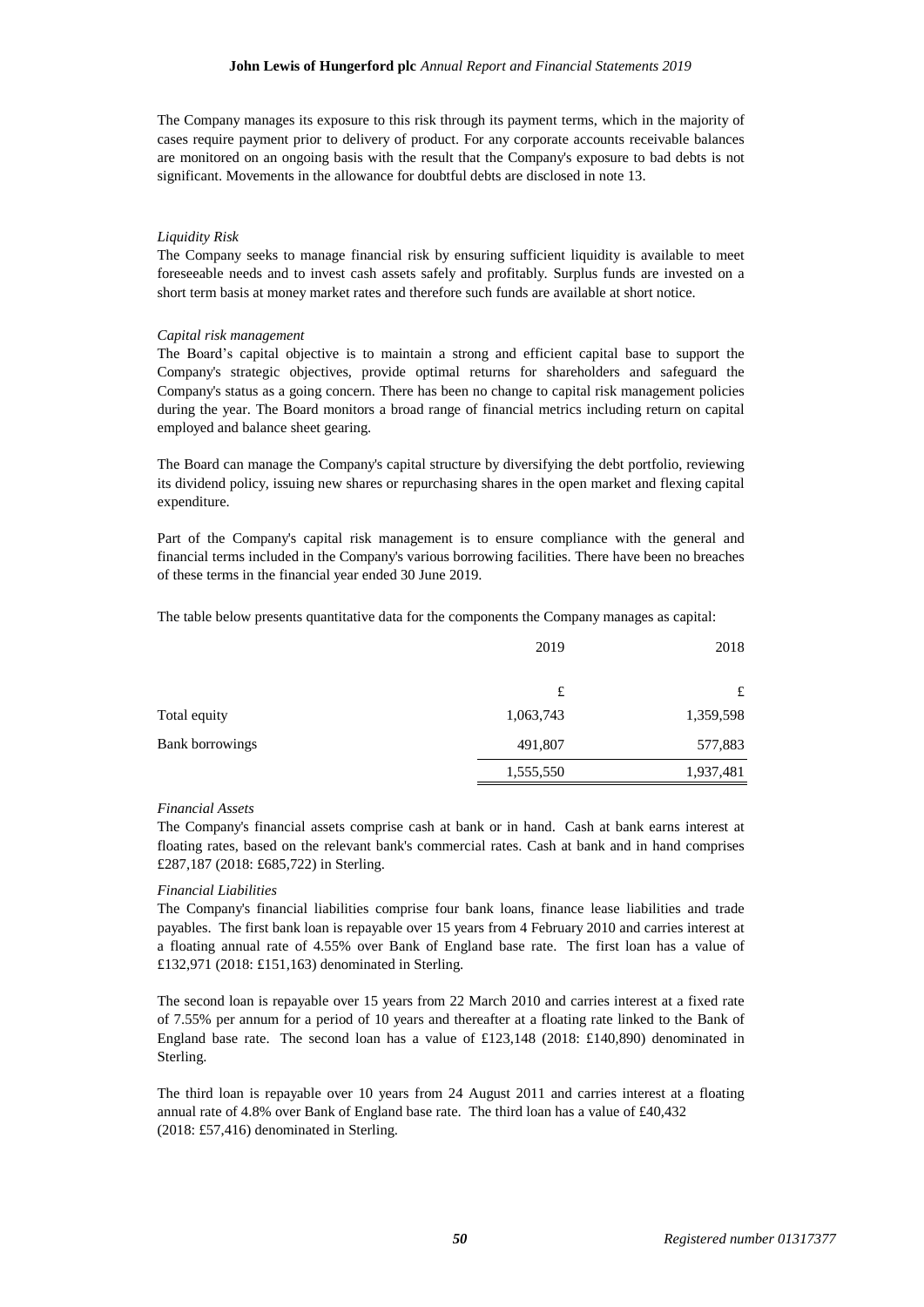The Company manages its exposure to this risk through its payment terms, which in the majority of cases require payment prior to delivery of product. For any corporate accounts receivable balances are monitored on an ongoing basis with the result that the Company's exposure to bad debts is not significant. Movements in the allowance for doubtful debts are disclosed in note 13.

#### *Liquidity Risk*

The Company seeks to manage financial risk by ensuring sufficient liquidity is available to meet foreseeable needs and to invest cash assets safely and profitably. Surplus funds are invested on a short term basis at money market rates and therefore such funds are available at short notice.

#### *Capital risk management*

The Board's capital objective is to maintain a strong and efficient capital base to support the Company's strategic objectives, provide optimal returns for shareholders and safeguard the Company's status as a going concern. There has been no change to capital risk management policies during the year. The Board monitors a broad range of financial metrics including return on capital employed and balance sheet gearing.

The Board can manage the Company's capital structure by diversifying the debt portfolio, reviewing its dividend policy, issuing new shares or repurchasing shares in the open market and flexing capital expenditure.

Part of the Company's capital risk management is to ensure compliance with the general and financial terms included in the Company's various borrowing facilities. There have been no breaches of these terms in the financial year ended 30 June 2019.

The table below presents quantitative data for the components the Company manages as capital:

|                        | 2019      | 2018      |
|------------------------|-----------|-----------|
|                        | £         | £         |
| Total equity           | 1,063,743 | 1,359,598 |
| <b>Bank borrowings</b> | 491,807   | 577,883   |
|                        | 1,555,550 | 1,937,481 |

#### *Financial Assets*

The Company's financial assets comprise cash at bank or in hand. Cash at bank earns interest at floating rates, based on the relevant bank's commercial rates. Cash at bank and in hand comprises £287,187 (2018: £685,722) in Sterling.

#### *Financial Liabilities*

The Company's financial liabilities comprise four bank loans, finance lease liabilities and trade payables. The first bank loan is repayable over 15 years from 4 February 2010 and carries interest at a floating annual rate of 4.55% over Bank of England base rate. The first loan has a value of £132,971 (2018: £151,163) denominated in Sterling.

The second loan is repayable over 15 years from 22 March 2010 and carries interest at a fixed rate of 7.55% per annum for a period of 10 years and thereafter at a floating rate linked to the Bank of England base rate. The second loan has a value of £123,148 (2018: £140,890) denominated in Sterling.

The third loan is repayable over 10 years from 24 August 2011 and carries interest at a floating annual rate of 4.8% over Bank of England base rate. The third loan has a value of £40,432 (2018: £57,416) denominated in Sterling.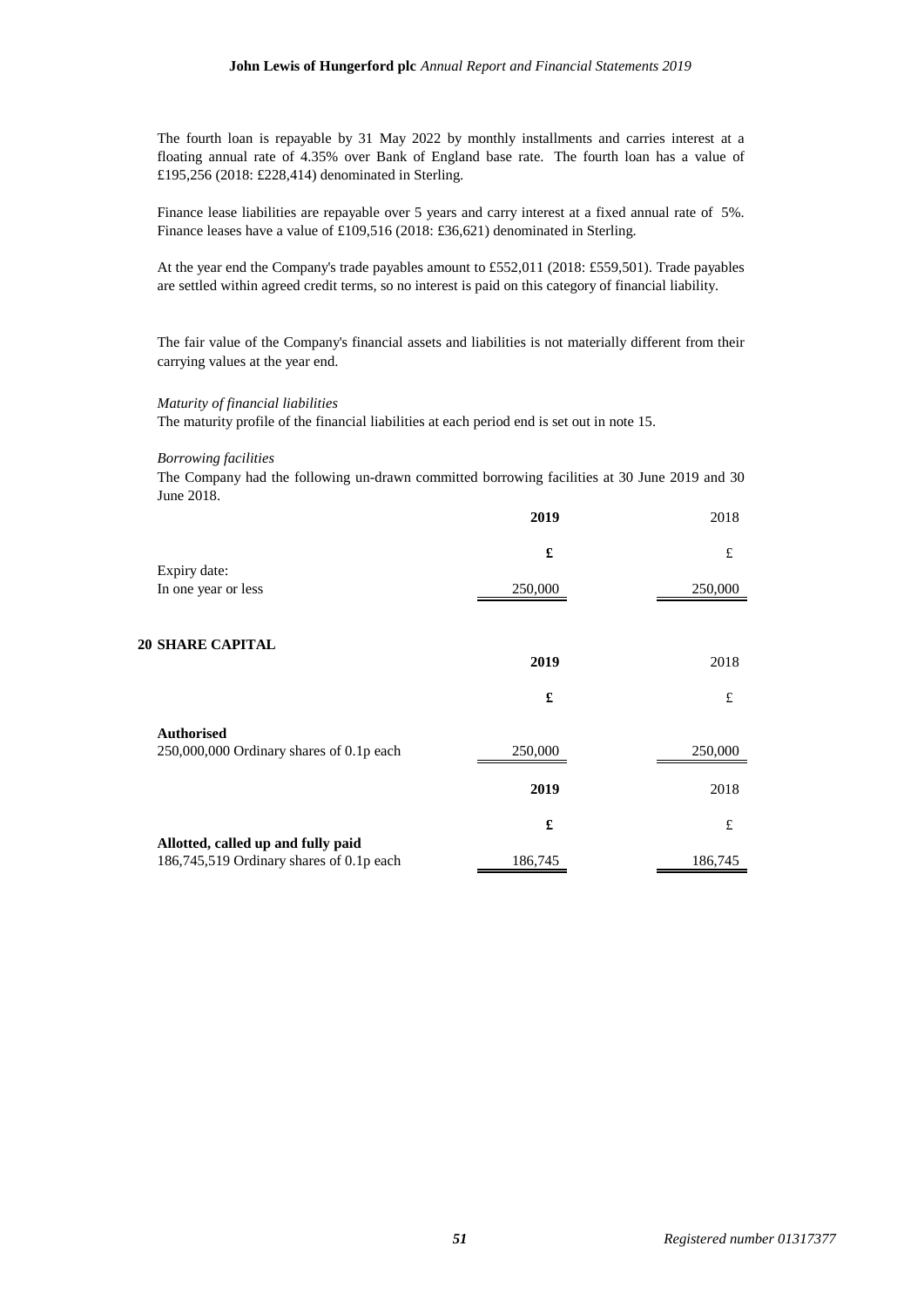The fourth loan is repayable by 31 May 2022 by monthly installments and carries interest at a floating annual rate of 4.35% over Bank of England base rate. The fourth loan has a value of £195,256 (2018: £228,414) denominated in Sterling.

Finance lease liabilities are repayable over 5 years and carry interest at a fixed annual rate of 5%. Finance leases have a value of £109,516 (2018: £36,621) denominated in Sterling.

At the year end the Company's trade payables amount to £552,011 (2018: £559,501). Trade payables are settled within agreed credit terms, so no interest is paid on this category of financial liability.

The fair value of the Company's financial assets and liabilities is not materially different from their carrying values at the year end.

#### *Maturity of financial liabilities*

The maturity profile of the financial liabilities at each period end is set out in note 15.

#### *Borrowing facilities*

The Company had the following un-drawn committed borrowing facilities at 30 June 2019 and 30 June 2018.

|                                                                                | 2019    | 2018    |
|--------------------------------------------------------------------------------|---------|---------|
|                                                                                | £       | £       |
| Expiry date:<br>In one year or less                                            | 250,000 | 250,000 |
| <b>20 SHARE CAPITAL</b>                                                        |         |         |
|                                                                                | 2019    | 2018    |
|                                                                                | £       | £       |
| <b>Authorised</b>                                                              |         |         |
| 250,000,000 Ordinary shares of 0.1p each                                       | 250,000 | 250,000 |
|                                                                                | 2019    | 2018    |
|                                                                                | £       | £       |
| Allotted, called up and fully paid<br>186,745,519 Ordinary shares of 0.1p each | 186,745 | 186,745 |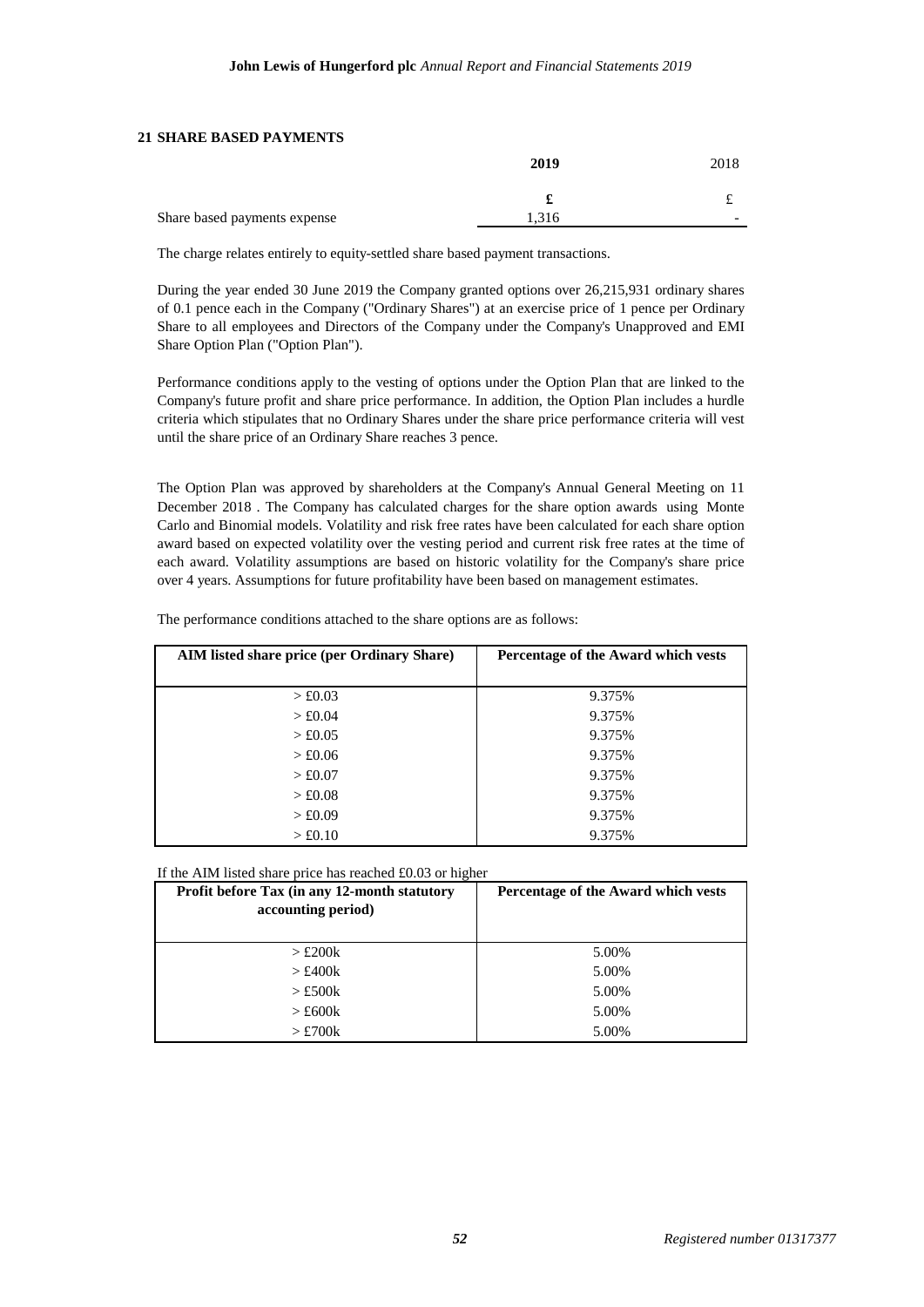## **21 SHARE BASED PAYMENTS**

|                              | 2019  | 2018 |
|------------------------------|-------|------|
|                              |       | J    |
| Share based payments expense | 1,316 | -    |

The charge relates entirely to equity-settled share based payment transactions.

During the year ended 30 June 2019 the Company granted options over 26,215,931 ordinary shares of 0.1 pence each in the Company ("Ordinary Shares") at an exercise price of 1 pence per Ordinary Share to all employees and Directors of the Company under the Company's Unapproved and EMI Share Option Plan ("Option Plan").

Performance conditions apply to the vesting of options under the Option Plan that are linked to the Company's future profit and share price performance. In addition, the Option Plan includes a hurdle criteria which stipulates that no Ordinary Shares under the share price performance criteria will vest until the share price of an Ordinary Share reaches 3 pence.

The Option Plan was approved by shareholders at the Company's Annual General Meeting on 11 December 2018 . The Company has calculated charges for the share option awards using Monte Carlo and Binomial models. Volatility and risk free rates have been calculated for each share option award based on expected volatility over the vesting period and current risk free rates at the time of each award. Volatility assumptions are based on historic volatility for the Company's share price over 4 years. Assumptions for future profitability have been based on management estimates.

| AIM listed share price (per Ordinary Share) | Percentage of the Award which vests |
|---------------------------------------------|-------------------------------------|
|                                             |                                     |
| > £0.03                                     | 9.375%                              |
| > £0.04                                     | 9.375%                              |
| > £0.05                                     | 9.375%                              |
| > £0.06                                     | 9.375%                              |
| > £0.07                                     | 9.375%                              |
| > £0.08                                     | 9.375%                              |
| > £0.09                                     | 9.375%                              |
| > £0.10                                     | 9.375%                              |

The performance conditions attached to the share options are as follows:

#### If the AIM listed share price has reached £0.03 or higher

| <b>Profit before Tax (in any 12-month statutory</b><br>accounting period) | Percentage of the Award which vests |
|---------------------------------------------------------------------------|-------------------------------------|
| $>$ £200 $k$                                                              | 5.00%                               |
| $>$ £400 $k$                                                              | 5.00%                               |
| $>$ £500 $k$                                                              | 5.00%                               |
| $>$ £600 $k$                                                              | 5.00%                               |
| $>$ £700 $k$                                                              | 5.00%                               |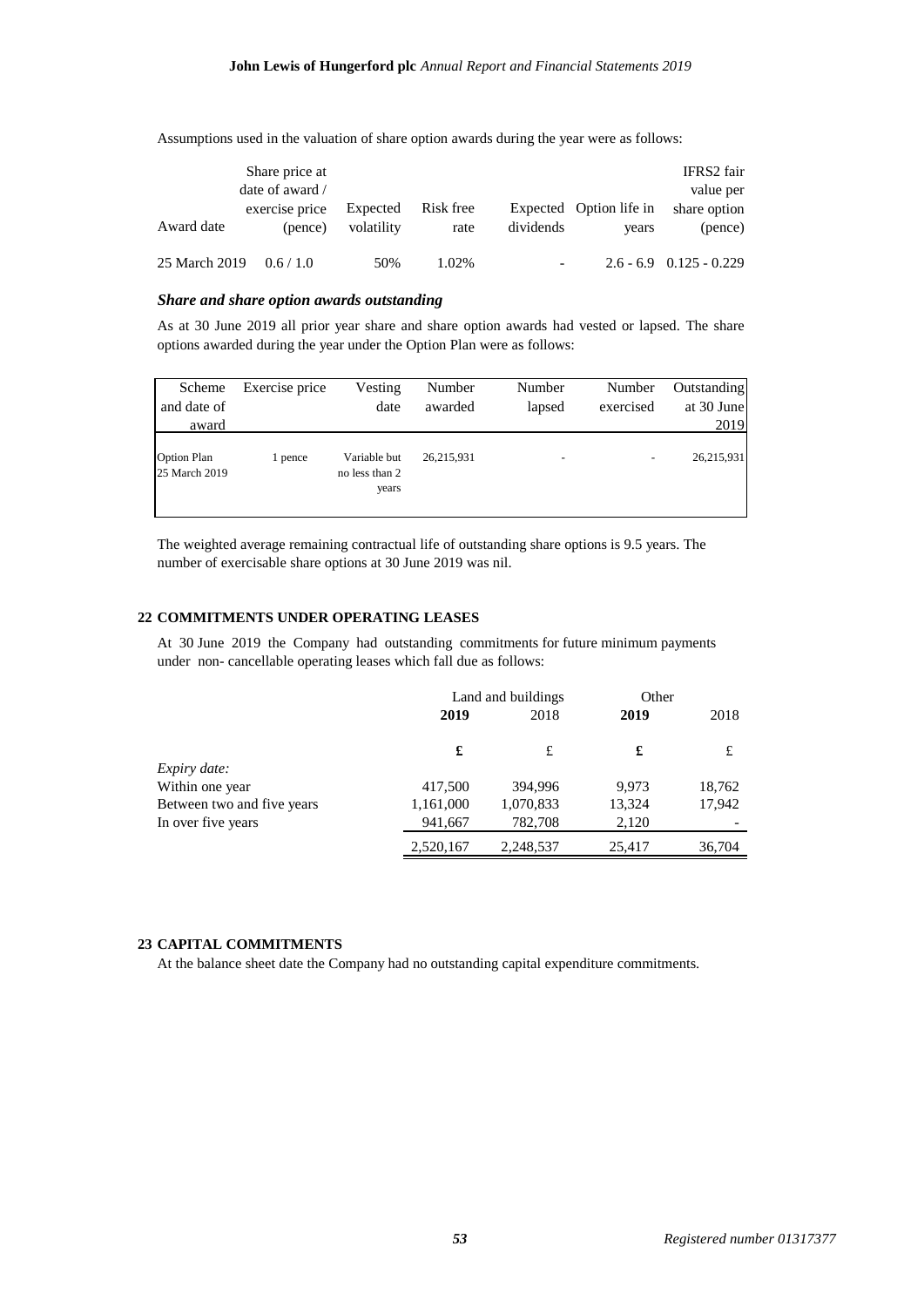Assumptions used in the valuation of share option awards during the year were as follows:

|               | Share price at<br>date of award / |                        |                   |                          |                                  | <b>IFRS2</b> fair<br>value per |
|---------------|-----------------------------------|------------------------|-------------------|--------------------------|----------------------------------|--------------------------------|
| Award date    | exercise price<br>(pence)         | Expected<br>volatility | Risk free<br>rate | dividends                | Expected Option life in<br>vears | share option<br>(pence)        |
| 25 March 2019 | 0.6/1.0                           | 50%                    | 1.02%             | $\overline{\phantom{a}}$ |                                  | $2.6 - 6.9$ 0.125 - 0.229      |

#### *Share and share option awards outstanding*

As at 30 June 2019 all prior year share and share option awards had vested or lapsed. The share options awarded during the year under the Option Plan were as follows:

| Scheme                              | Exercise price | Vesting                                 | Number     | Number                   | Number    | Outstanding |
|-------------------------------------|----------------|-----------------------------------------|------------|--------------------------|-----------|-------------|
| and date of                         |                | date                                    | awarded    | lapsed                   | exercised | at 30 June  |
| award                               |                |                                         |            |                          |           | 2019        |
| <b>Option Plan</b><br>25 March 2019 | 1 pence        | Variable but<br>no less than 2<br>years | 26,215,931 | $\overline{\phantom{0}}$ |           | 26,215,931  |

The weighted average remaining contractual life of outstanding share options is 9.5 years. The number of exercisable share options at 30 June 2019 was nil.

## **22 COMMITMENTS UNDER OPERATING LEASES**

At 30 June 2019 the Company had outstanding commitments for future minimum payments under non- cancellable operating leases which fall due as follows:

|                            | Land and buildings |           | Other  |        |
|----------------------------|--------------------|-----------|--------|--------|
|                            | 2019               | 2018      | 2019   | 2018   |
|                            | £                  | £         | £      | £      |
| Expiry date:               |                    |           |        |        |
| Within one year            | 417,500            | 394.996   | 9.973  | 18,762 |
| Between two and five years | 1,161,000          | 1,070,833 | 13,324 | 17,942 |
| In over five years         | 941,667            | 782,708   | 2,120  |        |
|                            | 2,520,167          | 2,248,537 | 25,417 | 36,704 |

## **23 CAPITAL COMMITMENTS**

At the balance sheet date the Company had no outstanding capital expenditure commitments. N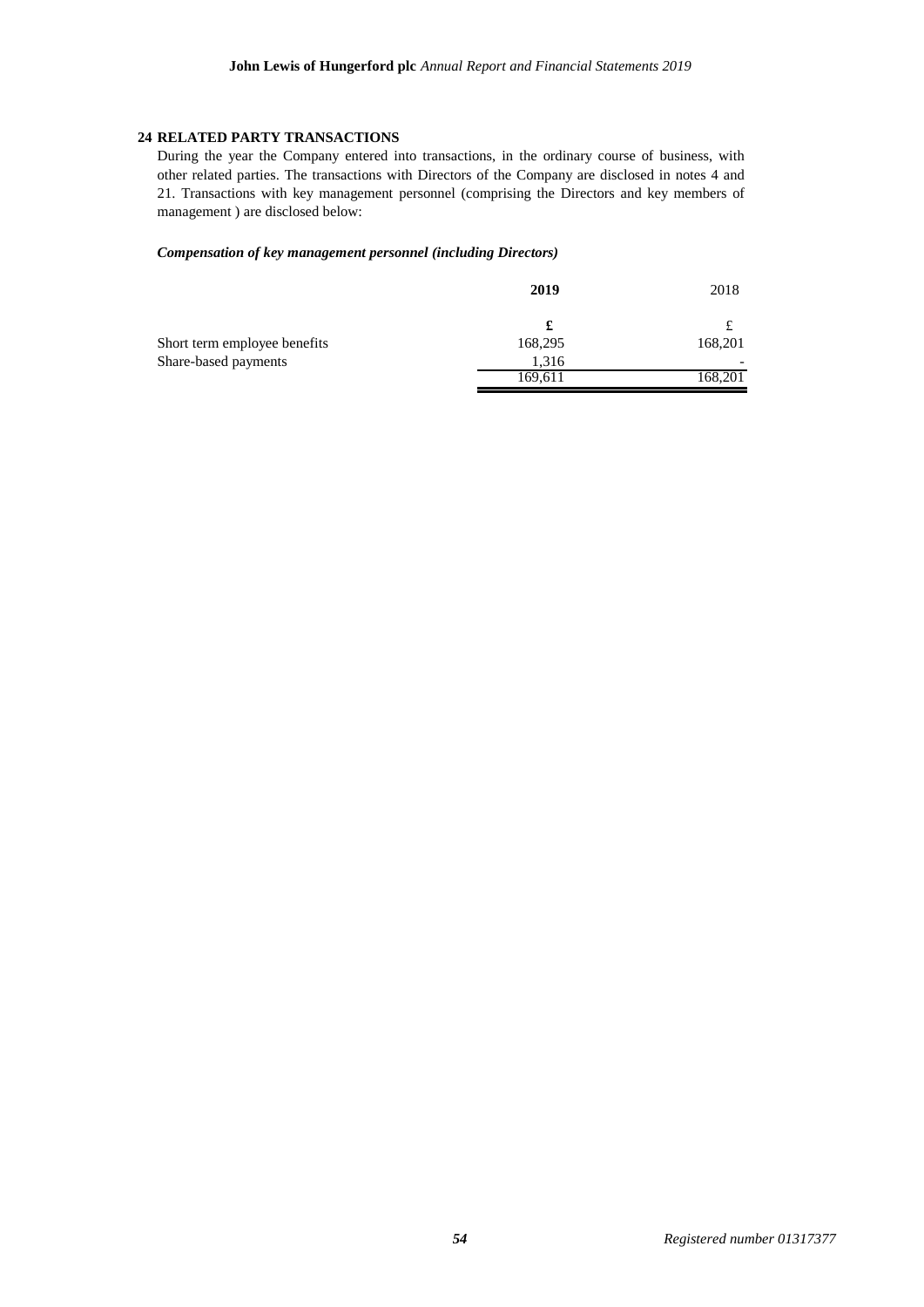## **24 RELATED PARTY TRANSACTIONS**

During the year the Company entered into transactions, in the ordinary course of business, with other related parties. The transactions with Directors of the Company are disclosed in notes 4 and 21. Transactions with key management personnel (comprising the Directors and key members of management ) are disclosed below:

## *Compensation of key management personnel (including Directors)*

|                              | 2019    | 2018    |
|------------------------------|---------|---------|
|                              |         |         |
| Short term employee benefits | 168,295 | 168,201 |
| Share-based payments         | 1.316   |         |
|                              | 169,611 | 168,201 |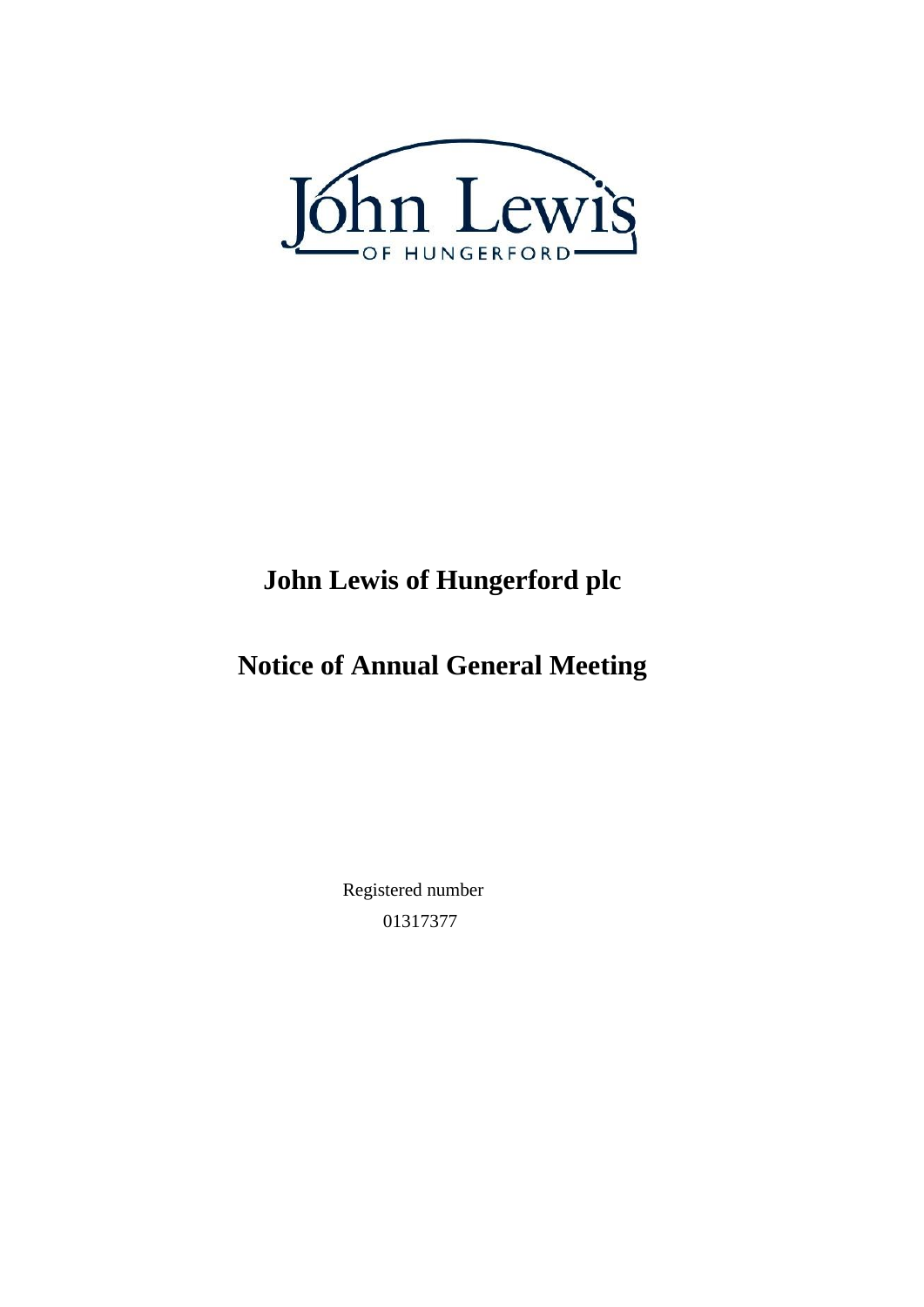

# **John Lewis of Hungerford plc**

# **Notice of Annual General Meeting**

 Registered number 01317377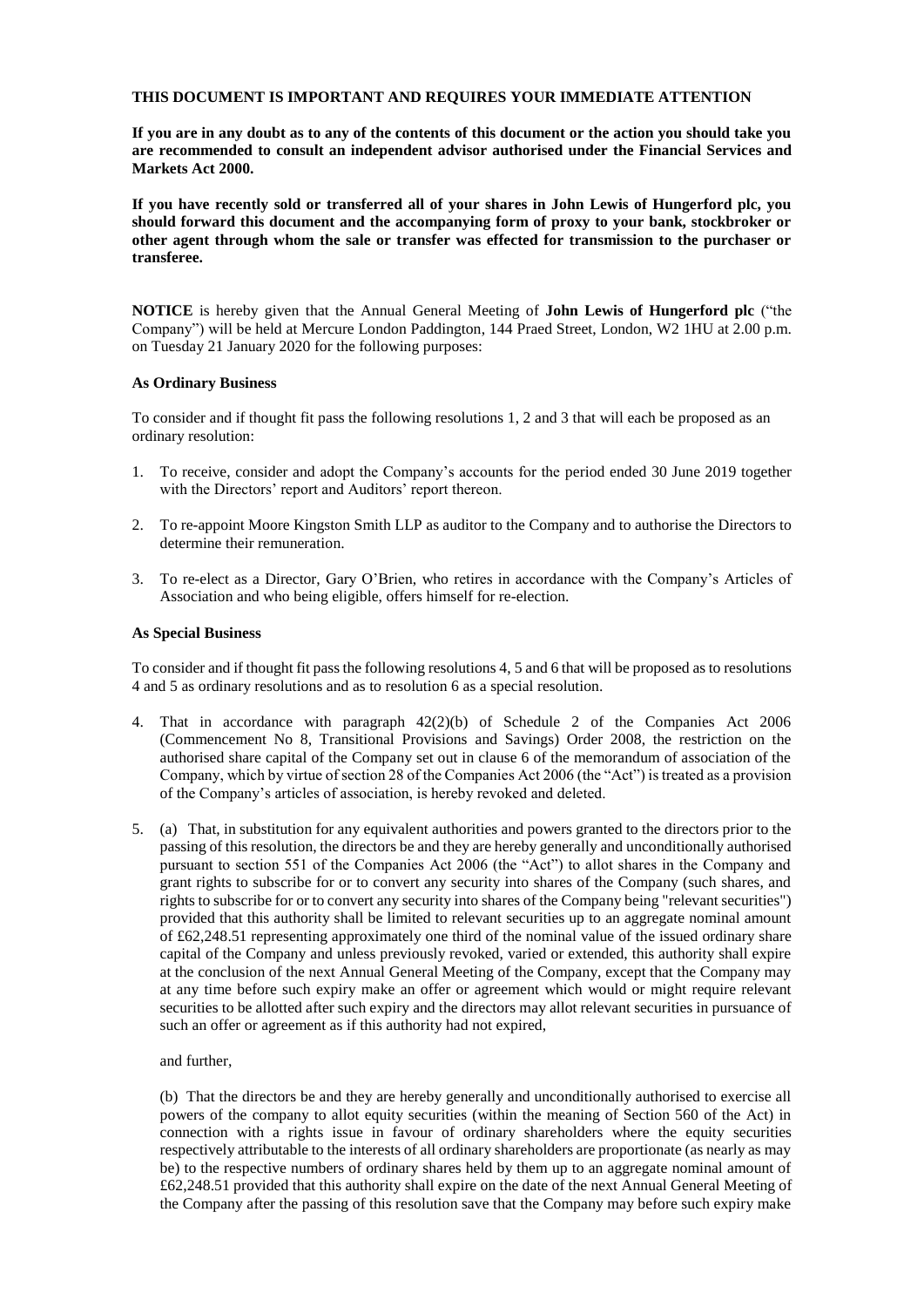#### **THIS DOCUMENT IS IMPORTANT AND REQUIRES YOUR IMMEDIATE ATTENTION**

**If you are in any doubt as to any of the contents of this document or the action you should take you are recommended to consult an independent advisor authorised under the Financial Services and Markets Act 2000.** 

**If you have recently sold or transferred all of your shares in John Lewis of Hungerford plc, you should forward this document and the accompanying form of proxy to your bank, stockbroker or other agent through whom the sale or transfer was effected for transmission to the purchaser or transferee.**

**NOTICE** is hereby given that the Annual General Meeting of **John Lewis of Hungerford plc** ("the Company") will be held at Mercure London Paddington, 144 Praed Street, London, W2 1HU at 2.00 p.m. on Tuesday 21 January 2020 for the following purposes:

### **As Ordinary Business**

To consider and if thought fit pass the following resolutions 1, 2 and 3 that will each be proposed as an ordinary resolution:

- 1. To receive, consider and adopt the Company's accounts for the period ended 30 June 2019 together with the Directors' report and Auditors' report thereon.
- 2. To re-appoint Moore Kingston Smith LLP as auditor to the Company and to authorise the Directors to determine their remuneration.
- 3. To re-elect as a Director, Gary O'Brien, who retires in accordance with the Company's Articles of Association and who being eligible, offers himself for re-election.

### **As Special Business**

To consider and if thought fit pass the following resolutions 4, 5 and 6 that will be proposed as to resolutions 4 and 5 as ordinary resolutions and as to resolution 6 as a special resolution.

- 4. That in accordance with paragraph 42(2)(b) of Schedule 2 of the Companies Act 2006 (Commencement No 8, Transitional Provisions and Savings) Order 2008, the restriction on the authorised share capital of the Company set out in clause 6 of the memorandum of association of the Company, which by virtue of section 28 of the Companies Act 2006 (the "Act") is treated as a provision of the Company's articles of association, is hereby revoked and deleted.
- 5. (a) That, in substitution for any equivalent authorities and powers granted to the directors prior to the passing of this resolution, the directors be and they are hereby generally and unconditionally authorised pursuant to section 551 of the Companies Act 2006 (the "Act") to allot shares in the Company and grant rights to subscribe for or to convert any security into shares of the Company (such shares, and rights to subscribe for or to convert any security into shares of the Company being "relevant securities") provided that this authority shall be limited to relevant securities up to an aggregate nominal amount of £62,248.51 representing approximately one third of the nominal value of the issued ordinary share capital of the Company and unless previously revoked, varied or extended, this authority shall expire at the conclusion of the next Annual General Meeting of the Company, except that the Company may at any time before such expiry make an offer or agreement which would or might require relevant securities to be allotted after such expiry and the directors may allot relevant securities in pursuance of such an offer or agreement as if this authority had not expired,

and further,

(b) That the directors be and they are hereby generally and unconditionally authorised to exercise all powers of the company to allot equity securities (within the meaning of Section 560 of the Act) in connection with a rights issue in favour of ordinary shareholders where the equity securities respectively attributable to the interests of all ordinary shareholders are proportionate (as nearly as may be) to the respective numbers of ordinary shares held by them up to an aggregate nominal amount of £62,248.51 provided that this authority shall expire on the date of the next Annual General Meeting of the Company after the passing of this resolution save that the Company may before such expiry make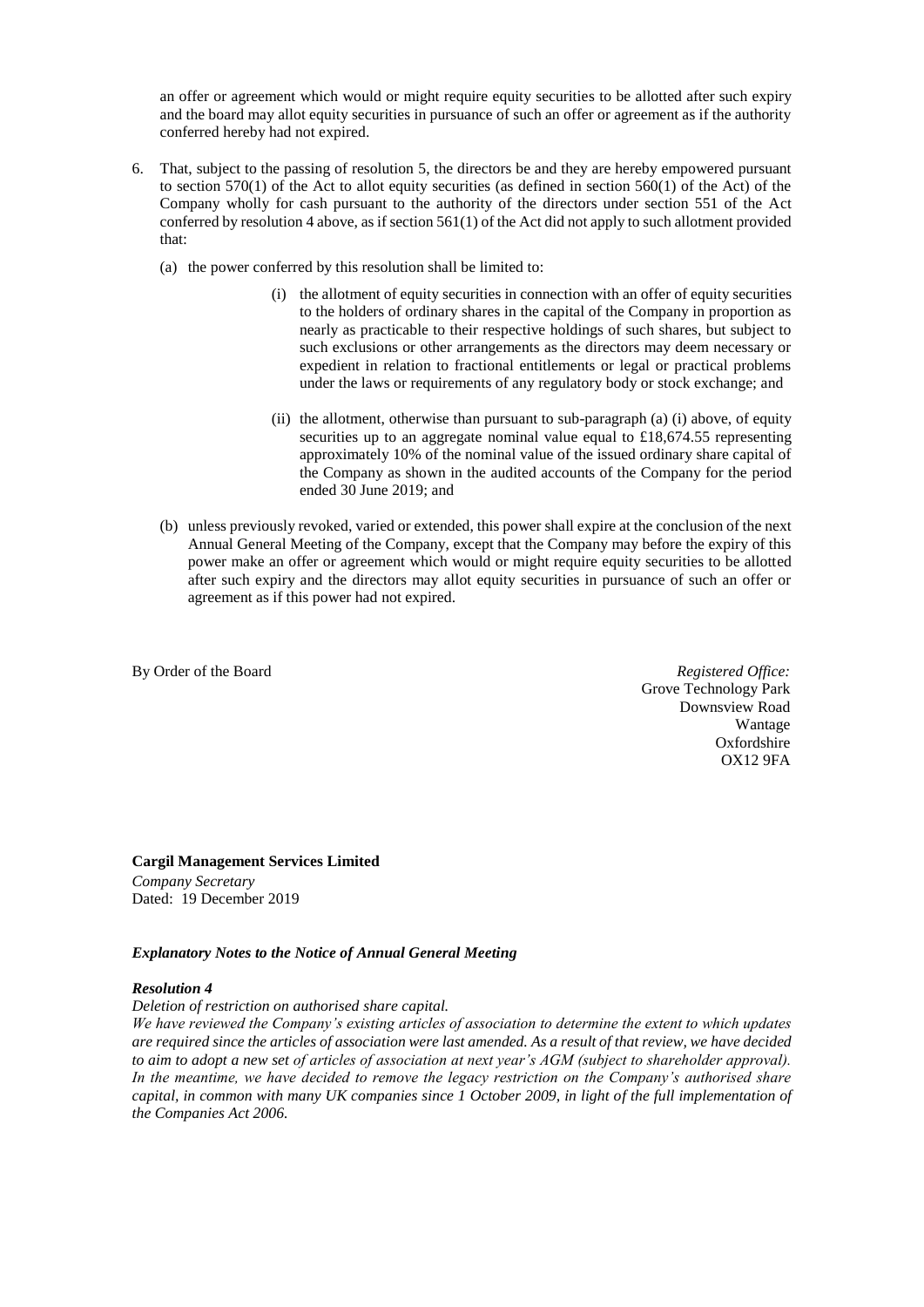an offer or agreement which would or might require equity securities to be allotted after such expiry and the board may allot equity securities in pursuance of such an offer or agreement as if the authority conferred hereby had not expired.

- 6. That, subject to the passing of resolution 5, the directors be and they are hereby empowered pursuant to section  $570(1)$  of the Act to allot equity securities (as defined in section  $560(1)$  of the Act) of the Company wholly for cash pursuant to the authority of the directors under section 551 of the Act conferred by resolution 4 above, as if section 561(1) of the Act did not apply to such allotment provided that:
	- (a) the power conferred by this resolution shall be limited to:
		- (i) the allotment of equity securities in connection with an offer of equity securities to the holders of ordinary shares in the capital of the Company in proportion as nearly as practicable to their respective holdings of such shares, but subject to such exclusions or other arrangements as the directors may deem necessary or expedient in relation to fractional entitlements or legal or practical problems under the laws or requirements of any regulatory body or stock exchange; and
		- (ii) the allotment, otherwise than pursuant to sub-paragraph (a) (i) above, of equity securities up to an aggregate nominal value equal to £18,674.55 representing approximately 10% of the nominal value of the issued ordinary share capital of the Company as shown in the audited accounts of the Company for the period ended 30 June 2019; and
	- (b) unless previously revoked, varied or extended, this power shall expire at the conclusion of the next Annual General Meeting of the Company, except that the Company may before the expiry of this power make an offer or agreement which would or might require equity securities to be allotted after such expiry and the directors may allot equity securities in pursuance of such an offer or agreement as if this power had not expired.

By Order of the Board *Registered Office: Registered Office:* 

 Grove Technology Park Downsview Road Wantage Oxfordshire OX12 9FA

**Cargil Management Services Limited**

*Company Secretary* Dated: 19 December 2019

## *Explanatory Notes to the Notice of Annual General Meeting*

## *Resolution 4*

*Deletion of restriction on authorised share capital.*

*We have reviewed the Company's existing articles of association to determine the extent to which updates are required since the articles of association were last amended. As a result of that review, we have decided to aim to adopt a new set of articles of association at next year's AGM (subject to shareholder approval). In the meantime, we have decided to remove the legacy restriction on the Company's authorised share capital, in common with many UK companies since 1 October 2009, in light of the full implementation of the Companies Act 2006.*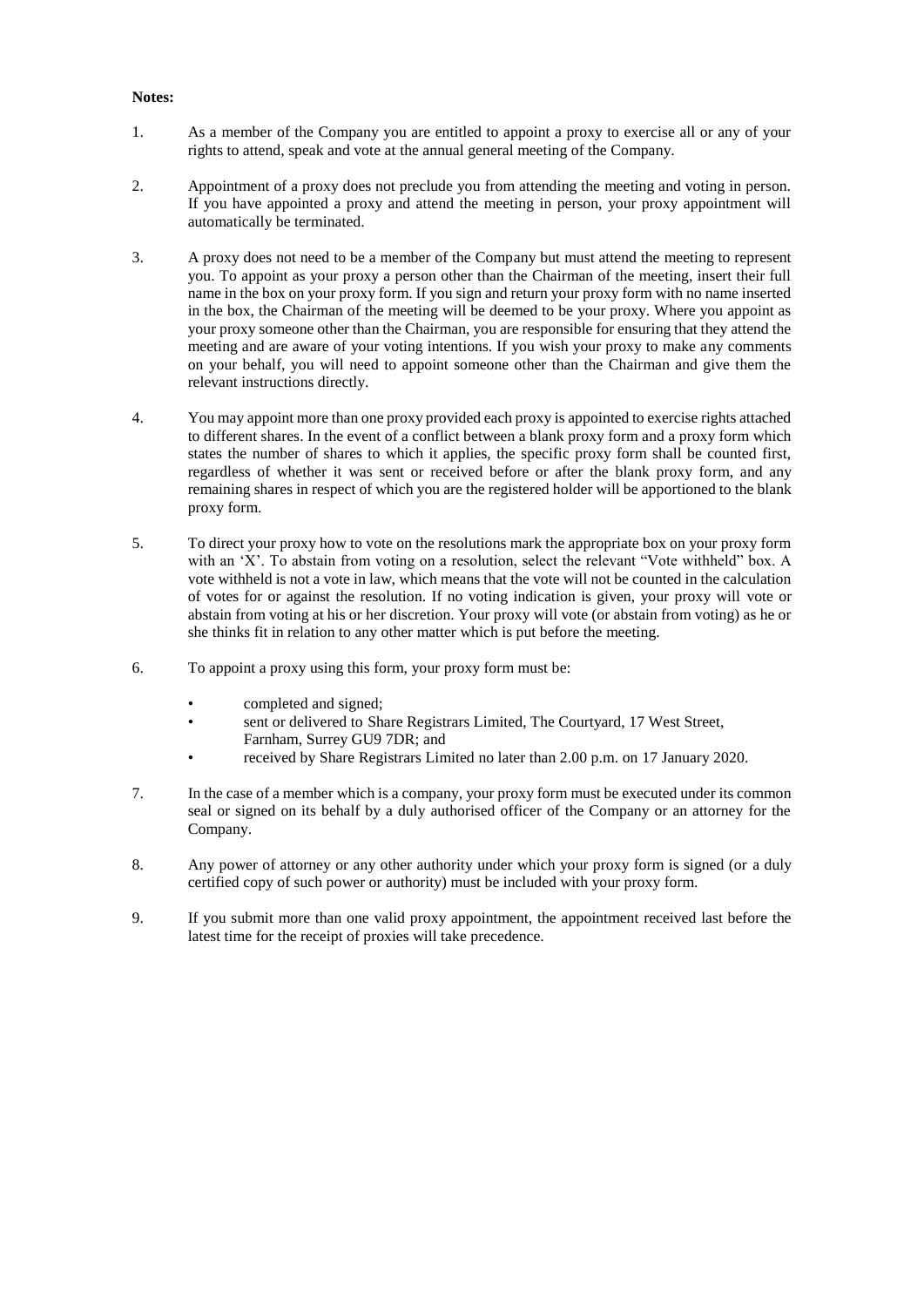## **Notes:**

- 1. As a member of the Company you are entitled to appoint a proxy to exercise all or any of your rights to attend, speak and vote at the annual general meeting of the Company.
- 2. Appointment of a proxy does not preclude you from attending the meeting and voting in person. If you have appointed a proxy and attend the meeting in person, your proxy appointment will automatically be terminated.
- 3. A proxy does not need to be a member of the Company but must attend the meeting to represent you. To appoint as your proxy a person other than the Chairman of the meeting, insert their full name in the box on your proxy form. If you sign and return your proxy form with no name inserted in the box, the Chairman of the meeting will be deemed to be your proxy. Where you appoint as your proxy someone other than the Chairman, you are responsible for ensuring that they attend the meeting and are aware of your voting intentions. If you wish your proxy to make any comments on your behalf, you will need to appoint someone other than the Chairman and give them the relevant instructions directly.
- 4. You may appoint more than one proxy provided each proxy is appointed to exercise rights attached to different shares. In the event of a conflict between a blank proxy form and a proxy form which states the number of shares to which it applies, the specific proxy form shall be counted first, regardless of whether it was sent or received before or after the blank proxy form, and any remaining shares in respect of which you are the registered holder will be apportioned to the blank proxy form.
- 5. To direct your proxy how to vote on the resolutions mark the appropriate box on your proxy form with an 'X'. To abstain from voting on a resolution, select the relevant "Vote withheld" box. A vote withheld is not a vote in law, which means that the vote will not be counted in the calculation of votes for or against the resolution. If no voting indication is given, your proxy will vote or abstain from voting at his or her discretion. Your proxy will vote (or abstain from voting) as he or she thinks fit in relation to any other matter which is put before the meeting.
- 6. To appoint a proxy using this form, your proxy form must be:
	- completed and signed;
	- sent or delivered to Share Registrars Limited, The Courtyard, 17 West Street, Farnham, Surrey GU9 7DR; and
	- received by Share Registrars Limited no later than 2.00 p.m. on 17 January 2020.
- 7. In the case of a member which is a company, your proxy form must be executed under its common seal or signed on its behalf by a duly authorised officer of the Company or an attorney for the Company.
- 8. Any power of attorney or any other authority under which your proxy form is signed (or a duly certified copy of such power or authority) must be included with your proxy form.
- 9. If you submit more than one valid proxy appointment, the appointment received last before the latest time for the receipt of proxies will take precedence.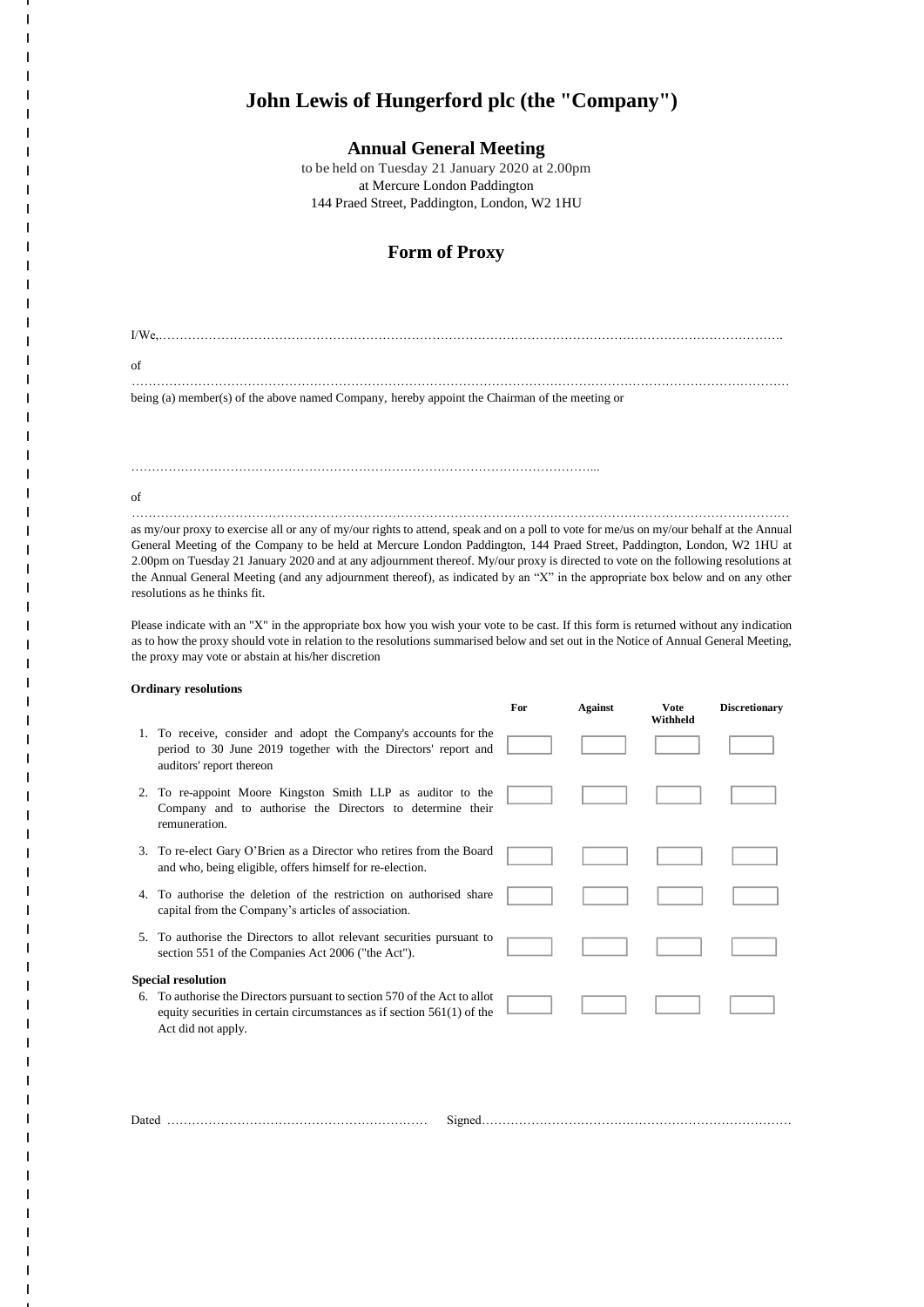## **John Lewis of Hungerford plc (the "Company")**

## **Annual General Meeting**

to be held on Tuesday 21 January 2020 at 2.00pm at Mercure London Paddington 144 Praed Street, Paddington, London, W2 1HU

## **Form of Proxy**

I/We,…………………………………………………………………………………………………………………………………….

of

…………………………………………………………………………………………………………………………………………… being (a) member(s) of the above named Company, hereby appoint the Chairman of the meeting or

…………………………………………………………………………………………………...

#### of

…………………………………………………………………………………………………………………………………………… as my/our proxy to exercise all or any of my/our rights to attend, speak and on a poll to vote for me/us on my/our behalf at the Annual General Meeting of the Company to be held at Mercure London Paddington, 144 Praed Street, Paddington, London, W2 1HU at 2.00pm on Tuesday 21 January 2020 and at any adjournment thereof. My/our proxy is directed to vote on the following resolutions at the Annual General Meeting (and any adjournment thereof), as indicated by an "X" in the appropriate box below and on any other resolutions as he thinks fit.

Please indicate with an "X" in the appropriate box how you wish your vote to be cast. If this form is returned without any indication as to how the proxy should vote in relation to the resolutions summarised below and set out in the Notice of Annual General Meeting, the proxy may vote or abstain at his/her discretion

#### **Ordinary resolutions**

|    |                                                                                                                                                                             | For | <b>Against</b> | Vote<br>Withheld | <b>Discretionary</b> |
|----|-----------------------------------------------------------------------------------------------------------------------------------------------------------------------------|-----|----------------|------------------|----------------------|
|    | To receive, consider and adopt the Company's accounts for the<br>period to 30 June 2019 together with the Directors' report and<br>auditors' report thereon                 |     |                |                  |                      |
| 2. | To re-appoint Moore Kingston Smith LLP as auditor to the<br>Company and to authorise the Directors to determine their<br>remuneration.                                      |     |                |                  |                      |
| 3. | To re-elect Gary O'Brien as a Director who retires from the Board<br>and who, being eligible, offers himself for re-election.                                               |     |                |                  |                      |
|    | To authorise the deletion of the restriction on authorised share<br>capital from the Company's articles of association.                                                     |     |                |                  |                      |
|    | 5. To authorise the Directors to allot relevant securities pursuant to<br>section 551 of the Companies Act 2006 ("the Act").                                                |     |                |                  |                      |
|    | <b>Special resolution</b>                                                                                                                                                   |     |                |                  |                      |
|    | 6. To authorise the Directors pursuant to section 570 of the Act to allot<br>equity securities in certain circumstances as if section $561(1)$ of the<br>Act did not apply. |     |                |                  |                      |
|    |                                                                                                                                                                             |     |                |                  |                      |

Dated ……………………………………………………… Signed…………………………………………………………………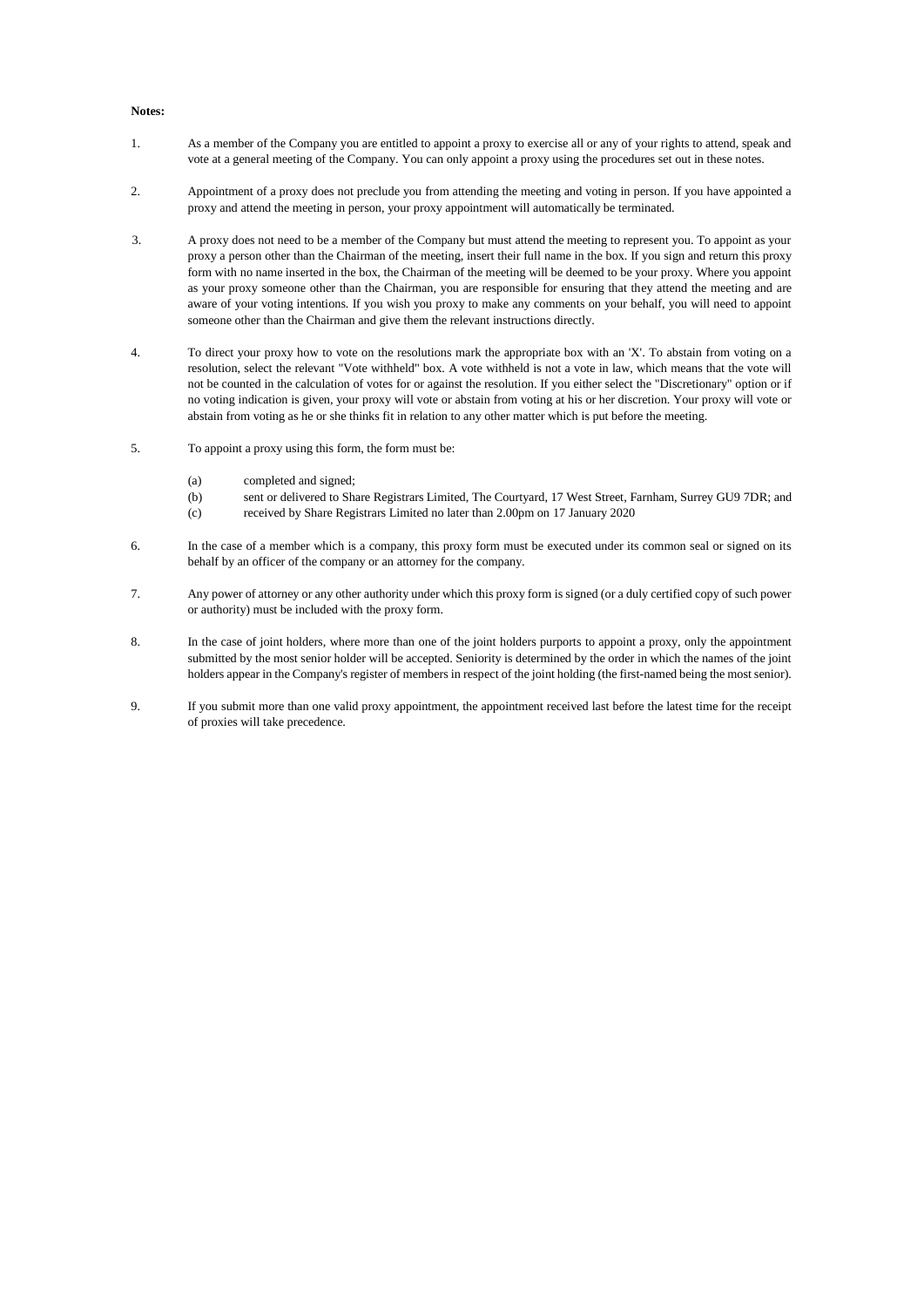#### **Notes:**

- 1. As a member of the Company you are entitled to appoint a proxy to exercise all or any of your rights to attend, speak and vote at a general meeting of the Company. You can only appoint a proxy using the procedures set out in these notes.
- 2. Appointment of a proxy does not preclude you from attending the meeting and voting in person. If you have appointed a proxy and attend the meeting in person, your proxy appointment will automatically be terminated.
- 3. A proxy does not need to be a member of the Company but must attend the meeting to represent you. To appoint as your proxy a person other than the Chairman of the meeting, insert their full name in the box. If you sign and return this proxy form with no name inserted in the box, the Chairman of the meeting will be deemed to be your proxy. Where you appoint as your proxy someone other than the Chairman, you are responsible for ensuring that they attend the meeting and are aware of your voting intentions. If you wish you proxy to make any comments on your behalf, you will need to appoint someone other than the Chairman and give them the relevant instructions directly.
- 4. To direct your proxy how to vote on the resolutions mark the appropriate box with an 'X'. To abstain from voting on a resolution, select the relevant "Vote withheld" box. A vote withheld is not a vote in law, which means that the vote will not be counted in the calculation of votes for or against the resolution. If you either select the "Discretionary" option or if no voting indication is given, your proxy will vote or abstain from voting at his or her discretion. Your proxy will vote or abstain from voting as he or she thinks fit in relation to any other matter which is put before the meeting.
- 5. To appoint a proxy using this form, the form must be:
	- (a) completed and signed;
	- (b) sent or delivered to Share Registrars Limited, The Courtyard, 17 West Street, Farnham, Surrey GU9 7DR; and
	- (c) received by Share Registrars Limited no later than 2.00pm on 17 January 2020
- 6. In the case of a member which is a company, this proxy form must be executed under its common seal or signed on its behalf by an officer of the company or an attorney for the company.
- 7. Any power of attorney or any other authority under which this proxy form is signed (or a duly certified copy of such power or authority) must be included with the proxy form.
- 8. In the case of joint holders, where more than one of the joint holders purports to appoint a proxy, only the appointment submitted by the most senior holder will be accepted. Seniority is determined by the order in which the names of the joint holders appear in the Company's register of members in respect of the joint holding (the first-named being the most senior).
- 9. If you submit more than one valid proxy appointment, the appointment received last before the latest time for the receipt of proxies will take precedence.